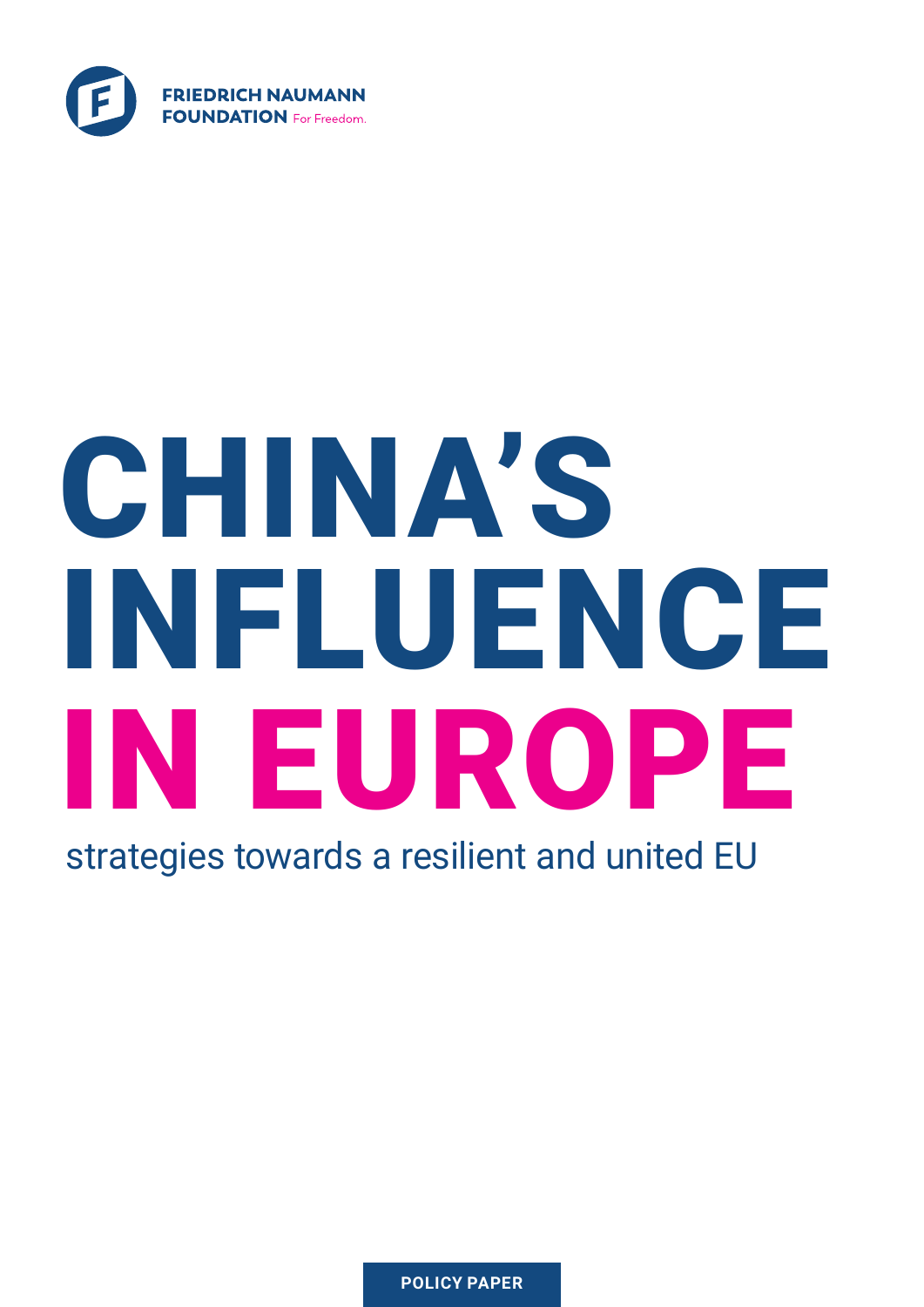

# CHINA'S INFLUENCE IN EUROPE

strategies towards a resilient and united EU

**POLICY PAPER**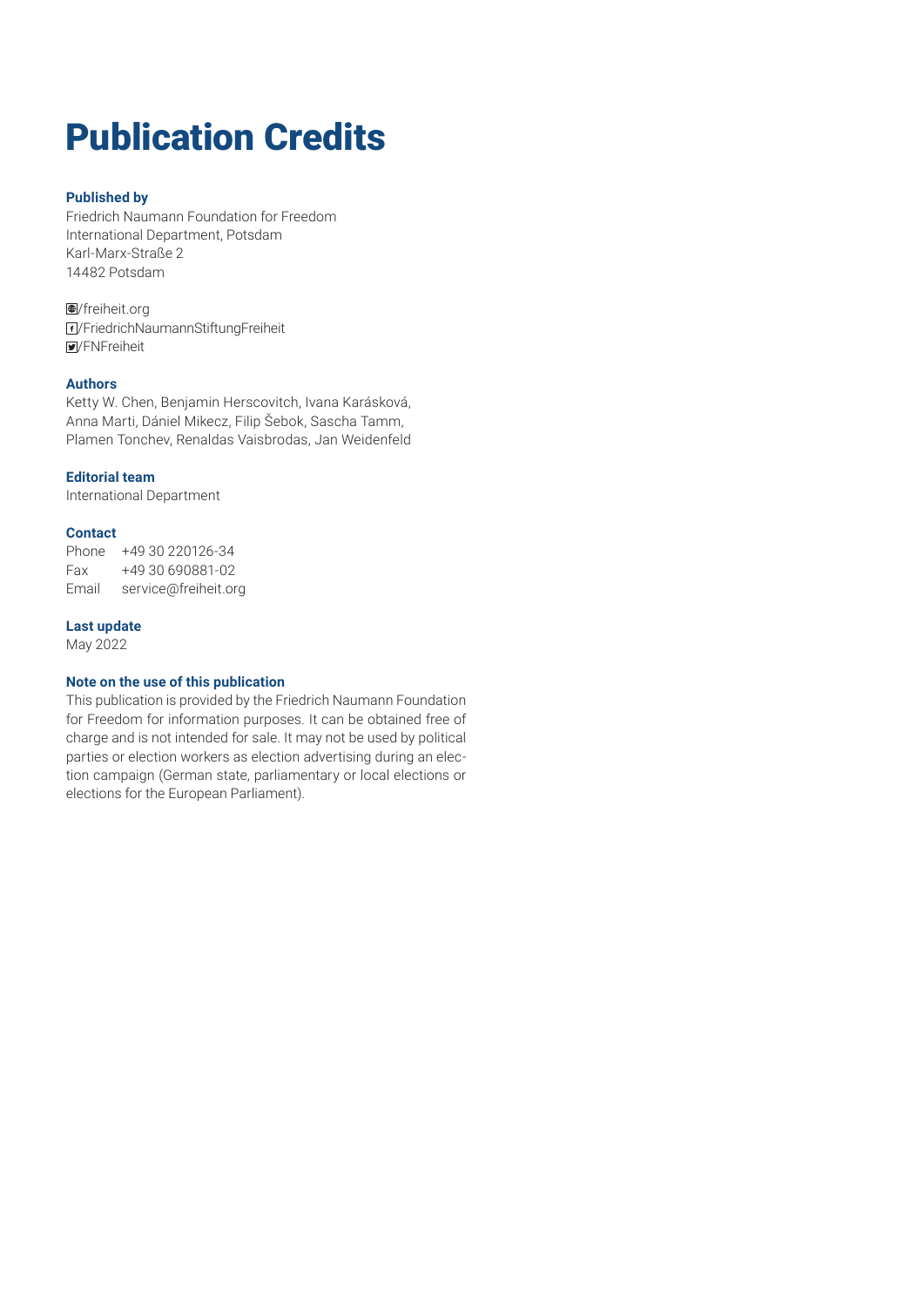# Publication Credits

#### **Published by**

Friedrich Naumann Foundation for Freedom International Department, Potsdam Karl-Marx-Straße 2 14482 Potsdam

/freiheit.org /FriedrichNaumannStiftungFreiheit /FNFreiheit

#### **Authors**

Ketty W. Chen, Benjamin Herscovitch, Ivana Karásková, Anna Marti, Dániel Mikecz, Filip Šebok, Sascha Tamm, Plamen Tonchev, Renaldas Vaisbrodas, Jan Weidenfeld

#### **Editorial team**

International Department

#### **Contact**

Phone +49 30 220126-34 Fax +49 30 690881-02 Email service@freiheit.org

#### **Last update**

May 2022

#### **Note on the use of this publication**

This publication is provided by the Friedrich Naumann Foundation for Freedom for information purposes. It can be obtained free of charge and is not intended for sale. It may not be used by political parties or election workers as election advertising during an election campaign (German state, parliamentary or local elections or elections for the European Parliament).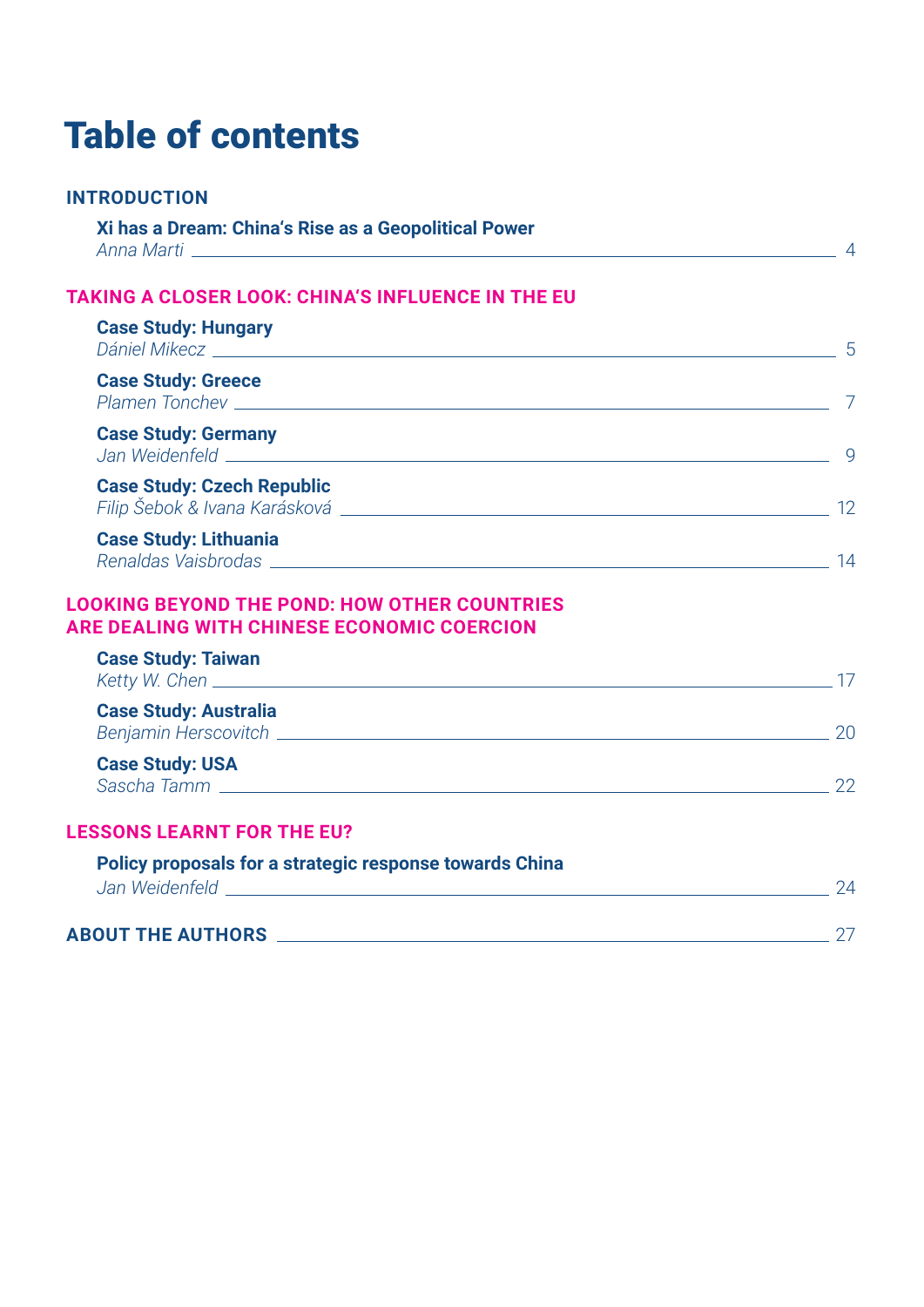# Table of contents

# **INTRODUCTION**

| Xi has a Dream: China's Rise as a Geopolitical Power |  |
|------------------------------------------------------|--|
| Anna Marti                                           |  |

# **TAKING A CLOSER LOOK: CHINA'S INFLUENCE IN THE EU**

| <b>Case Study: Hungary</b>                                                                                                                     | 5  |
|------------------------------------------------------------------------------------------------------------------------------------------------|----|
| <b>Case Study: Greece</b>                                                                                                                      |    |
| <b>Case Study: Germany</b>                                                                                                                     | q  |
| <b>Case Study: Czech Republic</b>                                                                                                              | 12 |
| <b>Case Study: Lithuania</b><br>Renaldas Vaisbrodas et al. et al. et al. et al. et al. et al. et al. et al. et al. et al. et al. et al. et al. | 14 |
| <b>LOOKING BEYOND THE POND: HOW OTHER COUNTRIES</b><br><b>ARE DEALING WITH CHINESE ECONOMIC COERCION</b>                                       |    |
| <b>Case Study: Taiwan</b>                                                                                                                      | 17 |
| <b>Case Study: Australia</b>                                                                                                                   | 20 |
| <b>Case Study: USA</b>                                                                                                                         |    |

# **LESSONS LEARNT FOR THE EU?**

| <b>Policy proposals for a strategic response towards China</b> |  |
|----------------------------------------------------------------|--|
| Jan Weidenfeld                                                 |  |
| <b>ABOUT THE AUTHORS</b>                                       |  |

*Sascha Tamm* 22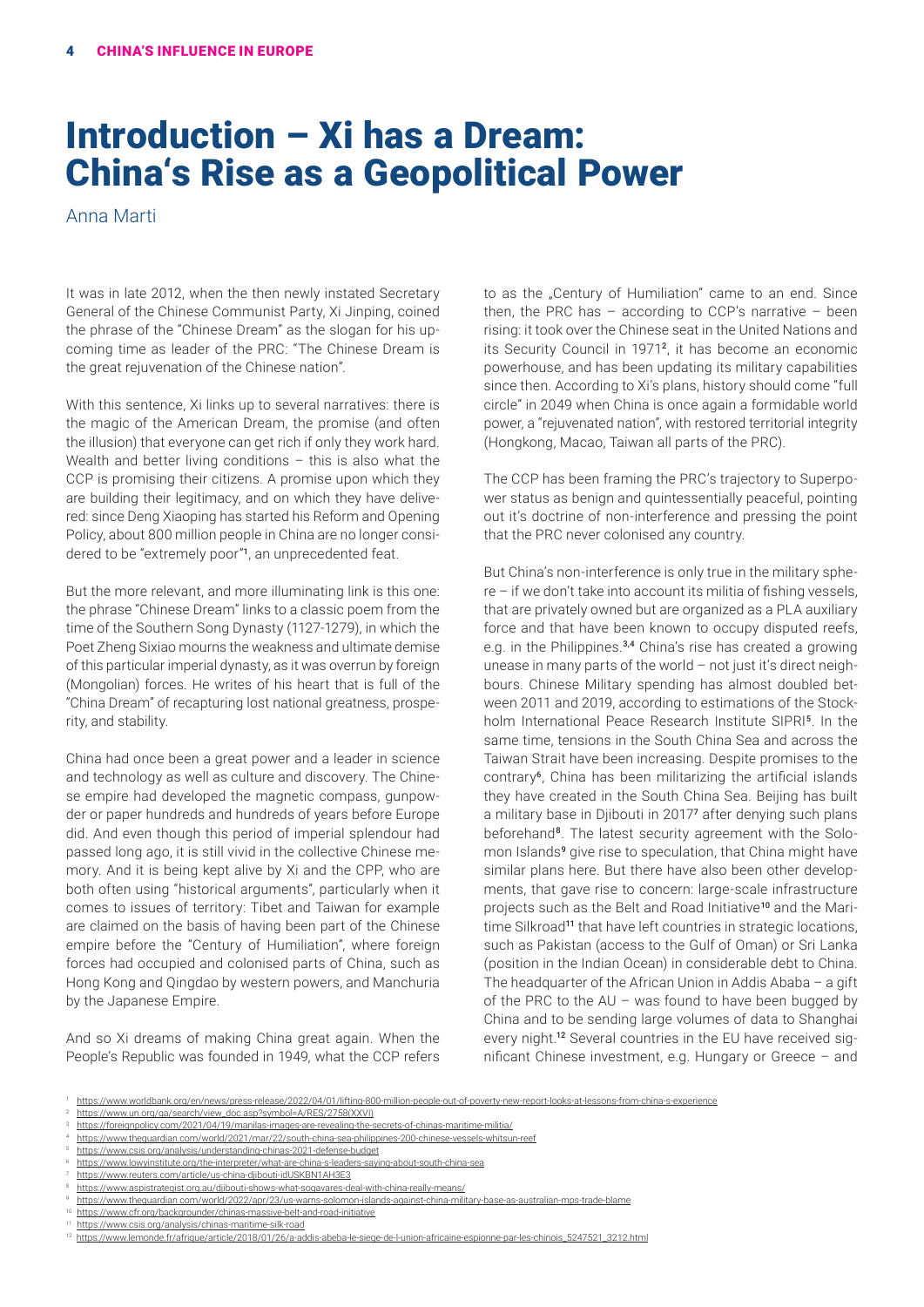# Introduction – Xi has a Dream: China's Rise as a Geopolitical Power

Anna Marti

It was in late 2012, when the then newly instated Secretary General of the Chinese Communist Party, Xi Jinping, coined the phrase of the "Chinese Dream" as the slogan for his upcoming time as leader of the PRC: "The Chinese Dream is the great rejuvenation of the Chinese nation".

With this sentence, Xi links up to several narratives: there is the magic of the American Dream, the promise (and often the illusion) that everyone can get rich if only they work hard. Wealth and better living conditions  $-$  this is also what the CCP is promising their citizens. A promise upon which they are building their legitimacy, and on which they have delivered: since Deng Xiaoping has started his Reform and Opening Policy, about 800 million people in China are no longer considered to be "extremely poor"<sup>1</sup>, an unprecedented feat.

But the more relevant, and more illuminating link is this one: the phrase "Chinese Dream" links to a classic poem from the time of the Southern Song Dynasty (1127-1279), in which the Poet Zheng Sixiao mourns the weakness and ultimate demise of this particular imperial dynasty, as it was overrun by foreign (Mongolian) forces. He writes of his heart that is full of the "China Dream" of recapturing lost national greatness, prosperity, and stability.

China had once been a great power and a leader in science and technology as well as culture and discovery. The Chinese empire had developed the magnetic compass, gunpowder or paper hundreds and hundreds of years before Europe did. And even though this period of imperial splendour had passed long ago, it is still vivid in the collective Chinese memory. And it is being kept alive by Xi and the CPP, who are both often using "historical arguments", particularly when it comes to issues of territory: Tibet and Taiwan for example are claimed on the basis of having been part of the Chinese empire before the "Century of Humiliation", where foreign forces had occupied and colonised parts of China, such as Hong Kong and Qingdao by western powers, and Manchuria by the Japanese Empire.

And so Xi dreams of making China great again. When the People's Republic was founded in 1949, what the CCP refers to as the "Century of Humiliation" came to an end. Since then, the PRC has  $-$  according to CCP's narrative  $-$  been rising: it took over the Chinese seat in the United Nations and its Security Council in 1971<sup>2</sup>, it has become an economic powerhouse, and has been updating its military capabilities since then. According to Xi's plans, history should come "full circle" in 2049 when China is once again a formidable world power, a "rejuvenated nation", with restored territorial integrity (Hongkong, Macao, Taiwan all parts of the PRC).

The CCP has been framing the PRC's trajectory to Superpower status as benign and quintessentially peaceful, pointing out it's doctrine of non-interference and pressing the point that the PRC never colonised any country.

But China's non-interference is only true in the military sphere – if we don't take into account its militia of fishing vessels, that are privately owned but are organized as a PLA auxiliary force and that have been known to occupy disputed reefs, e.g. in the Philippines.<sup>3,4</sup> China's rise has created a growing unease in many parts of the world – not just it's direct neighbours. Chinese Military spending has almost doubled between 2011 and 2019, according to estimations of the Stockholm International Peace Research Institute SIPRI<sup>5</sup>. In the same time, tensions in the South China Sea and across the Taiwan Strait have been increasing. Despite promises to the contrary<sup>6</sup>, China has been militarizing the artificial islands they have created in the South China Sea. Beijing has built a military base in Djibouti in 2017<sup>7</sup> after denying such plans beforehand<sup>8</sup>. The latest security agreement with the Solomon Islands<sup>9</sup> give rise to speculation, that China might have similar plans here. But there have also been other developments, that gave rise to concern: large-scale infrastructure projects such as the Belt and Road Initiative<sup>10</sup> and the Maritime Silkroad<sup>11</sup> that have left countries in strategic locations, such as Pakistan (access to the Gulf of Oman) or Sri Lanka (position in the Indian Ocean) in considerable debt to China. The headquarter of the African Union in Addis Ababa – a gift of the PRC to the  $AU -$  was found to have been bugged by China and to be sending large volumes of data to Shanghai every night.12 Several countries in the EU have received significant Chinese investment, e.g. Hungary or Greece – and

<sup>1</sup> <https://www.worldbank.org/en/news/press-release/2022/04/01/lifting-800-million-people-out-of-poverty-new-report-looks-at-lessons-from-china-s-experience>

[https://www.un.org/ga/search/view\\_doc.asp?symbol=A/RES/2758\(XXVI\)](https://www.un.org/ga/search/view_doc.asp?symbol=A/RES/2758(XXVI))

<sup>3</sup> <https://foreignpolicy.com/2021/04/19/manilas-images-are-revealing-the-secrets-of-chinas-maritime-militia/> 4 <https://www.theguardian.com/world/2021/mar/22/south-china-sea-philippines-200-chinese-vessels-whitsun-reef>

<https://www.csis.org/analysis/understanding-chinas-2021-defense-budget>

<https://www.lowyinstitute.org/the-interpreter/what-are-china-s-leaders-saying-about-south-china-sea>

https://www.reuters.com/article/us-china-diibouti-idUSKBN1AH3E3

<sup>8</sup> <https://www.aspistrategist.org.au/djibouti-shows-what-sogavares-deal-with-china-really-means/>

<sup>9</sup> <https://www.theguardian.com/world/2022/apr/23/us-warns-solomon-islands-against-china-military-base-as-australian-mps-trade-blame>

<sup>&</sup>lt;sup>1</sup> <https://www.cfr.org/backgrounder/chinas-massive-belt-and-road-initiative>

<https://www.csis.org/analysis/chinas-maritime-silk-road>

<sup>12</sup> [https://www.lemonde.fr/afrique/article/2018/01/26/a-addis-abeba-le-siege-de-l-union-africaine-espionne-par-les-chinois\\_5247521\\_3212.html](https://www.lemonde.fr/afrique/article/2018/01/26/a-addis-abeba-le-siege-de-l-union-africaine-espionne-par-les-chinois_5247521_3212.html)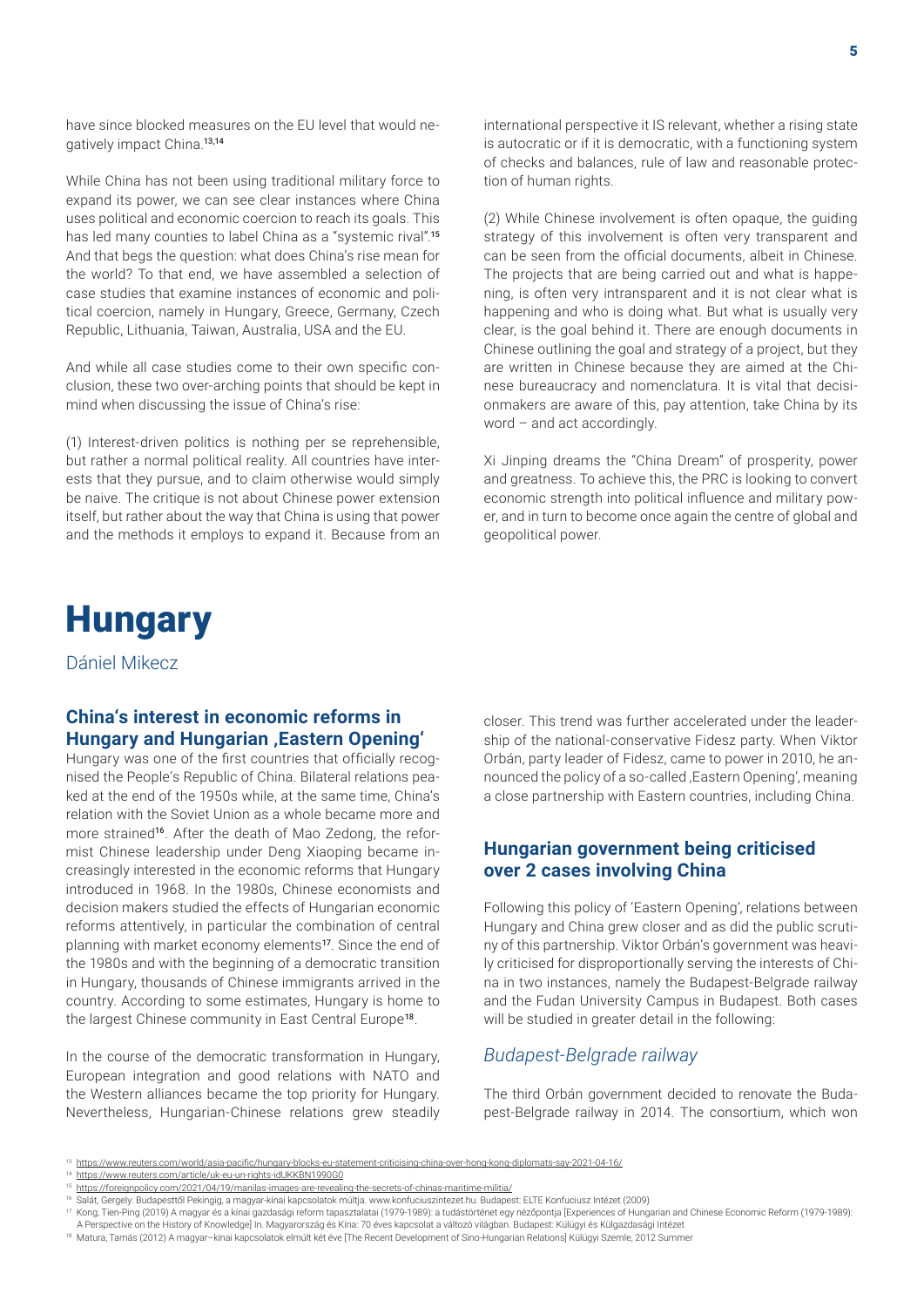have since blocked measures on the EU level that would negatively impact China.13,14

While China has not been using traditional military force to expand its power, we can see clear instances where China uses political and economic coercion to reach its goals. This has led many counties to label China as a "systemic rival".<sup>15</sup> And that begs the question: what does China's rise mean for the world? To that end, we have assembled a selection of case studies that examine instances of economic and political coercion, namely in Hungary, Greece, Germany, Czech Republic, Lithuania, Taiwan, Australia, USA and the EU.

And while all case studies come to their own specific conclusion, these two over-arching points that should be kept in mind when discussing the issue of China's rise:

(1) Interest-driven politics is nothing per se reprehensible, but rather a normal political reality. All countries have interests that they pursue, and to claim otherwise would simply be naive. The critique is not about Chinese power extension itself, but rather about the way that China is using that power and the methods it employs to expand it. Because from an

# **Hungary**

Dániel Mikecz

#### **China's interest in economic reforms in Hungary and Hungarian , Eastern Opening'**

Hungary was one of the first countries that officially recognised the People's Republic of China. Bilateral relations peaked at the end of the 1950s while, at the same time, China's relation with the Soviet Union as a whole became more and more strained<sup>16</sup>. After the death of Mao Zedong, the reformist Chinese leadership under Deng Xiaoping became increasingly interested in the economic reforms that Hungary introduced in 1968. In the 1980s, Chinese economists and decision makers studied the effects of Hungarian economic reforms attentively, in particular the combination of central planning with market economy elements<sup>17</sup>. Since the end of the 1980s and with the beginning of a democratic transition in Hungary, thousands of Chinese immigrants arrived in the country. According to some estimates, Hungary is home to the largest Chinese community in East Central Europe<sup>18</sup>.

In the course of the democratic transformation in Hungary, European integration and good relations with NATO and the Western alliances became the top priority for Hungary. Nevertheless, Hungarian-Chinese relations grew steadily international perspective it IS relevant, whether a rising state is autocratic or if it is democratic, with a functioning system of checks and balances, rule of law and reasonable protection of human rights.

(2) While Chinese involvement is often opaque, the guiding strategy of this involvement is often very transparent and can be seen from the official documents, albeit in Chinese. The projects that are being carried out and what is happening, is often very intransparent and it is not clear what is happening and who is doing what. But what is usually very clear, is the goal behind it. There are enough documents in Chinese outlining the goal and strategy of a project, but they are written in Chinese because they are aimed at the Chinese bureaucracy and nomenclatura. It is vital that decisionmakers are aware of this, pay attention, take China by its word – and act accordingly.

Xi Jinping dreams the "China Dream" of prosperity, power and greatness. To achieve this, the PRC is looking to convert economic strength into political influence and military power, and in turn to become once again the centre of global and geopolitical power.

closer. This trend was further accelerated under the leadership of the national-conservative Fidesz party. When Viktor Orbán, party leader of Fidesz, came to power in 2010, he announced the policy of a so-called , Eastern Opening', meaning a close partnership with Eastern countries, including China.

#### **Hungarian government being criticised over 2 cases involving China**

Following this policy of 'Eastern Opening', relations between Hungary and China grew closer and as did the public scrutiny of this partnership. Viktor Orbán's government was heavily criticised for disproportionally serving the interests of China in two instances, namely the Budapest-Belgrade railway and the Fudan University Campus in Budapest. Both cases will be studied in greater detail in the following:

#### *Budapest-Belgrade railway*

The third Orbán government decided to renovate the Budapest-Belgrade railway in 2014. The consortium, which won

<sup>13</sup> <https://www.reuters.com/world/asia-pacific/hungary-blocks-eu-statement-criticising-china-over-hong-kong-diplomats-say-2021-04-16/>

<sup>14</sup> <https://www.reuters.com/article/uk-eu-un-rights-idUKKBN1990G0>

<sup>15</sup> <https://foreignpolicy.com/2021/04/19/manilas-images-are-revealing-the-secrets-of-chinas-maritime-militia/>

<sup>16</sup> Salát, Gergely: Budapesttől Pekingig, a magyar-kínai kapcsolatok múltja. www.konfuciuszintezet.hu. Budapest: ELTE Konfuciusz Intézet (2009)

<sup>17</sup> Kong, Tien-Ping (2019) A magyar és a kínai gazdasági reform tapasztalatai (1979-1989): a tudástörténet egy nézőpontja [Experiences of Hungarian and Chinese Economic Reform (1979-1989):

A Perspective on the History of Knowledge] In. Magyarország és Kína: 70 éves kapcsolat a változó világban. Budapest: Külügyi és Külgazdasági Intézet

<sup>18</sup> Matura, Tamás (2012) A magyar-kínai kapcsolatok elmúlt két éve [The Recent Development of Sino-Hungarian Relations] Külügyi Szemle, 2012 Summer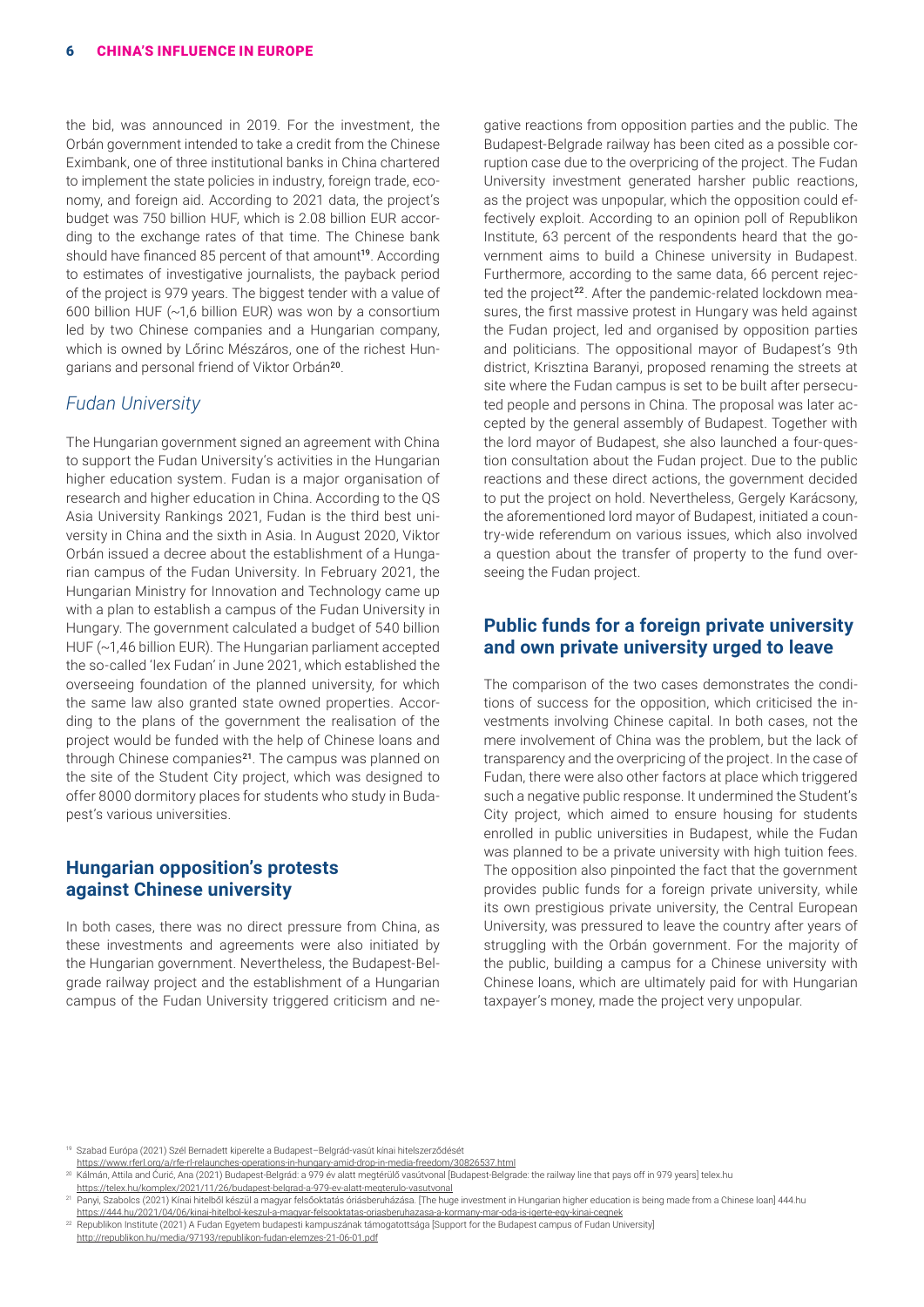the bid, was announced in 2019. For the investment, the Orbán government intended to take a credit from the Chinese Eximbank, one of three institutional banks in China chartered to implement the state policies in industry, foreign trade, economy, and foreign aid. According to 2021 data, the project's budget was 750 billion HUF, which is 2.08 billion EUR according to the exchange rates of that time. The Chinese bank should have financed 85 percent of that amount<sup>19</sup>. According to estimates of investigative journalists, the payback period of the project is 979 years. The biggest tender with a value of 600 billion HUF (~1,6 billion EUR) was won by a consortium led by two Chinese companies and a Hungarian company, which is owned by Lőrinc Mészáros, one of the richest Hungarians and personal friend of Viktor Orbán<sup>20</sup>.

#### *Fudan University*

The Hungarian government signed an agreement with China to support the Fudan University's activities in the Hungarian higher education system. Fudan is a major organisation of research and higher education in China. According to the QS Asia University Rankings 2021, Fudan is the third best university in China and the sixth in Asia. In August 2020, Viktor Orbán issued a decree about the establishment of a Hungarian campus of the Fudan University. In February 2021, the Hungarian Ministry for Innovation and Technology came up with a plan to establish a campus of the Fudan University in Hungary. The government calculated a budget of 540 billion HUF (~1,46 billion EUR). The Hungarian parliament accepted the so-called 'lex Fudan' in June 2021, which established the overseeing foundation of the planned university, for which the same law also granted state owned properties. According to the plans of the government the realisation of the project would be funded with the help of Chinese loans and through Chinese companies<sup>21</sup>. The campus was planned on the site of the Student City project, which was designed to offer 8000 dormitory places for students who study in Budapest's various universities.

#### **Hungarian opposition's protests against Chinese university**

In both cases, there was no direct pressure from China, as these investments and agreements were also initiated by the Hungarian government. Nevertheless, the Budapest-Belgrade railway project and the establishment of a Hungarian campus of the Fudan University triggered criticism and negative reactions from opposition parties and the public. The Budapest-Belgrade railway has been cited as a possible corruption case due to the overpricing of the project. The Fudan University investment generated harsher public reactions, as the project was unpopular, which the opposition could effectively exploit. According to an opinion poll of Republikon Institute, 63 percent of the respondents heard that the government aims to build a Chinese university in Budapest. Furthermore, according to the same data, 66 percent rejected the project<sup>22</sup>. After the pandemic-related lockdown measures, the first massive protest in Hungary was held against the Fudan project, led and organised by opposition parties and politicians. The oppositional mayor of Budapest's 9th district, Krisztina Baranyi, proposed renaming the streets at site where the Fudan campus is set to be built after persecuted people and persons in China. The proposal was later accepted by the general assembly of Budapest. Together with the lord mayor of Budapest, she also launched a four-question consultation about the Fudan project. Due to the public reactions and these direct actions, the government decided to put the project on hold. Nevertheless, Gergely Karácsony, the aforementioned lord mayor of Budapest, initiated a country-wide referendum on various issues, which also involved a question about the transfer of property to the fund overseeing the Fudan project.

## **Public funds for a foreign private university and own private university urged to leave**

The comparison of the two cases demonstrates the conditions of success for the opposition, which criticised the investments involving Chinese capital. In both cases, not the mere involvement of China was the problem, but the lack of transparency and the overpricing of the project. In the case of Fudan, there were also other factors at place which triggered such a negative public response. It undermined the Student's City project, which aimed to ensure housing for students enrolled in public universities in Budapest, while the Fudan was planned to be a private university with high tuition fees. The opposition also pinpointed the fact that the government provides public funds for a foreign private university, while its own prestigious private university, the Central European University, was pressured to leave the country after years of struggling with the Orbán government. For the majority of the public, building a campus for a Chinese university with Chinese loans, which are ultimately paid for with Hungarian taxpayer's money, made the project very unpopular.

<sup>19</sup> Szabad Európa (2021) Szél Bernadett kiperelte a Budapest–Belgrád-vasút kínai hitelszerződését <https://www.rferl.org/a/rfe-rl-relaunches-operations-in-hungary-amid-drop-in-media-freedom/30826537.html>

<sup>20</sup> Kálmán, Attila and Ćurić, Ana (2021) Budapest-Belgrád: a 979 év alatt megtérülő vasútvonal [Budapest-Belgrade: the railway line that pays off in 979 years] telex.hu [https://telex.hu/komplex/2021/11/26/budapest-belgrad-a-979-ev-alatt-megterulo-vasutvonal](https://telex.hu/komplex/2021/11/26/budapest-belgrad-a-979-ev-alatt-megterulo-vasutvonal
)

<sup>21</sup> Panyi, Szabolcs (2021) Kínai hitelből készül a magyar felsőoktatás óriásberuházása. [The huge investment in Hungarian higher education is being made from a Chinese loan] 444.hu <https://444.hu/2021/04/06/kinai-hitelbol-keszul-a-magyar-felsooktatas-oriasberuhazasa-a-kormany-mar-oda-is-igerte-egy-kinai-cegnek>

<sup>22</sup> Republikon Institute (2021) A Fudan Egyetem budapesti kampuszának támogatottsága [Support for the Budapest campus of Fudan University] <http://republikon.hu/media/97193/republikon-fudan-elemzes-21-06-01.pdf>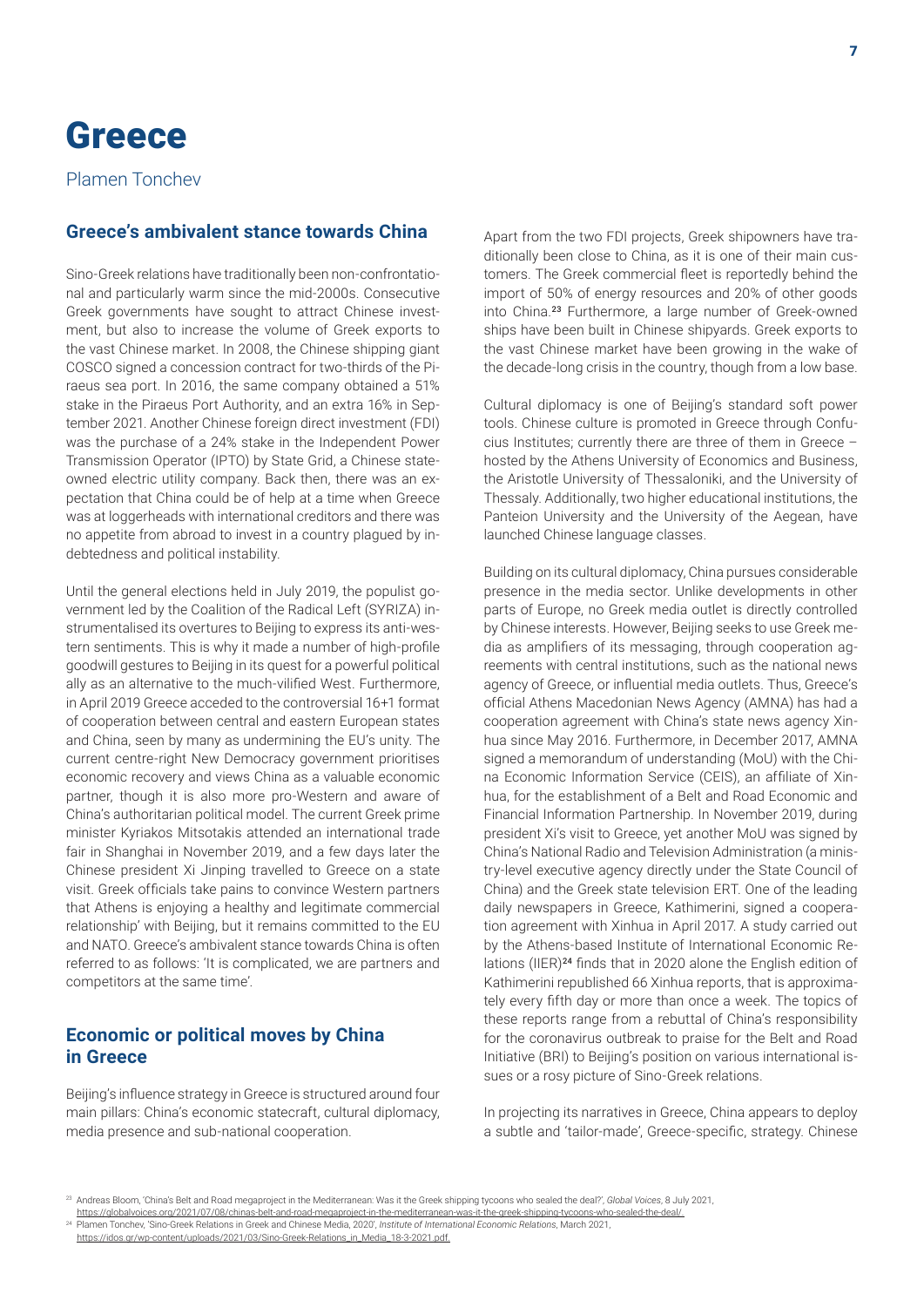# **Greece**

Plamen Tonchev

# **Greece's ambivalent stance towards China**

Sino-Greek relations have traditionally been non-confrontational and particularly warm since the mid-2000s. Consecutive Greek governments have sought to attract Chinese investment, but also to increase the volume of Greek exports to the vast Chinese market. In 2008, the Chinese shipping giant COSCO signed a concession contract for two-thirds of the Piraeus sea port. In 2016, the same company obtained a 51% stake in the Piraeus Port Authority, and an extra 16% in September 2021. Another Chinese foreign direct investment (FDI) was the purchase of a 24% stake in the Independent Power Transmission Operator (IPTO) by State Grid, a Chinese stateowned electric utility company. Back then, there was an expectation that China could be of help at a time when Greece was at loggerheads with international creditors and there was no appetite from abroad to invest in a country plagued by indebtedness and political instability.

Until the general elections held in July 2019, the populist government led by the Coalition of the Radical Left (SYRIZA) instrumentalised its overtures to Beijing to express its anti-western sentiments. This is why it made a number of high-profile goodwill gestures to Beijing in its quest for a powerful political ally as an alternative to the much-vilified West. Furthermore, in April 2019 Greece acceded to the controversial 16+1 format of cooperation between central and eastern European states and China, seen by many as undermining the EU's unity. The current centre-right New Democracy government prioritises economic recovery and views China as a valuable economic partner, though it is also more pro-Western and aware of China's authoritarian political model. The current Greek prime minister Kyriakos Mitsotakis attended an international trade fair in Shanghai in November 2019, and a few days later the Chinese president Xi Jinping travelled to Greece on a state visit. Greek officials take pains to convince Western partners that Athens is enjoying a healthy and legitimate commercial relationship' with Beijing, but it remains committed to the EU and NATO. Greece's ambivalent stance towards China is often referred to as follows: 'It is complicated, we are partners and competitors at the same time'.

#### **Economic or political moves by China in Greece**

Beijing's influence strategy in Greece is structured around four main pillars: China's economic statecraft, cultural diplomacy, media presence and sub-national cooperation.

Apart from the two FDI projects, Greek shipowners have traditionally been close to China, as it is one of their main customers. The Greek commercial fleet is reportedly behind the import of 50% of energy resources and 20% of other goods into China.<sup>23</sup> Furthermore, a large number of Greek-owned ships have been built in Chinese shipyards. Greek exports to the vast Chinese market have been growing in the wake of the decade-long crisis in the country, though from a low base.

Cultural diplomacy is one of Beijing's standard soft power tools. Chinese culture is promoted in Greece through Confucius Institutes; currently there are three of them in Greece – hosted by the Athens University of Economics and Business, the Aristotle University of Thessaloniki, and the University of Thessaly. Additionally, two higher educational institutions, the Panteion University and the University of the Aegean, have launched Chinese language classes.

Building on its cultural diplomacy, China pursues considerable presence in the media sector. Unlike developments in other parts of Europe, no Greek media outlet is directly controlled by Chinese interests. However, Beijing seeks to use Greek media as amplifiers of its messaging, through cooperation agreements with central institutions, such as the national news agency of Greece, or influential media outlets. Thus, Greece's official Athens Macedonian News Agency (AMNA) has had a cooperation agreement with China's state news agency Xinhua since May 2016. Furthermore, in December 2017, AMNA signed a memorandum of understanding (MoU) with the China Economic Information Service (CEIS), an affiliate of Xinhua, for the establishment of a Belt and Road Economic and Financial Information Partnership. In November 2019, during president Xi's visit to Greece, yet another MoU was signed by China's National Radio and Television Administration (a ministry-level executive agency directly under the State Council of China) and the Greek state television ERT. One of the leading daily newspapers in Greece, Kathimerini, signed a cooperation agreement with Xinhua in April 2017. A study carried out by the Athens-based Institute of International Economic Relations (IIER)<sup>24</sup> finds that in 2020 alone the English edition of Kathimerini republished 66 Xinhua reports, that is approximately every fifth day or more than once a week. The topics of these reports range from a rebuttal of China's responsibility for the coronavirus outbreak to praise for the Belt and Road Initiative (BRI) to Beijing's position on various international issues or a rosy picture of Sino-Greek relations.

In projecting its narratives in Greece, China appears to deploy a subtle and 'tailor-made', Greece-specific, strategy. Chinese

<sup>23</sup> Andreas Bloom, 'China's Belt and Road megaproject in the Mediterranean: Was it the Greek shipping tycoons who sealed the deal?', *Global Voices*, 8 July 2021,

<https://globalvoices.org/2021/07/08/chinas-belt-and-road-megaproject-in-the-mediterranean-was-it-the-greek-shipping-tycoons-who-sealed-the-deal/.> 24 Plamen Tonchev, 'Sino-Greek Relations in Greek and Chinese Media, 2020', *Institute of International Economic Relations*, March 2021,

[https://idos.gr/wp-content/uploads/2021/03/Sino-Greek-Relations\\_in\\_Media\\_18-3-2021.pdf.](https://idos.gr/wp-content/uploads/2021/03/Sino-Greek-Relations_in_Media_18-3-2021.pdf.)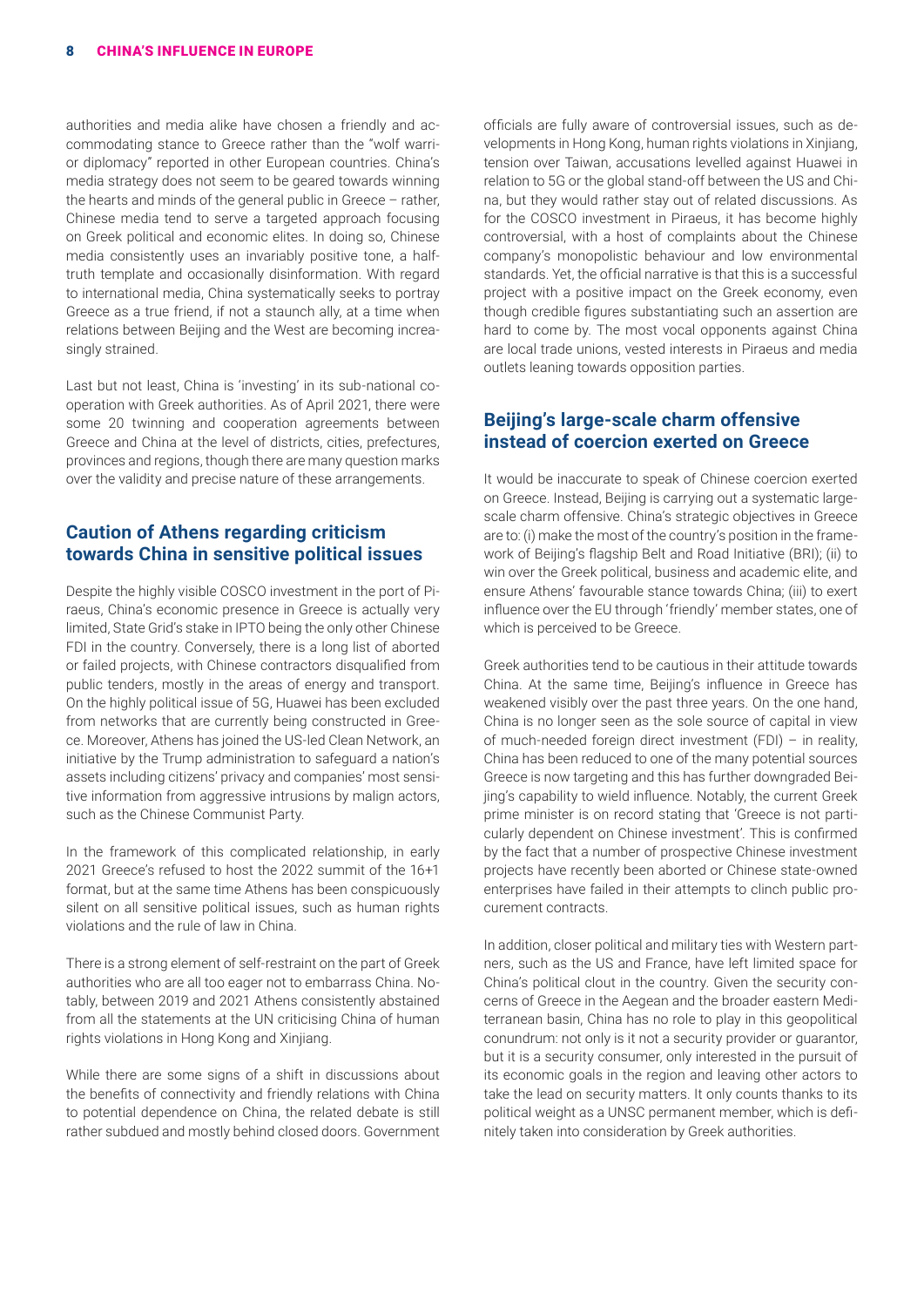authorities and media alike have chosen a friendly and accommodating stance to Greece rather than the "wolf warrior diplomacy" reported in other European countries. China's media strategy does not seem to be geared towards winning the hearts and minds of the general public in Greece – rather, Chinese media tend to serve a targeted approach focusing on Greek political and economic elites. In doing so, Chinese media consistently uses an invariably positive tone, a halftruth template and occasionally disinformation. With regard to international media, China systematically seeks to portray Greece as a true friend, if not a staunch ally, at a time when relations between Beijing and the West are becoming increasingly strained.

Last but not least, China is 'investing' in its sub-national cooperation with Greek authorities. As of April 2021, there were some 20 twinning and cooperation agreements between Greece and China at the level of districts, cities, prefectures, provinces and regions, though there are many question marks over the validity and precise nature of these arrangements.

#### **Caution of Athens regarding criticism towards China in sensitive political issues**

Despite the highly visible COSCO investment in the port of Piraeus, China's economic presence in Greece is actually very limited, State Grid's stake in IPTO being the only other Chinese FDI in the country. Conversely, there is a long list of aborted or failed projects, with Chinese contractors disqualified from public tenders, mostly in the areas of energy and transport. On the highly political issue of 5G, Huawei has been excluded from networks that are currently being constructed in Greece. Moreover, Athens has joined the US-led Clean Network, an initiative by the Trump administration to safeguard a nation's assets including citizens' privacy and companies' most sensitive information from aggressive intrusions by malign actors, such as the Chinese Communist Party.

In the framework of this complicated relationship, in early 2021 Greece's refused to host the 2022 summit of the 16+1 format, but at the same time Athens has been conspicuously silent on all sensitive political issues, such as human rights violations and the rule of law in China.

There is a strong element of self-restraint on the part of Greek authorities who are all too eager not to embarrass China. Notably, between 2019 and 2021 Athens consistently abstained from all the statements at the UN criticising China of human rights violations in Hong Kong and Xinjiang.

While there are some signs of a shift in discussions about the benefits of connectivity and friendly relations with China to potential dependence on China, the related debate is still rather subdued and mostly behind closed doors. Government officials are fully aware of controversial issues, such as developments in Hong Kong, human rights violations in Xinjiang, tension over Taiwan, accusations levelled against Huawei in relation to 5G or the global stand-off between the US and China, but they would rather stay out of related discussions. As for the COSCO investment in Piraeus, it has become highly controversial, with a host of complaints about the Chinese company's monopolistic behaviour and low environmental standards. Yet, the official narrative is that this is a successful project with a positive impact on the Greek economy, even though credible figures substantiating such an assertion are hard to come by. The most vocal opponents against China are local trade unions, vested interests in Piraeus and media outlets leaning towards opposition parties.

## **Beijing's large-scale charm offensive instead of coercion exerted on Greece**

It would be inaccurate to speak of Chinese coercion exerted on Greece. Instead, Beijing is carrying out a systematic largescale charm offensive. China's strategic objectives in Greece are to: (i) make the most of the country's position in the framework of Beijing's flagship Belt and Road Initiative (BRI); (ii) to win over the Greek political, business and academic elite, and ensure Athens' favourable stance towards China; (iii) to exert influence over the EU through 'friendly' member states, one of which is perceived to be Greece.

Greek authorities tend to be cautious in their attitude towards China. At the same time, Beijing's influence in Greece has weakened visibly over the past three years. On the one hand, China is no longer seen as the sole source of capital in view of much-needed foreign direct investment (FDI) – in reality, China has been reduced to one of the many potential sources Greece is now targeting and this has further downgraded Beijing's capability to wield influence. Notably, the current Greek prime minister is on record stating that 'Greece is not particularly dependent on Chinese investment'. This is confirmed by the fact that a number of prospective Chinese investment projects have recently been aborted or Chinese state-owned enterprises have failed in their attempts to clinch public procurement contracts.

In addition, closer political and military ties with Western partners, such as the US and France, have left limited space for China's political clout in the country. Given the security concerns of Greece in the Aegean and the broader eastern Mediterranean basin, China has no role to play in this geopolitical conundrum: not only is it not a security provider or guarantor, but it is a security consumer, only interested in the pursuit of its economic goals in the region and leaving other actors to take the lead on security matters. It only counts thanks to its political weight as a UNSC permanent member, which is definitely taken into consideration by Greek authorities.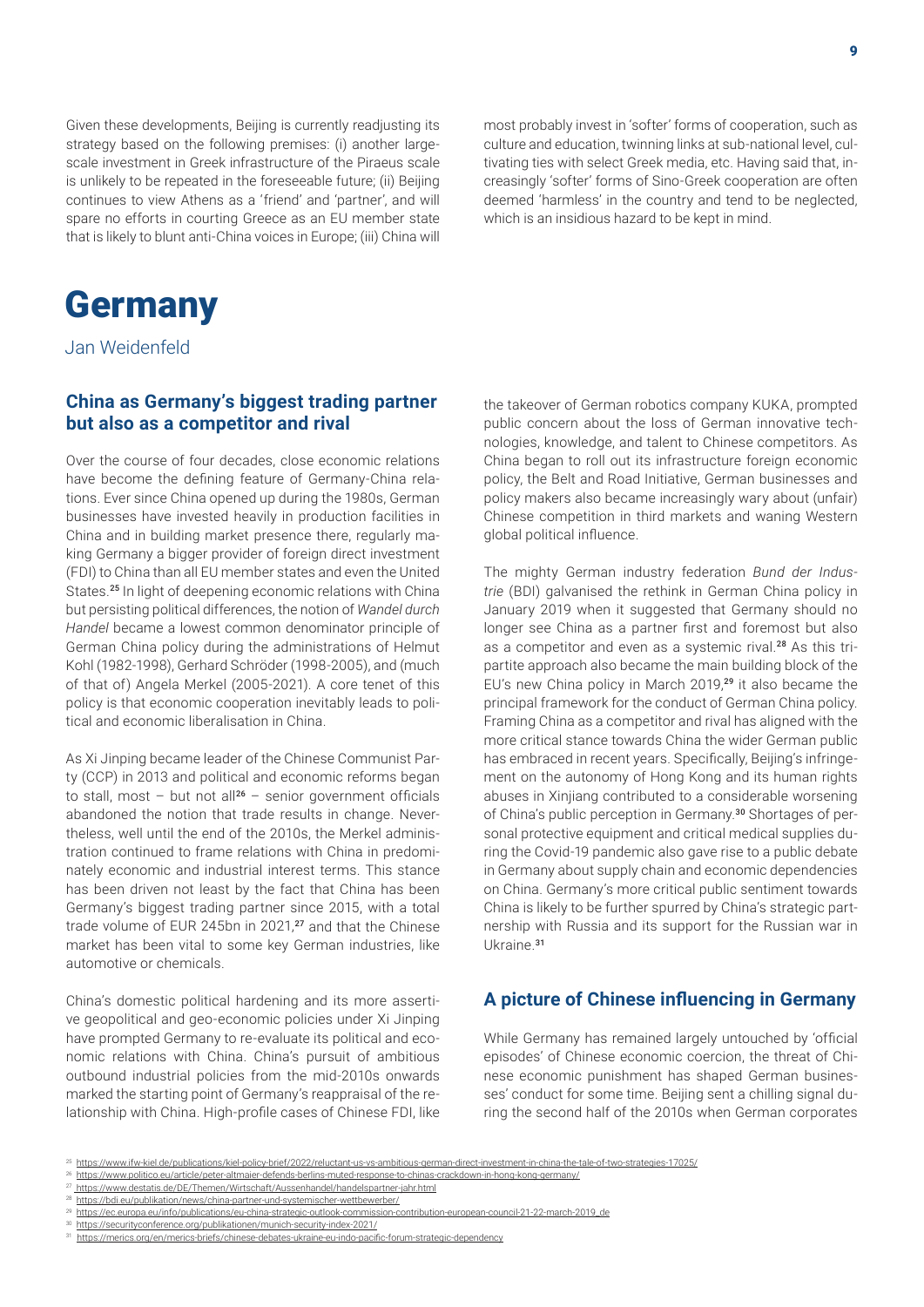Given these developments, Beijing is currently readjusting its strategy based on the following premises: (i) another largescale investment in Greek infrastructure of the Piraeus scale is unlikely to be repeated in the foreseeable future; (ii) Beijing continues to view Athens as a 'friend' and 'partner', and will spare no efforts in courting Greece as an EU member state that is likely to blunt anti-China voices in Europe; (iii) China will most probably invest in 'softer' forms of cooperation, such as culture and education, twinning links at sub-national level, cultivating ties with select Greek media, etc. Having said that, increasingly 'softer' forms of Sino-Greek cooperation are often deemed 'harmless' in the country and tend to be neglected, which is an insidious hazard to be kept in mind.

# **Germany**

Jan Weidenfeld

## **China as Germany's biggest trading partner but also as a competitor and rival**

Over the course of four decades, close economic relations have become the defining feature of Germany-China relations. Ever since China opened up during the 1980s, German businesses have invested heavily in production facilities in China and in building market presence there, regularly making Germany a bigger provider of foreign direct investment (FDI) to China than all EU member states and even the United States.<sup>25</sup> In light of deepening economic relations with China but persisting political differences, the notion of *Wandel durch Handel* became a lowest common denominator principle of German China policy during the administrations of Helmut Kohl (1982-1998), Gerhard Schröder (1998-2005), and (much of that of) Angela Merkel (2005-2021). A core tenet of this policy is that economic cooperation inevitably leads to political and economic liberalisation in China.

As Xi Jinping became leader of the Chinese Communist Party (CCP) in 2013 and political and economic reforms began to stall, most – but not all<sup>26</sup> – senior government officials abandoned the notion that trade results in change. Nevertheless, well until the end of the 2010s, the Merkel administration continued to frame relations with China in predominately economic and industrial interest terms. This stance has been driven not least by the fact that China has been Germany's biggest trading partner since 2015, with a total trade volume of EUR 245bn in 2021,<sup>27</sup> and that the Chinese market has been vital to some key German industries, like automotive or chemicals.

China's domestic political hardening and its more assertive geopolitical and geo-economic policies under Xi Jinping have prompted Germany to re-evaluate its political and economic relations with China. China's pursuit of ambitious outbound industrial policies from the mid-2010s onwards marked the starting point of Germany's reappraisal of the relationship with China. High-profile cases of Chinese FDI, like

the takeover of German robotics company KUKA, prompted public concern about the loss of German innovative technologies, knowledge, and talent to Chinese competitors. As China began to roll out its infrastructure foreign economic policy, the Belt and Road Initiative, German businesses and policy makers also became increasingly wary about (unfair) Chinese competition in third markets and waning Western global political influence.

The mighty German industry federation *Bund der Industrie* (BDI) galvanised the rethink in German China policy in January 2019 when it suggested that Germany should no longer see China as a partner first and foremost but also as a competitor and even as a systemic rival.<sup>28</sup> As this tripartite approach also became the main building block of the EU's new China policy in March 2019,<sup>29</sup> it also became the principal framework for the conduct of German China policy. Framing China as a competitor and rival has aligned with the more critical stance towards China the wider German public has embraced in recent years. Specifically, Beijing's infringement on the autonomy of Hong Kong and its human rights abuses in Xinjiang contributed to a considerable worsening of China's public perception in Germany.30 Shortages of personal protective equipment and critical medical supplies during the Covid-19 pandemic also gave rise to a public debate in Germany about supply chain and economic dependencies on China. Germany's more critical public sentiment towards China is likely to be further spurred by China's strategic partnership with Russia and its support for the Russian war in Ukraine<sup>31</sup>

## **A picture of Chinese influencing in Germany**

While Germany has remained largely untouched by 'official episodes' of Chinese economic coercion, the threat of Chinese economic punishment has shaped German businesses' conduct for some time. Beijing sent a chilling signal during the second half of the 2010s when German corporates

26 <https://www.politico.eu/article/peter-altmaier-defends-berlins-muted-response-to-chinas-crackdown-in-hong-kong-germany/>

<sup>25</sup> <https://www.ifw-kiel.de/publications/kiel-policy-brief/2022/reluctant-us-vs-ambitious-german-direct-investment-in-china-the-tale-of-two-strategies-17025/>

<sup>&</sup>lt;sup>27</sup> [https://www.destatis.de/DE/Themen/Wirtschaft/Aussenhandel/handelspartner-jahr.html](https://www.destatis.de/DE/Themen/Wirtschaft/Aussenhandel/handelspartner-jahr.html
)

<sup>28</sup> [https://bdi.eu/publikation/news/china-partner-und-systemischer-wettbewerber/](https://bdi.eu/publikation/news/china-partner-und-systemischer-wettbewerber/
)

<sup>29</sup> [https://ec.europa.eu/info/publications/eu-china-strategic-outlook-commission-contribution-european-council-21-22-march-2019\\_de](https://ec.europa.eu/info/publications/eu-china-strategic-outlook-commission-contribution-european-council-21-22-march-2019_de)

<sup>30</sup> <https://securityconference.org/publikationen/munich-security-index-2021/>

<sup>31</sup> <https://merics.org/en/merics-briefs/chinese-debates-ukraine-eu-indo-pacific-forum-strategic-dependency>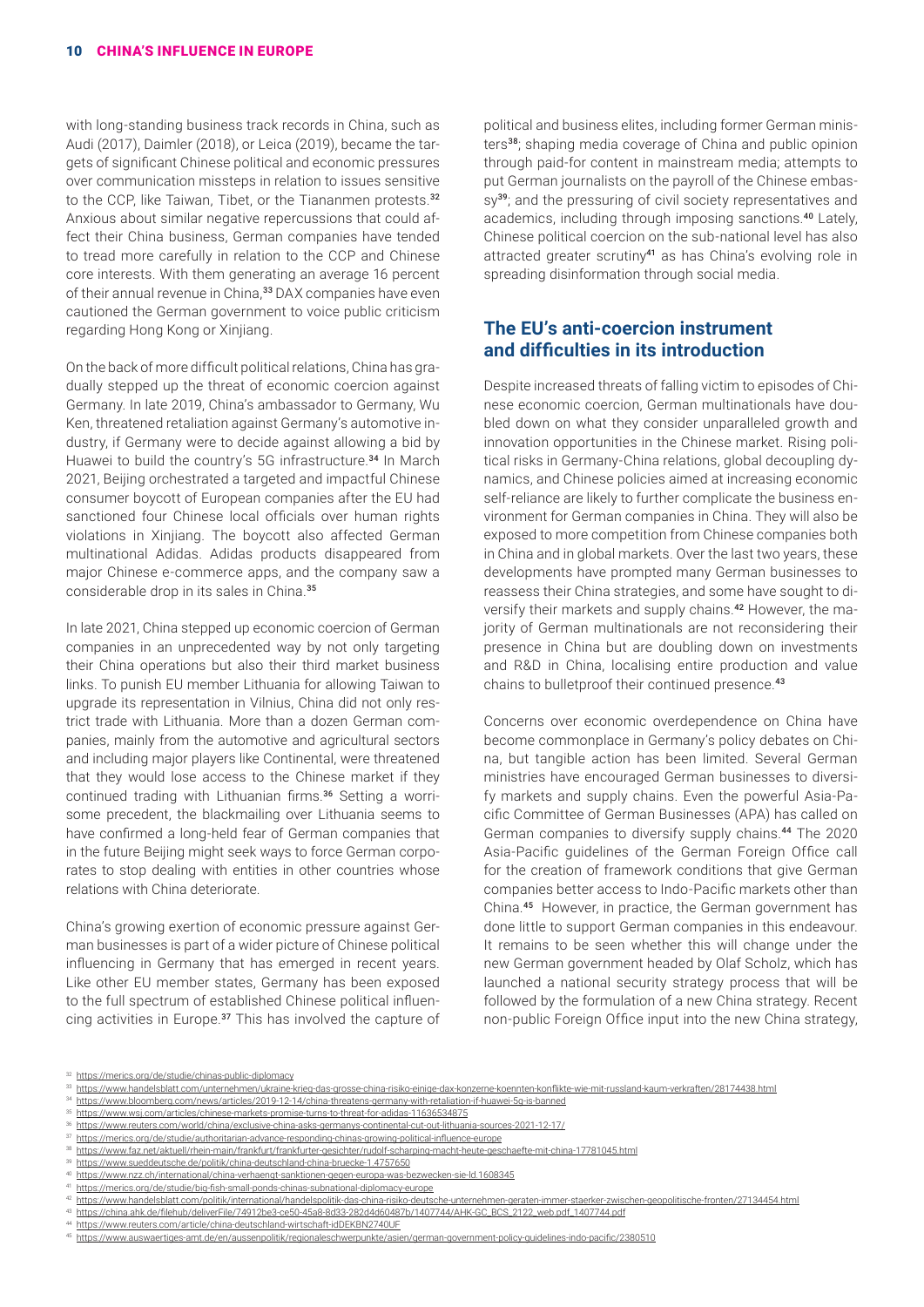with long-standing business track records in China, such as Audi (2017), Daimler (2018), or Leica (2019), became the targets of significant Chinese political and economic pressures over communication missteps in relation to issues sensitive to the CCP, like Taiwan, Tibet, or the Tiananmen protests.<sup>32</sup> Anxious about similar negative repercussions that could affect their China business, German companies have tended to tread more carefully in relation to the CCP and Chinese core interests. With them generating an average 16 percent of their annual revenue in China,<sup>33</sup> DAX companies have even cautioned the German government to voice public criticism regarding Hong Kong or Xinjiang.

On the back of more difficult political relations, China has gradually stepped up the threat of economic coercion against Germany. In late 2019, China's ambassador to Germany, Wu Ken, threatened retaliation against Germany's automotive industry, if Germany were to decide against allowing a bid by Huawei to build the country's 5G infrastructure.<sup>34</sup> In March 2021, Beijing orchestrated a targeted and impactful Chinese consumer boycott of European companies after the EU had sanctioned four Chinese local officials over human rights violations in Xinjiang. The boycott also affected German multinational Adidas. Adidas products disappeared from major Chinese e-commerce apps, and the company saw a considerable drop in its sales in China.<sup>35</sup>

In late 2021, China stepped up economic coercion of German companies in an unprecedented way by not only targeting their China operations but also their third market business links. To punish EU member Lithuania for allowing Taiwan to upgrade its representation in Vilnius, China did not only restrict trade with Lithuania. More than a dozen German companies, mainly from the automotive and agricultural sectors and including major players like Continental, were threatened that they would lose access to the Chinese market if they continued trading with Lithuanian firms.36 Setting a worrisome precedent, the blackmailing over Lithuania seems to have confirmed a long-held fear of German companies that in the future Beijing might seek ways to force German corporates to stop dealing with entities in other countries whose relations with China deteriorate.

China's growing exertion of economic pressure against German businesses is part of a wider picture of Chinese political influencing in Germany that has emerged in recent years. Like other EU member states, Germany has been exposed to the full spectrum of established Chinese political influencing activities in Europe.<sup>37</sup> This has involved the capture of political and business elites, including former German ministers<sup>38</sup>; shaping media coverage of China and public opinion through paid-for content in mainstream media; attempts to put German journalists on the payroll of the Chinese embassy<sup>39</sup>; and the pressuring of civil society representatives and academics, including through imposing sanctions.<sup>40</sup> Lately, Chinese political coercion on the sub-national level has also attracted greater scrutiny<sup>41</sup> as has China's evolving role in spreading disinformation through social media.

## **The EU's anti-coercion instrument and difficulties in its introduction**

Despite increased threats of falling victim to episodes of Chinese economic coercion, German multinationals have doubled down on what they consider unparalleled growth and innovation opportunities in the Chinese market. Rising political risks in Germany-China relations, global decoupling dynamics, and Chinese policies aimed at increasing economic self-reliance are likely to further complicate the business environment for German companies in China. They will also be exposed to more competition from Chinese companies both in China and in global markets. Over the last two years, these developments have prompted many German businesses to reassess their China strategies, and some have sought to diversify their markets and supply chains.42 However, the majority of German multinationals are not reconsidering their presence in China but are doubling down on investments and R&D in China, localising entire production and value chains to bulletproof their continued presence.<sup>43</sup>

Concerns over economic overdependence on China have become commonplace in Germany's policy debates on China, but tangible action has been limited. Several German ministries have encouraged German businesses to diversify markets and supply chains. Even the powerful Asia-Pacific Committee of German Businesses (APA) has called on German companies to diversify supply chains.<sup>44</sup> The 2020 Asia-Pacific guidelines of the German Foreign Office call for the creation of framework conditions that give German companies better access to Indo-Pacific markets other than China.<sup>45</sup> However, in practice, the German government has done little to support German companies in this endeavour. It remains to be seen whether this will change under the new German government headed by Olaf Scholz, which has launched a national security strategy process that will be followed by the formulation of a new China strategy. Recent non-public Foreign Office input into the new China strategy,

34 <https://www.bloomberg.com/news/articles/2019-12-14/china-threatens-germany-with-retaliation-if-huawei-5g-is-banned>

39 <https://www.sueddeutsche.de/politik/china-deutschland-china-bruecke-1.4757650>

<sup>32</sup> <https://merics.org/de/studie/chinas-public-diplomacy>

<sup>33</sup> <https://www.handelsblatt.com/unternehmen/ukraine-krieg-das-grosse-china-risiko-einige-dax-konzerne-koennten-konflikte-wie-mit-russland-kaum-verkraften/28174438.html>

<sup>35</sup> <https://www.wsj.com/articles/chinese-markets-promise-turns-to-threat-for-adidas-11636534875>

<sup>&</sup>lt;sup>36</sup> <https://www.reuters.com/world/china/exclusive-china-asks-germanys-continental-cut-out-lithuania-sources-2021-12-17/> 37 <https://merics.org/de/studie/authoritarian-advance-responding-chinas-growing-political-influence-europe>

<sup>38</sup> <https://www.faz.net/aktuell/rhein-main/frankfurt/frankfurter-gesichter/rudolf-scharping-macht-heute-geschaefte-mit-china-17781045.html>

<sup>40</sup> <https://www.nzz.ch/international/china-verhaengt-sanktionen-gegen-europa-was-bezwecken-sie-ld.1608345>

<sup>41</sup> <https://merics.org/de/studie/big-fish-small-ponds-chinas-subnational-diplomacy-europe>

<sup>42</sup> <https://www.handelsblatt.com/politik/international/handelspolitik-das-china-risiko-deutsche-unternehmen-geraten-immer-staerker-zwischen-geopolitische-fronten/27134454.html>

<sup>43</sup> [https://china.ahk.de/filehub/deliverFile/74912be3-ce50-45a8-8d33-282d4d60487b/1407744/AHK-GC\\_BCS\\_2122\\_web.pdf\\_1407744.pdf](https://china.ahk.de/filehub/deliverFile/74912be3-ce50-45a8-8d33-282d4d60487b/1407744/AHK-GC_BCS_2122_web.pdf_1407744.pdf)

<https://www.reuters.com/article/china-deutschland-wirtschaft-idDEKBN2740UF>

<sup>45</sup> <https://www.auswaertiges-amt.de/en/aussenpolitik/regionaleschwerpunkte/asien/german-government-policy-guidelines-indo-pacific/2380510>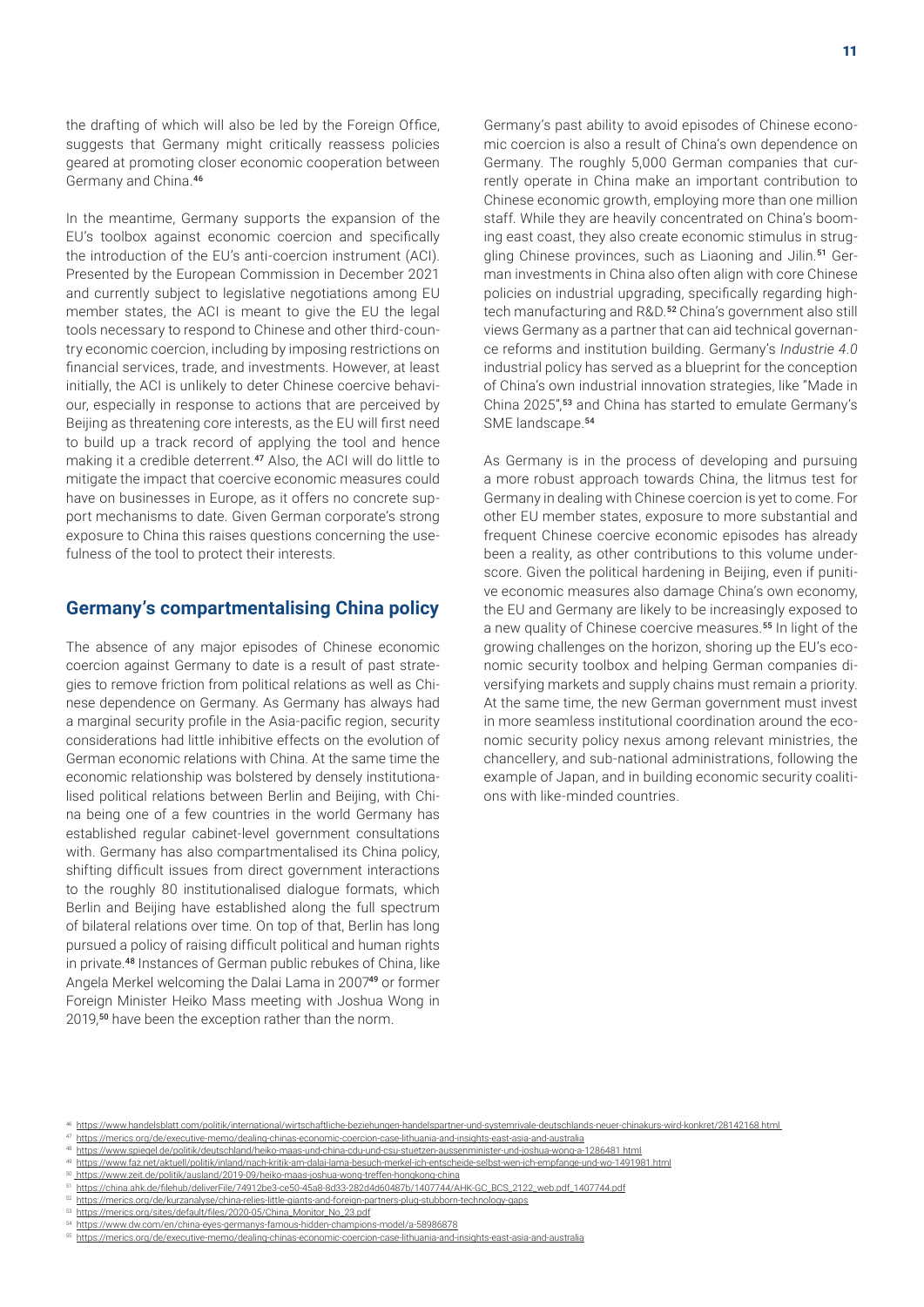the drafting of which will also be led by the Foreign Office, suggests that Germany might critically reassess policies geared at promoting closer economic cooperation between Germany and China.<sup>46</sup>

In the meantime, Germany supports the expansion of the EU's toolbox against economic coercion and specifically the introduction of the EU's anti-coercion instrument (ACI). Presented by the European Commission in December 2021 and currently subject to legislative negotiations among EU member states, the ACI is meant to give the EU the legal tools necessary to respond to Chinese and other third-country economic coercion, including by imposing restrictions on financial services, trade, and investments. However, at least initially, the ACI is unlikely to deter Chinese coercive behaviour, especially in response to actions that are perceived by Beijing as threatening core interests, as the EU will first need to build up a track record of applying the tool and hence making it a credible deterrent.<sup>47</sup> Also, the ACI will do little to mitigate the impact that coercive economic measures could have on businesses in Europe, as it offers no concrete support mechanisms to date. Given German corporate's strong exposure to China this raises questions concerning the usefulness of the tool to protect their interests.

#### **Germany's compartmentalising China policy**

The absence of any major episodes of Chinese economic coercion against Germany to date is a result of past strategies to remove friction from political relations as well as Chinese dependence on Germany. As Germany has always had a marginal security profile in the Asia-pacific region, security considerations had little inhibitive effects on the evolution of German economic relations with China. At the same time the economic relationship was bolstered by densely institutionalised political relations between Berlin and Beijing, with China being one of a few countries in the world Germany has established regular cabinet-level government consultations with. Germany has also compartmentalised its China policy, shifting difficult issues from direct government interactions to the roughly 80 institutionalised dialogue formats, which Berlin and Beijing have established along the full spectrum of bilateral relations over time. On top of that, Berlin has long pursued a policy of raising difficult political and human rights in private.<sup>48</sup> Instances of German public rebukes of China, like Angela Merkel welcoming the Dalai Lama in 2007<sup>49</sup> or former Foreign Minister Heiko Mass meeting with Joshua Wong in 2019,<sup>50</sup> have been the exception rather than the norm.

Germany's past ability to avoid episodes of Chinese economic coercion is also a result of China's own dependence on Germany. The roughly 5,000 German companies that currently operate in China make an important contribution to Chinese economic growth, employing more than one million staff. While they are heavily concentrated on China's booming east coast, they also create economic stimulus in struggling Chinese provinces, such as Liaoning and Jilin.<sup>51</sup> German investments in China also often align with core Chinese policies on industrial upgrading, specifically regarding hightech manufacturing and R&D.<sup>52</sup> China's government also still views Germany as a partner that can aid technical governance reforms and institution building. Germany's *Industrie 4.0*  industrial policy has served as a blueprint for the conception of China's own industrial innovation strategies, like "Made in China 2025",<sup>53</sup> and China has started to emulate Germany's SME landscape.<sup>54</sup>

As Germany is in the process of developing and pursuing a more robust approach towards China, the litmus test for Germany in dealing with Chinese coercion is yet to come. For other EU member states, exposure to more substantial and frequent Chinese coercive economic episodes has already been a reality, as other contributions to this volume underscore. Given the political hardening in Beijing, even if punitive economic measures also damage China's own economy, the EU and Germany are likely to be increasingly exposed to a new quality of Chinese coercive measures.<sup>55</sup> In light of the growing challenges on the horizon, shoring up the EU's economic security toolbox and helping German companies diversifying markets and supply chains must remain a priority. At the same time, the new German government must invest in more seamless institutional coordination around the economic security policy nexus among relevant ministries, the chancellery, and sub-national administrations, following the example of Japan, and in building economic security coalitions with like-minded countries.

<sup>46</sup> <https://www.handelsblatt.com/politik/international/wirtschaftliche-beziehungen-handelspartner-und-systemrivale-deutschlands-neuer-chinakurs-wird-konkret/28142168.html>

<sup>47</sup> <https://merics.org/de/executive-memo/dealing-chinas-economic-coercion-case-lithuania-and-insights-east-asia-and-australia>

<sup>48</sup> <https://www.spiegel.de/politik/deutschland/heiko-maas-und-china-cdu-und-csu-stuetzen-aussenminister-und-joshua-wong-a-1286481.html>

<sup>49</sup> <https://www.faz.net/aktuell/politik/inland/nach-kritik-am-dalai-lama-besuch-merkel-ich-entscheide-selbst-wen-ich-empfange-und-wo-1491981.html>

<sup>50</sup><https://www.zeit.de/politik/ausland/2019-09/heiko-maas-joshua-wong-treffen-hongkong-china>

<sup>51</sup> [https://china.ahk.de/filehub/deliverFile/74912be3-ce50-45a8-8d33-282d4d60487b/1407744/AHK-GC\\_BCS\\_2122\\_web.pdf\\_1407744.pdf](https://china.ahk.de/filehub/deliverFile/74912be3-ce50-45a8-8d33-282d4d60487b/1407744/AHK-GC_BCS_2122_web.pdf_1407744.pdf)

<sup>52</sup> <https://merics.org/de/kurzanalyse/china-relies-little-giants-and-foreign-partners-plug-stubborn-technology-gaps> 53 [https://merics.org/sites/default/files/2020-05/China\\_Monitor\\_No\\_23.pdf](https://merics.org/sites/default/files/2020-05/China_Monitor_No_23.pdf)

<sup>54</sup> <https://www.dw.com/en/china-eyes-germanys-famous-hidden-champions-model/a-58986878>

<sup>55</sup> <https://merics.org/de/executive-memo/dealing-chinas-economic-coercion-case-lithuania-and-insights-east-asia-and-australia>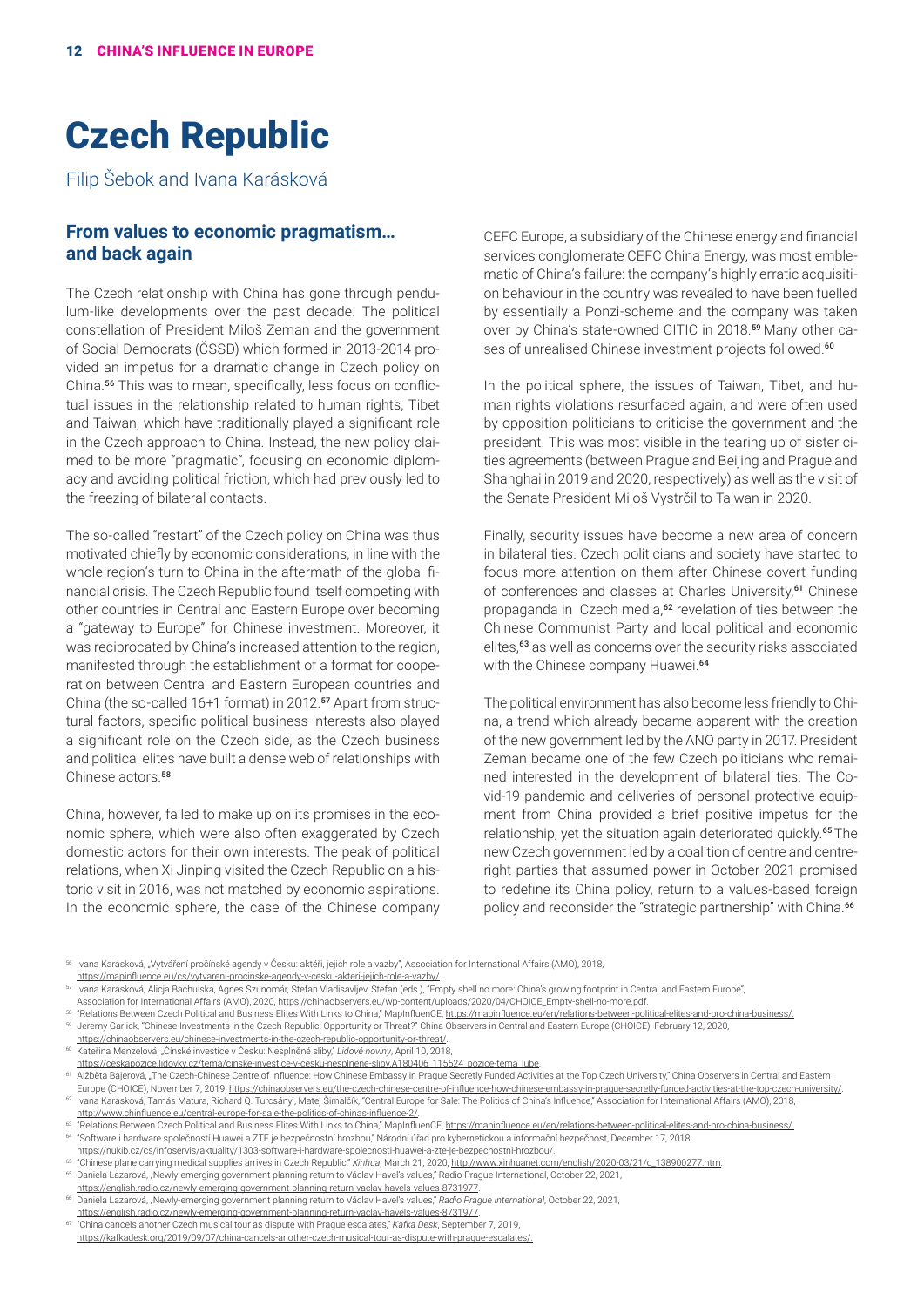# Czech Republic

Filip Šebok and Ivana Karásková

#### **From values to economic pragmatism… and back again**

The Czech relationship with China has gone through pendulum-like developments over the past decade. The political constellation of President Miloš Zeman and the government of Social Democrats (ČSSD) which formed in 2013-2014 provided an impetus for a dramatic change in Czech policy on China.56 This was to mean, specifically, less focus on conflictual issues in the relationship related to human rights, Tibet and Taiwan, which have traditionally played a significant role in the Czech approach to China. Instead, the new policy claimed to be more "pragmatic", focusing on economic diplomacy and avoiding political friction, which had previously led to the freezing of bilateral contacts.

The so-called "restart" of the Czech policy on China was thus motivated chiefly by economic considerations, in line with the whole region's turn to China in the aftermath of the global financial crisis. The Czech Republic found itself competing with other countries in Central and Eastern Europe over becoming a "gateway to Europe" for Chinese investment. Moreover, it was reciprocated by China's increased attention to the region, manifested through the establishment of a format for cooperation between Central and Eastern European countries and China (the so-called 16+1 format) in 2012.57 Apart from structural factors, specific political business interests also played a significant role on the Czech side, as the Czech business and political elites have built a dense web of relationships with Chinese actors.<sup>58</sup>

China, however, failed to make up on its promises in the economic sphere, which were also often exaggerated by Czech domestic actors for their own interests. The peak of political relations, when Xi Jinping visited the Czech Republic on a historic visit in 2016, was not matched by economic aspirations. In the economic sphere, the case of the Chinese company

CEFC Europe, a subsidiary of the Chinese energy and financial services conglomerate CEFC China Energy, was most emblematic of China's failure: the company's highly erratic acquisition behaviour in the country was revealed to have been fuelled by essentially a Ponzi-scheme and the company was taken over by China's state-owned CITIC in 2018.59 Many other cases of unrealised Chinese investment projects followed.<sup>60</sup>

In the political sphere, the issues of Taiwan, Tibet, and human rights violations resurfaced again, and were often used by opposition politicians to criticise the government and the president. This was most visible in the tearing up of sister cities agreements (between Prague and Beijing and Prague and Shanghai in 2019 and 2020, respectively) as well as the visit of the Senate President Miloš Vystrčil to Taiwan in 2020.

Finally, security issues have become a new area of concern in bilateral ties. Czech politicians and society have started to focus more attention on them after Chinese covert funding of conferences and classes at Charles University,<sup>61</sup> Chinese propaganda in Czech media,<sup>62</sup> revelation of ties between the Chinese Communist Party and local political and economic elites,<sup>63</sup> as well as concerns over the security risks associated with the Chinese company Huawei.<sup>64</sup>

The political environment has also become less friendly to China, a trend which already became apparent with the creation of the new government led by the ANO party in 2017. President Zeman became one of the few Czech politicians who remained interested in the development of bilateral ties. The Covid-19 pandemic and deliveries of personal protective equipment from China provided a brief positive impetus for the relationship, yet the situation again deteriorated quickly.<sup>65</sup> The new Czech government led by a coalition of centre and centreright parties that assumed power in October 2021 promised to redefine its China policy, return to a values-based foreign policy and reconsider the "strategic partnership" with China.<sup>66</sup>

56 Ivana Karásková, "Vytváření pročínské agendy v Česku: aktéři, jejich role a vazby", Association for International Affairs (AMO), 2018, <https://mapinfluence.eu/cs/vytvareni-procinske-agendy-v-cesku-akteri-jejich-role-a-vazby/>.

Association for International Affairs (AMO), 2020, [https://chinaobservers.eu/wp-content/uploads/2020/04/CHOICE\\_Empty-shell-no-more.pdf.](https://chinaobservers.eu/wp-content/uploads/2020/04/CHOICE_Empty-shell-no-more.pdf)

58 "Relations Between Czech Political and Business Elites With Links to China," MapInfluenCE,<https://mapinfluence.eu/en/relations-between-political-elites-and-pro-china-business/>.

<sup>59</sup> Jeremy Garlick, "Chinese Investments in the Czech Republic: Opportunity or Threat?" China Observers in Central and Eastern Europe (CHOICE), February 12, 2020,

[https://chinaobservers.eu/chinese-investments-in-the-czech-republic-opportunity-or-threat/.](https://chinaobservers.eu/chinese-investments-in-the-czech-republic-opportunity-or-threat/)<br><sup>60</sup> Kateřina Menzelová, "Čínské investice v Česku: Nesplněné sliby," *Lidové noviny*, April 10, 2018,

[https://ceskapozice.lidovky.cz/tema/cinske-investice-v-cesku-nesplnene-sliby.A180406\\_115524\\_pozice-tema\\_lube](https://ceskapozice.lidovky.cz/tema/cinske-investice-v-cesku-nesplnene-sliby.A180406_115524_pozice-tema_lube).

Europe (CHOICE), November 7, 2019, <https://chinaobservers.eu/the-czech-chinese-centre-of-influence-how-chinese-embassy-in-prague-secretly-funded-activities-at-the-top-czech-university/>. <sup>62</sup> Ivana Karásková, Tamás Matura, Richard Q. Turcsányi, Matej Šimalčík, "Central Europe for Sale: The Politics of China's Influence," Association for International Affairs (AMO), 2018, <http://www.chinfluence.eu/central-europe-for-sale-the-politics-of-chinas-influence-2/>.

63 "Relations Between Czech Political and Business Elites With Links to China," MapInfluenCE,<https://mapinfluence.eu/en/relations-between-political-elites-and-pro-china-business/>. <sup>64</sup> "Software i hardware společností Huawei a ZTE je bezpečnostní hrozbou," Národní úřad pro kybernetickou a informační bezpečnost, December 17, 2018,

<https://nukib.cz/cs/infoservis/aktuality/1303-software-i-hardware-spolecnosti-huawei-a-zte-je-bezpecnostni-hrozbou/>.

<sup>65</sup> "Chinese plane carrying medical supplies arrives in Czech Republic," *Xinhua*, March 21, 2020, [http://www.xinhuanet.com/english/2020-03/21/c\\_138900277.htm](http://www.xinhuanet.com/english/2020-03/21/c_138900277.htm). 65 Daniela Lazarová, "Newly-emerging government planning return to Václav Havel's values," Radio Prague International, October 22, 2021,

<https://english.radio.cz/newly-emerging-government-planning-return-vaclav-havels-values-8731977>.

<sup>66</sup> Daniela Lazarová, "Newly-emerging government planning return to Václav Havel's values," *Radio Prague International*, October 22, 2021, <https://english.radio.cz/newly-emerging-government-planning-return-vaclav-havels-values-8731977>.

<sup>67</sup> "China cancels another Czech musical tour as dispute with Prague escalates," *Kafka Desk*, September 7, 2019, <https://kafkadesk.org/2019/09/07/china-cancels-another-czech-musical-tour-as-dispute-with-prague-escalates/.>

<sup>57</sup> Ivana Karásková, Alicja Bachulska, Agnes Szunomár, Stefan Vladisavljev, Stefan (eds.), "Empty shell no more: China's growing footprint in Central and Eastern Europe",

<sup>&</sup>lt;sup>61</sup> Alžběta Bajerová, "The Czech-Chinese Centre of Influence: How Chinese Embassy in Prague Secretly Funded Activities at the Top Czech University," China Observers in Central and Eastern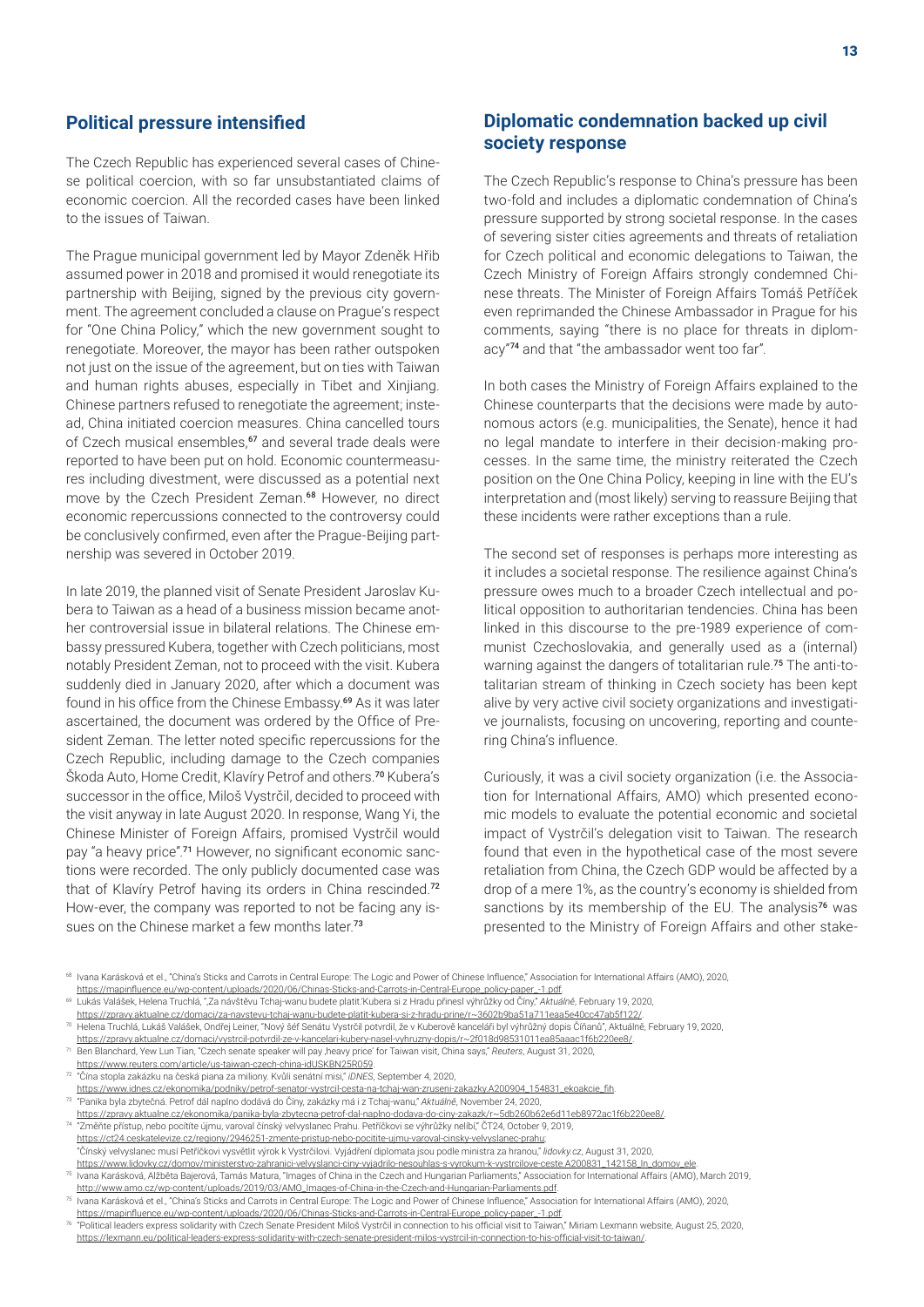#### **Political pressure intensified**

The Czech Republic has experienced several cases of Chinese political coercion, with so far unsubstantiated claims of economic coercion. All the recorded cases have been linked to the issues of Taiwan.

The Prague municipal government led by Mayor Zdeněk Hřib assumed power in 2018 and promised it would renegotiate its partnership with Beijing, signed by the previous city government. The agreement concluded a clause on Prague's respect for "One China Policy," which the new government sought to renegotiate. Moreover, the mayor has been rather outspoken not just on the issue of the agreement, but on ties with Taiwan and human rights abuses, especially in Tibet and Xinjiang. Chinese partners refused to renegotiate the agreement; instead, China initiated coercion measures. China cancelled tours of Czech musical ensembles,<sup>67</sup> and several trade deals were reported to have been put on hold. Economic countermeasures including divestment, were discussed as a potential next move by the Czech President Zeman.<sup>68</sup> However, no direct economic repercussions connected to the controversy could be conclusively confirmed, even after the Prague-Beijing partnership was severed in October 2019.

In late 2019, the planned visit of Senate President Jaroslav Kubera to Taiwan as a head of a business mission became another controversial issue in bilateral relations. The Chinese embassy pressured Kubera, together with Czech politicians, most notably President Zeman, not to proceed with the visit. Kubera suddenly died in January 2020, after which a document was found in his office from the Chinese Embassy.<sup>69</sup> As it was later ascertained, the document was ordered by the Office of President Zeman. The letter noted specific repercussions for the Czech Republic, including damage to the Czech companies Škoda Auto, Home Credit, Klavíry Petrof and others.<sup>70</sup> Kubera's successor in the office, Miloš Vystrčil, decided to proceed with the visit anyway in late August 2020. In response, Wang Yi, the Chinese Minister of Foreign Affairs, promised Vystrčil would pay "a heavy price".<sup>71</sup> However, no significant economic sanctions were recorded. The only publicly documented case was that of Klavíry Petrof having its orders in China rescinded.<sup>72</sup> How-ever, the company was reported to not be facing any issues on the Chinese market a few months later.<sup>73</sup>

#### **Diplomatic condemnation backed up civil society response**

The Czech Republic's response to China's pressure has been two-fold and includes a diplomatic condemnation of China's pressure supported by strong societal response. In the cases of severing sister cities agreements and threats of retaliation for Czech political and economic delegations to Taiwan, the Czech Ministry of Foreign Affairs strongly condemned Chinese threats. The Minister of Foreign Affairs Tomáš Petříček even reprimanded the Chinese Ambassador in Prague for his comments, saying "there is no place for threats in diplomacy"<sup>74</sup> and that "the ambassador went too far".

In both cases the Ministry of Foreign Affairs explained to the Chinese counterparts that the decisions were made by autonomous actors (e.g. municipalities, the Senate), hence it had no legal mandate to interfere in their decision-making processes. In the same time, the ministry reiterated the Czech position on the One China Policy, keeping in line with the EU's interpretation and (most likely) serving to reassure Beijing that these incidents were rather exceptions than a rule.

The second set of responses is perhaps more interesting as it includes a societal response. The resilience against China's pressure owes much to a broader Czech intellectual and political opposition to authoritarian tendencies. China has been linked in this discourse to the pre-1989 experience of communist Czechoslovakia, and generally used as a (internal) warning against the dangers of totalitarian rule.<sup>75</sup> The anti-totalitarian stream of thinking in Czech society has been kept alive by very active civil society organizations and investigative journalists, focusing on uncovering, reporting and countering China's influence.

Curiously, it was a civil society organization (i.e. the Association for International Affairs, AMO) which presented economic models to evaluate the potential economic and societal impact of Vystrčil's delegation visit to Taiwan. The research found that even in the hypothetical case of the most severe retaliation from China, the Czech GDP would be affected by a drop of a mere 1%, as the country's economy is shielded from sanctions by its membership of the EU. The analysis<sup>76</sup> was presented to the Ministry of Foreign Affairs and other stake-

<sup>&</sup>lt;sup>68</sup> Ivana Karásková et el., "China's Sticks and Carrots in Central Europe: The Logic and Power of Chinese Influence," Association for International Affairs (AMO), 2020, [https://mapinfluence.eu/wp-content/uploads/2020/06/Chinas-Sticks-and-Carrots-in-Central-Europe\\_policy-paper\\_-1.pdf](https://mapinfluence.eu/wp-content/uploads/2020/06/Chinas-Sticks-and-Carrots-in-Central-Europe_policy-paper_-1.pdf).

<sup>69</sup> Lukás Valášek, Helena Truchlá, "'Za návštěvu Tchaj-wanu budete platit.'Kubera si z Hradu přinesl výhrůžky od Číny," *Aktuálně*, February 19, 2020,

[https://zpravy.aktualne.cz/domaci/za-navstevu-tchaj-wanu-budete-platit-kubera-si-z-hradu-prine/r~3602b9ba51a711eaa5e40cc47ab5f122/.](https://zpravy.aktualne.cz/domaci/za-navstevu-tchaj-wanu-budete-platit-kubera-si-z-hradu-prine/r~3602b9ba51a711eaa5e40cc47ab5f122/)

<sup>70</sup> Helena Truchlá, Lukáš Valášek, Ondřej Leiner, "Nový šéf Senátu Vystrčil potvrdil, že v Kuberově kanceláři byl výhrůžný dopis Číňanů", Aktuálně, February 19, 2020,

[https://zpravy.aktualne.cz/domaci/vystrcil-potvrdil-ze-v-kancelari-kubery-nasel-vyhruzny-dopis/r~2f018d98531011ea85aaac1f6b220ee8/.](https://zpravy.aktualne.cz/domaci/vystrcil-potvrdil-ze-v-kancelari-kubery-nasel-vyhruzny-dopis/r~2f018d98531011ea85aaac1f6b220ee8/) <sup>71</sup> Ben Blanchard, Yew Lun Tian, "Czech senate speaker will pay 'heavy price' for Taiwan visit, China says," *Reuters*, August 31, 2020,

<https://www.reuters.com/article/us-taiwan-czech-china-idUSKBN25R059>.

<sup>72</sup> "Čína stopla zakázku na česká piana za miliony. Kvůli senátní misi," *iDNES*, September 4, 2020,

[https://www.idnes.cz/ekonomika/podniky/petrof-senator-vystrcil-cesta-na-tchaj-wan-zruseni-zakazky.A200904\\_154831\\_ekoakcie\\_fih](https://www.idnes.cz/ekonomika/podniky/petrof-senator-vystrcil-cesta-na-tchaj-wan-zruseni-zakazky.A200904_154831_ekoakcie_fih). <sup>73</sup> "Panika byla zbytečná. Petrof dál naplno dodává do Číny, zakázky má i z Tchaj-wanu," *Aktuálně*, November 24, 2020,

<https://zpravy.aktualne.cz/ekonomika/panika-byla-zbytecna-petrof-dal-naplno-dodava-do-ciny-zakazk/r~5db260b62e6d11eb8972ac1f6b220ee8/>. <sup>74</sup> "Změňte přístup, nebo pocítíte újmu, varoval čínský velvyslanec Prahu. Petříčkovi se výhrůžky nelíbí," ČT24, October 9, 2019,

[https://ct24.ceskatelevize.cz/regiony/2946251-zmente-pristup-nebo-pocitite-ujmu-varoval-cinsky-velvyslanec-prahu;](https://ct24.ceskatelevize.cz/regiony/2946251-zmente-pristup-nebo-pocitite-ujmu-varoval-cinsky-velvyslanec-prahu) "Čínský velvyslanec musí Petříčkovi vysvětlit výrok k Vystrčilovi. Vyjádření diplomata jsou podle ministra za hranou," *lidovky.cz*, August 31, 2020, [https://www.lidovky.cz/domov/ministerstvo-zahranici-velvyslanci-ciny-vyjadrilo-nesouhlas-s-vyrokum-k-vystrcilove-ceste.A200831\\_142158\\_ln\\_domov\\_ele.](https://www.lidovky.cz/domov/ministerstvo-zahranici-velvyslanci-ciny-vyjadrilo-nesouhlas-s-vyrokum-k-vystrcilove-ceste.A200831_142158_ln_domov_ele)

<sup>75</sup> Ivana Karásková, Alžběta Bajerová, Tamás Matura, "Images of China in the Czech and Hungarian Parliaments," Association for International Affairs (AMO), March 2019, [http://www.amo.cz/wp-content/uploads/2019/03/AMO\\_Images-of-China-in-the-Czech-and-Hungarian-Parliaments.pdf.](http://www.amo.cz/wp-content/uploads/2019/03/AMO_Images-of-China-in-the-Czech-and-Hungarian-Parliaments.pdf)

<sup>&</sup>lt;sup>75</sup> Ivana Karásková et el., "China's Sticks and Carrots in Central Europe: The Logic and Power of Chinese Influence," Association for International Affairs (AMO), 2020, [https://mapinfluence.eu/wp-content/uploads/2020/06/Chinas-Sticks-and-Carrots-in-Central-Europe\\_policy-paper\\_-1.pdf](https://mapinfluence.eu/wp-content/uploads/2020/06/Chinas-Sticks-and-Carrots-in-Central-Europe_policy-paper_-1.pdf). <sup>76</sup> "Political leaders express solidarity with Czech Senate President Miloš Vystrčil in connection to his official visit to Taiwan," Miriam Lexmann website, August 25, 2020,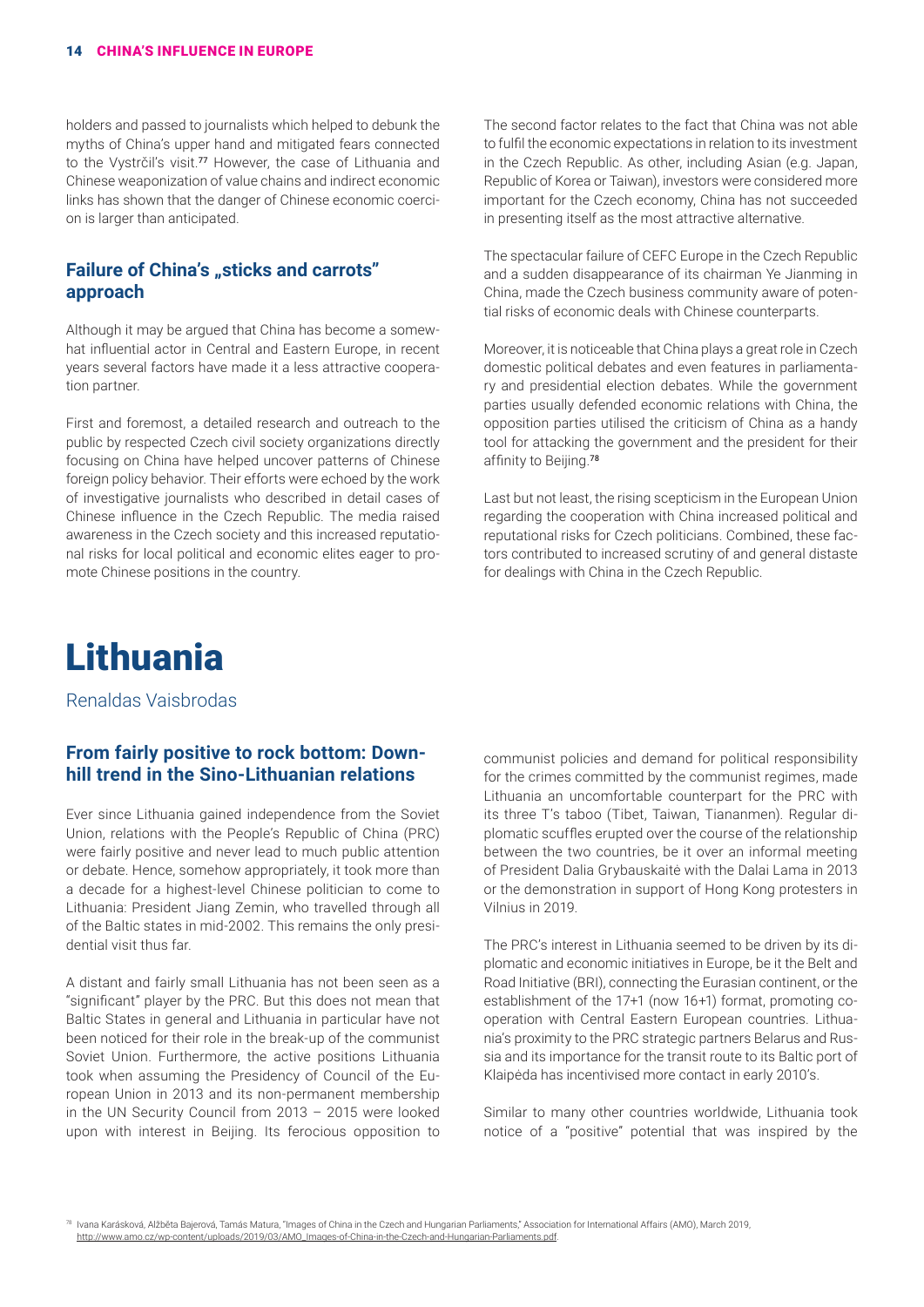holders and passed to journalists which helped to debunk the myths of China's upper hand and mitigated fears connected to the Vystrčil's visit.<sup>77</sup> However, the case of Lithuania and Chinese weaponization of value chains and indirect economic links has shown that the danger of Chinese economic coercion is larger than anticipated.

## **Failure of China's "sticks and carrots" approach**

Although it may be argued that China has become a somewhat influential actor in Central and Eastern Europe, in recent years several factors have made it a less attractive cooperation partner.

First and foremost, a detailed research and outreach to the public by respected Czech civil society organizations directly focusing on China have helped uncover patterns of Chinese foreign policy behavior. Their efforts were echoed by the work of investigative journalists who described in detail cases of Chinese influence in the Czech Republic. The media raised awareness in the Czech society and this increased reputational risks for local political and economic elites eager to promote Chinese positions in the country.

The second factor relates to the fact that China was not able to fulfil the economic expectations in relation to its investment in the Czech Republic. As other, including Asian (e.g. Japan, Republic of Korea or Taiwan), investors were considered more important for the Czech economy, China has not succeeded in presenting itself as the most attractive alternative.

The spectacular failure of CEFC Europe in the Czech Republic and a sudden disappearance of its chairman Ye Jianming in China, made the Czech business community aware of potential risks of economic deals with Chinese counterparts.

Moreover, it is noticeable that China plays a great role in Czech domestic political debates and even features in parliamentary and presidential election debates. While the government parties usually defended economic relations with China, the opposition parties utilised the criticism of China as a handy tool for attacking the government and the president for their affinity to Beijing.<sup>78</sup>

Last but not least, the rising scepticism in the European Union regarding the cooperation with China increased political and reputational risks for Czech politicians. Combined, these factors contributed to increased scrutiny of and general distaste for dealings with China in the Czech Republic.

# Lithuania

Renaldas Vaisbrodas

## **From fairly positive to rock bottom: Downhill trend in the Sino-Lithuanian relations**

Ever since Lithuania gained independence from the Soviet Union, relations with the People's Republic of China (PRC) were fairly positive and never lead to much public attention or debate. Hence, somehow appropriately, it took more than a decade for a highest-level Chinese politician to come to Lithuania: President Jiang Zemin, who travelled through all of the Baltic states in mid-2002. This remains the only presidential visit thus far.

A distant and fairly small Lithuania has not been seen as a "significant" player by the PRC. But this does not mean that Baltic States in general and Lithuania in particular have not been noticed for their role in the break-up of the communist Soviet Union. Furthermore, the active positions Lithuania took when assuming the Presidency of Council of the European Union in 2013 and its non-permanent membership in the UN Security Council from 2013 – 2015 were looked upon with interest in Beijing. Its ferocious opposition to

communist policies and demand for political responsibility for the crimes committed by the communist regimes, made Lithuania an uncomfortable counterpart for the PRC with its three T's taboo (Tibet, Taiwan, Tiananmen). Regular diplomatic scuffles erupted over the course of the relationship between the two countries, be it over an informal meeting of President Dalia Grybauskaitė with the Dalai Lama in 2013 or the demonstration in support of Hong Kong protesters in Vilnius in 2019.

The PRC's interest in Lithuania seemed to be driven by its diplomatic and economic initiatives in Europe, be it the Belt and Road Initiative (BRI), connecting the Eurasian continent, or the establishment of the 17+1 (now 16+1) format, promoting cooperation with Central Eastern European countries. Lithuania's proximity to the PRC strategic partners Belarus and Russia and its importance for the transit route to its Baltic port of Klaipėda has incentivised more contact in early 2010's.

Similar to many other countries worldwide, Lithuania took notice of a "positive" potential that was inspired by the

<sup>78</sup> Ivana Karásková, Alžběta Bajerová, Tamás Matura, "Images of China in the Czech and Hungarian Parliaments," Association for International Affairs (AMO), March 2019, [http://www.amo.cz/wp-content/uploads/2019/03/AMO\\_Images-of-China-in-the-Czech-and-Hungarian-Parliaments.pdf.](http://www.amo.cz/wp-content/uploads/2019/03/AMO_Images-of-China-in-the-Czech-and-Hungarian-Parliaments.pdf)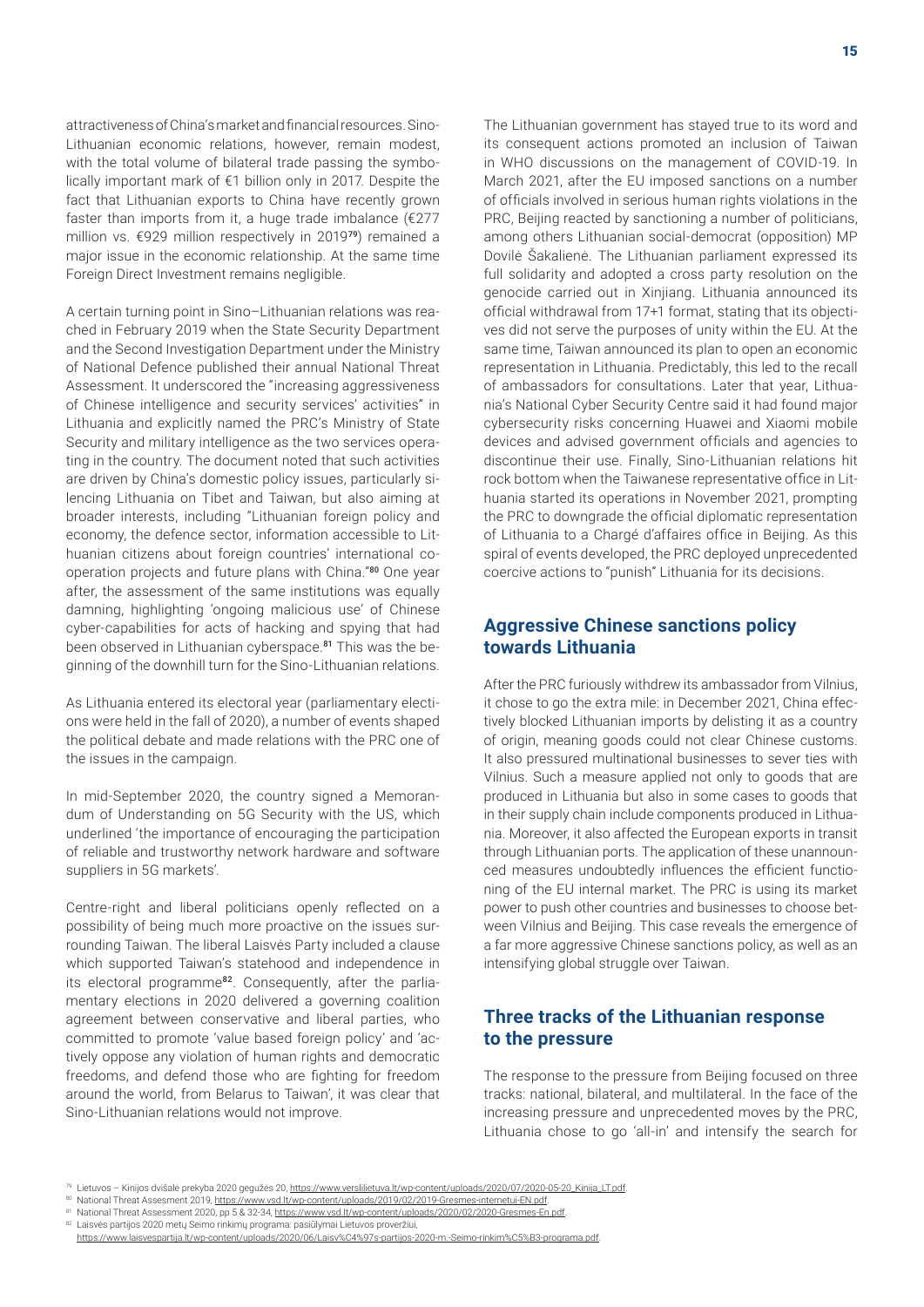attractiveness of China's market and financial resources. Sino-Lithuanian economic relations, however, remain modest, with the total volume of bilateral trade passing the symbolically important mark of €1 billion only in 2017. Despite the fact that Lithuanian exports to China have recently grown faster than imports from it, a huge trade imbalance  $f(277)$ million vs. €929 million respectively in 2019<sup>79</sup>) remained a major issue in the economic relationship. At the same time Foreign Direct Investment remains negligible.

A certain turning point in Sino–Lithuanian relations was reached in February 2019 when the State Security Department and the Second Investigation Department under the Ministry of National Defence published their annual National Threat Assessment. It underscored the "increasing aggressiveness of Chinese intelligence and security services' activities" in Lithuania and explicitly named the PRC's Ministry of State Security and military intelligence as the two services operating in the country. The document noted that such activities are driven by China's domestic policy issues, particularly silencing Lithuania on Tibet and Taiwan, but also aiming at broader interests, including "Lithuanian foreign policy and economy, the defence sector, information accessible to Lithuanian citizens about foreign countries' international cooperation projects and future plans with China."<sup>80</sup> One year after, the assessment of the same institutions was equally damning, highlighting 'ongoing malicious use' of Chinese cyber-capabilities for acts of hacking and spying that had been observed in Lithuanian cyberspace.<sup>81</sup> This was the beginning of the downhill turn for the Sino-Lithuanian relations.

As Lithuania entered its electoral year (parliamentary elections were held in the fall of 2020), a number of events shaped the political debate and made relations with the PRC one of the issues in the campaign.

In mid-September 2020, the country signed a Memorandum of Understanding on 5G Security with the US, which underlined 'the importance of encouraging the participation of reliable and trustworthy network hardware and software suppliers in 5G markets'.

Centre-right and liberal politicians openly reflected on a possibility of being much more proactive on the issues surrounding Taiwan. The liberal Laisvės Party included a clause which supported Taiwan's statehood and independence in its electoral programme<sup>82</sup>. Consequently, after the parliamentary elections in 2020 delivered a governing coalition agreement between conservative and liberal parties, who committed to promote 'value based foreign policy' and 'actively oppose any violation of human rights and democratic freedoms, and defend those who are fighting for freedom around the world, from Belarus to Taiwan', it was clear that Sino-Lithuanian relations would not improve.

The Lithuanian government has stayed true to its word and its consequent actions promoted an inclusion of Taiwan in WHO discussions on the management of COVID-19. In March 2021, after the EU imposed sanctions on a number of officials involved in serious human rights violations in the PRC, Beijing reacted by sanctioning a number of politicians, among others Lithuanian social-democrat (opposition) MP Dovilė Šakalienė. The Lithuanian parliament expressed its full solidarity and adopted a cross party resolution on the genocide carried out in Xinjiang. Lithuania announced its official withdrawal from 17+1 format, stating that its objectives did not serve the purposes of unity within the EU. At the same time, Taiwan announced its plan to open an economic representation in Lithuania. Predictably, this led to the recall of ambassadors for consultations. Later that year, Lithuania's National Cyber Security Centre said it had found major cybersecurity risks concerning Huawei and Xiaomi mobile devices and advised government officials and agencies to discontinue their use. Finally, Sino-Lithuanian relations hit rock bottom when the Taiwanese representative office in Lithuania started its operations in November 2021, prompting the PRC to downgrade the official diplomatic representation of Lithuania to a Chargé d'affaires office in Beijing. As this spiral of events developed, the PRC deployed unprecedented coercive actions to "punish" Lithuania for its decisions.

## **Aggressive Chinese sanctions policy towards Lithuania**

After the PRC furiously withdrew its ambassador from Vilnius, it chose to go the extra mile: in December 2021, China effectively blocked Lithuanian imports by delisting it as a country of origin, meaning goods could not clear Chinese customs. It also pressured multinational businesses to sever ties with Vilnius. Such a measure applied not only to goods that are produced in Lithuania but also in some cases to goods that in their supply chain include components produced in Lithuania. Moreover, it also affected the European exports in transit through Lithuanian ports. The application of these unannounced measures undoubtedly influences the efficient functioning of the EU internal market. The PRC is using its market power to push other countries and businesses to choose between Vilnius and Beijing. This case reveals the emergence of a far more aggressive Chinese sanctions policy, as well as an intensifying global struggle over Taiwan.

## **Three tracks of the Lithuanian response to the pressure**

The response to the pressure from Beijing focused on three tracks: national, bilateral, and multilateral. In the face of the increasing pressure and unprecedented moves by the PRC, Lithuania chose to go 'all-in' and intensify the search for

<sup>79</sup> Lietuvos – Kinijos dvišalė prekyba 2020 gegužės 20, [https://www.verslilietuva.lt/wp-content/uploads/2020/07/2020-05-20\\_Kinija\\_LT.pdf](https://www.verslilietuva.lt/wp-content/uploads/2020/07/2020-05-20_Kinija_LT.pdf).

<sup>80</sup> National Threat Assesment 2019, https://www.vsd.lt/wp-content/uploads/2019/02/2019-Gresmes-internetui-EN.pdf

<sup>81</sup> National Threat Assessment 2020, pp 5 & 32-34,<https://www.vsd.lt/wp-content/uploads/2020/02/2020-Gresmes-En.pdf>

<sup>82</sup> Laisvės partijos 2020 metų Seimo rinkimų programa: pasiūlymai Lietuvos proveržiui,

[https://www.laisvespartija.lt/wp-content/uploads/2020/06/Laisv%C4%97s-partijos-2020-m.-Seimo-rinkim%C5%B3-programa.pdf.](https://www.laisvespartija.lt/wp-content/uploads/2020/06/Laisv%C4%97s-partijos-2020-m.-Seimo-rinkim%C5%B3-programa.pdf)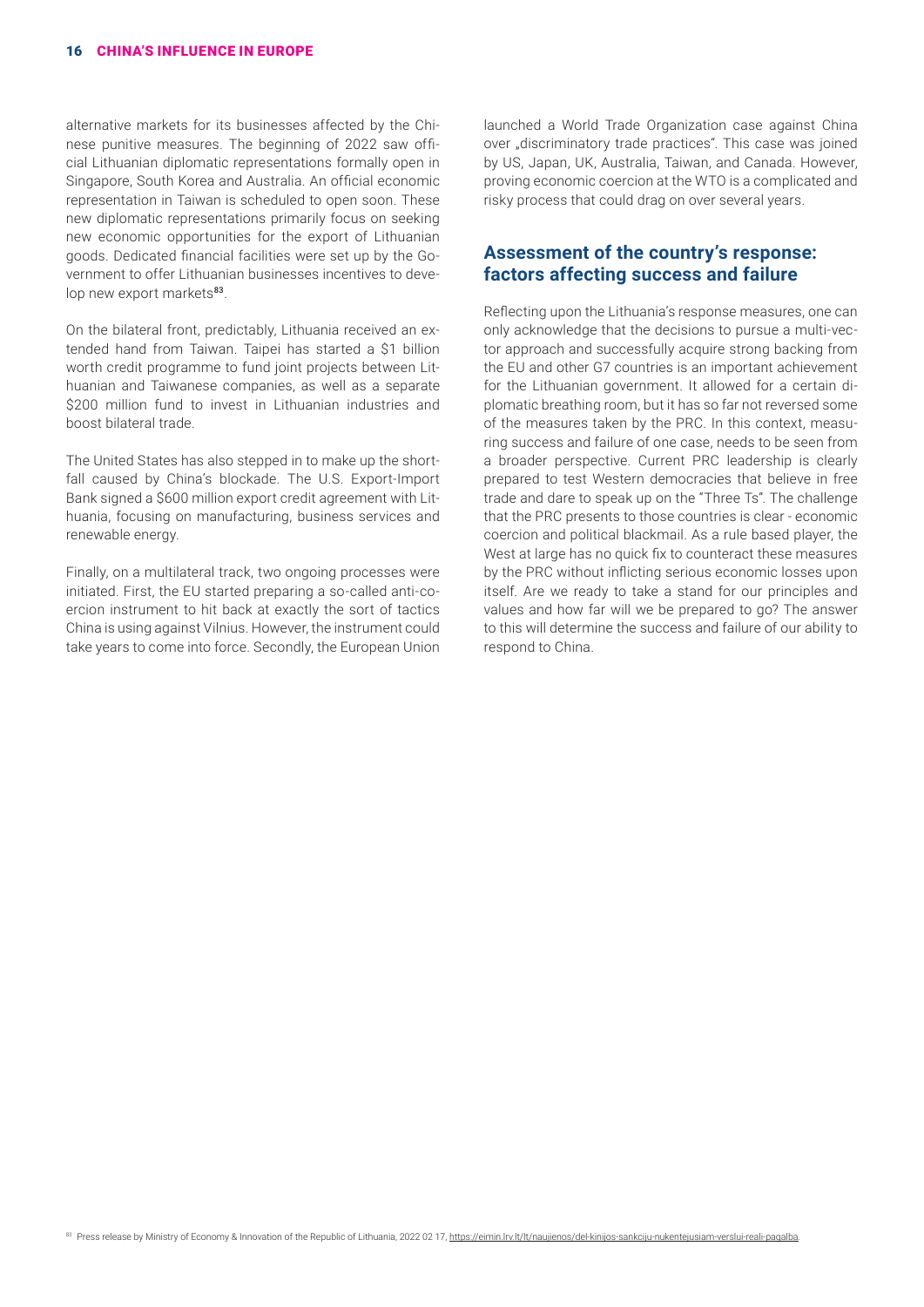alternative markets for its businesses affected by the Chinese punitive measures. The beginning of 2022 saw official Lithuanian diplomatic representations formally open in Singapore, South Korea and Australia. An official economic representation in Taiwan is scheduled to open soon. These new diplomatic representations primarily focus on seeking new economic opportunities for the export of Lithuanian goods. Dedicated financial facilities were set up by the Government to offer Lithuanian businesses incentives to develop new export markets<sup>83</sup>.

On the bilateral front, predictably, Lithuania received an extended hand from Taiwan. Taipei has started a \$1 billion worth credit programme to fund joint projects between Lithuanian and Taiwanese companies, as well as a separate \$200 million fund to invest in Lithuanian industries and boost bilateral trade.

The United States has also stepped in to make up the shortfall caused by China's blockade. The U.S. Export-Import Bank signed a \$600 million export credit agreement with Lithuania, focusing on manufacturing, business services and renewable energy.

Finally, on a multilateral track, two ongoing processes were initiated. First, the EU started preparing a so-called anti-coercion instrument to hit back at exactly the sort of tactics China is using against Vilnius. However, the instrument could take years to come into force. Secondly, the European Union launched a World Trade Organization case against China over "discriminatory trade practices". This case was joined by US, Japan, UK, Australia, Taiwan, and Canada. However, proving economic coercion at the WTO is a complicated and risky process that could drag on over several years.

#### **Assessment of the country's response: factors affecting success and failure**

Reflecting upon the Lithuania's response measures, one can only acknowledge that the decisions to pursue a multi-vector approach and successfully acquire strong backing from the EU and other G7 countries is an important achievement for the Lithuanian government. It allowed for a certain diplomatic breathing room, but it has so far not reversed some of the measures taken by the PRC. In this context, measuring success and failure of one case, needs to be seen from a broader perspective. Current PRC leadership is clearly prepared to test Western democracies that believe in free trade and dare to speak up on the "Three Ts". The challenge that the PRC presents to those countries is clear - economic coercion and political blackmail. As a rule based player, the West at large has no quick fix to counteract these measures by the PRC without inflicting serious economic losses upon itself. Are we ready to take a stand for our principles and values and how far will we be prepared to go? The answer to this will determine the success and failure of our ability to respond to China.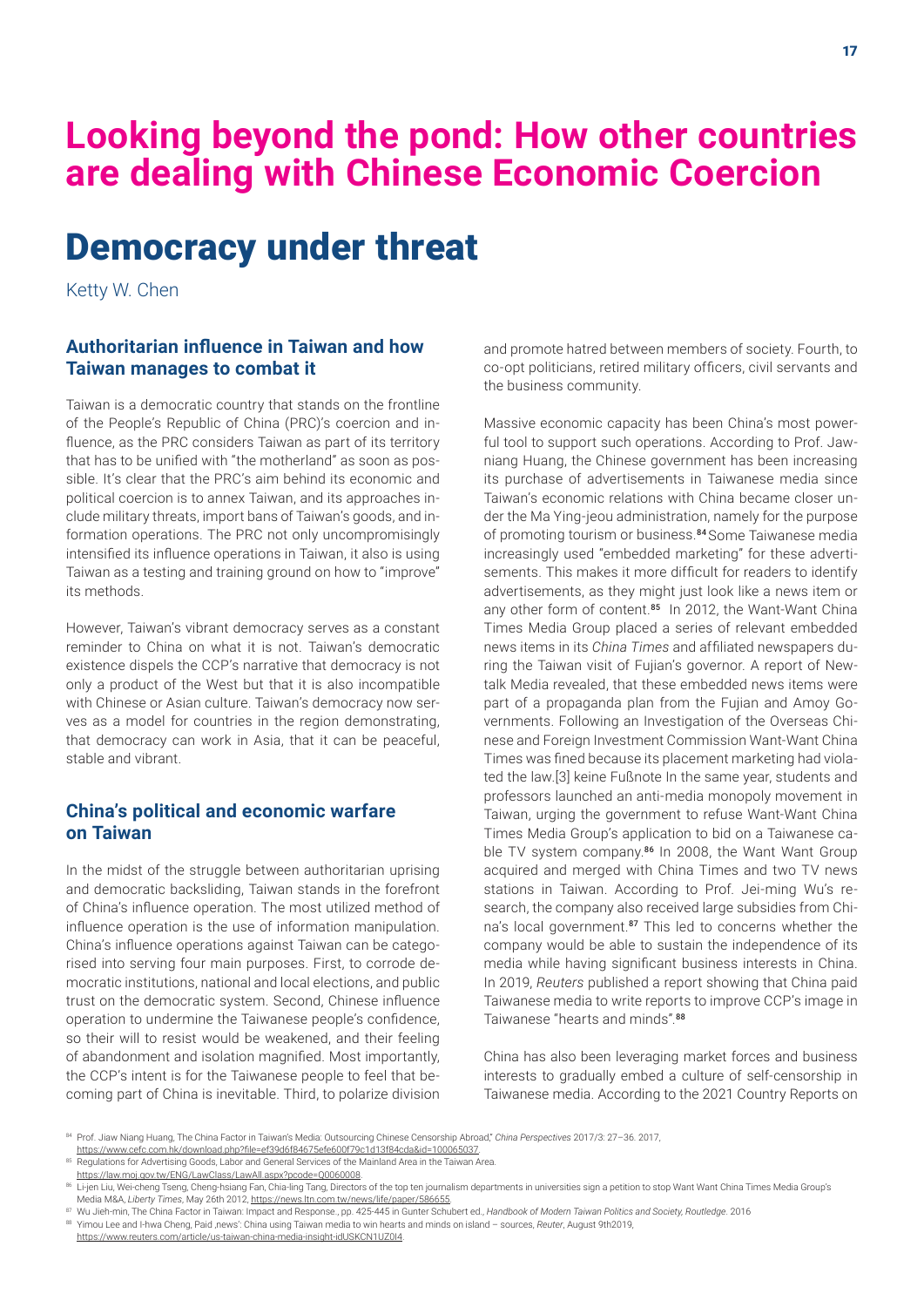# **Looking beyond the pond: How other countries are dealing with Chinese Economic Coercion**

# Democracy under threat

Ketty W. Chen

#### **Authoritarian influence in Taiwan and how Taiwan manages to combat it**

Taiwan is a democratic country that stands on the frontline of the People's Republic of China (PRC)'s coercion and influence, as the PRC considers Taiwan as part of its territory that has to be unified with "the motherland" as soon as possible. It's clear that the PRC's aim behind its economic and political coercion is to annex Taiwan, and its approaches include military threats, import bans of Taiwan's goods, and information operations. The PRC not only uncompromisingly intensified its influence operations in Taiwan, it also is using Taiwan as a testing and training ground on how to "improve" its methods.

However, Taiwan's vibrant democracy serves as a constant reminder to China on what it is not. Taiwan's democratic existence dispels the CCP's narrative that democracy is not only a product of the West but that it is also incompatible with Chinese or Asian culture. Taiwan's democracy now serves as a model for countries in the region demonstrating, that democracy can work in Asia, that it can be peaceful, stable and vibrant.

## **China's political and economic warfare on Taiwan**

In the midst of the struggle between authoritarian uprising and democratic backsliding, Taiwan stands in the forefront of China's influence operation. The most utilized method of influence operation is the use of information manipulation. China's influence operations against Taiwan can be categorised into serving four main purposes. First, to corrode democratic institutions, national and local elections, and public trust on the democratic system. Second, Chinese influence operation to undermine the Taiwanese people's confidence, so their will to resist would be weakened, and their feeling of abandonment and isolation magnified. Most importantly, the CCP's intent is for the Taiwanese people to feel that becoming part of China is inevitable. Third, to polarize division and promote hatred between members of society. Fourth, to co-opt politicians, retired military officers, civil servants and the business community.

Massive economic capacity has been China's most powerful tool to support such operations. According to Prof. Jawniang Huang, the Chinese government has been increasing its purchase of advertisements in Taiwanese media since Taiwan's economic relations with China became closer under the Ma Ying-jeou administration, namely for the purpose of promoting tourism or business.<sup>84</sup> Some Taiwanese media increasingly used "embedded marketing" for these advertisements. This makes it more difficult for readers to identify advertisements, as they might just look like a news item or any other form of content.<sup>85</sup> In 2012, the Want-Want China Times Media Group placed a series of relevant embedded news items in its *China Times* and affiliated newspapers during the Taiwan visit of Fujian's governor. A report of Newtalk Media revealed, that these embedded news items were part of a propaganda plan from the Fujian and Amoy Governments. Following an Investigation of the Overseas Chinese and Foreign Investment Commission Want-Want China Times was fined because its placement marketing had violated the law.[3] keine Fußnote In the same year, students and professors launched an anti-media monopoly movement in Taiwan, urging the government to refuse Want-Want China Times Media Group's application to bid on a Taiwanese cable TV system company.<sup>86</sup> In 2008, the Want Want Group acquired and merged with China Times and two TV news stations in Taiwan. According to Prof. Jei-ming Wu's research, the company also received large subsidies from China's local government.<sup>87</sup> This led to concerns whether the company would be able to sustain the independence of its media while having significant business interests in China. In 2019, *Reuters* published a report showing that China paid Taiwanese media to write reports to improve CCP's image in Taiwanese "hearts and minds".<sup>88</sup>

China has also been leveraging market forces and business interests to gradually embed a culture of self-censorship in Taiwanese media. According to the 2021 Country Reports on

<sup>84</sup> Prof. Jiaw Niang Huang, The China Factor in Taiwan's Media: Outsourcing Chinese Censorship Abroad," *China Perspectives* 2017/3: 27–36. 2017,

<https://www.cefc.com.hk/download.php?file=ef39d6f84675efe600f79c1d13f84cda&id=100065037>.

<sup>85</sup> Regulations for Advertising Goods, Labor and General Services of the Mainland Area in the Taiwan Area.

<https://law.moj.gov.tw/ENG/LawClass/LawAll.aspx?pcode=Q0060008>.

<sup>86</sup> Li-jen Liu, Wei-cheng Tseng, Cheng-hsiang Fan, Chia-ling Tang, Directors of the top ten journalism departments in universities sign a petition to stop Want Want China Times Media Group's Media M&A, *Liberty Times*, May 26th 2012, [https://news.ltn.com.tw/news/life/paper/586655.](https://news.ltn.com.tw/news/life/paper/586655)

<sup>87</sup> Wu Jieh-min, The China Factor in Taiwan: Impact and Response., pp. 425-445 in Gunter Schubert ed., *Handbook of Modern Taiwan Politics and Society, Routledge*. 2016 88 Yimou Lee and I-hwa Cheng, Paid ,news': China using Taiwan media to win hearts and minds on island - sources, Reuter, August 9th2019, <https://www.reuters.com/article/us-taiwan-china-media-insight-idUSKCN1UZ0I4>.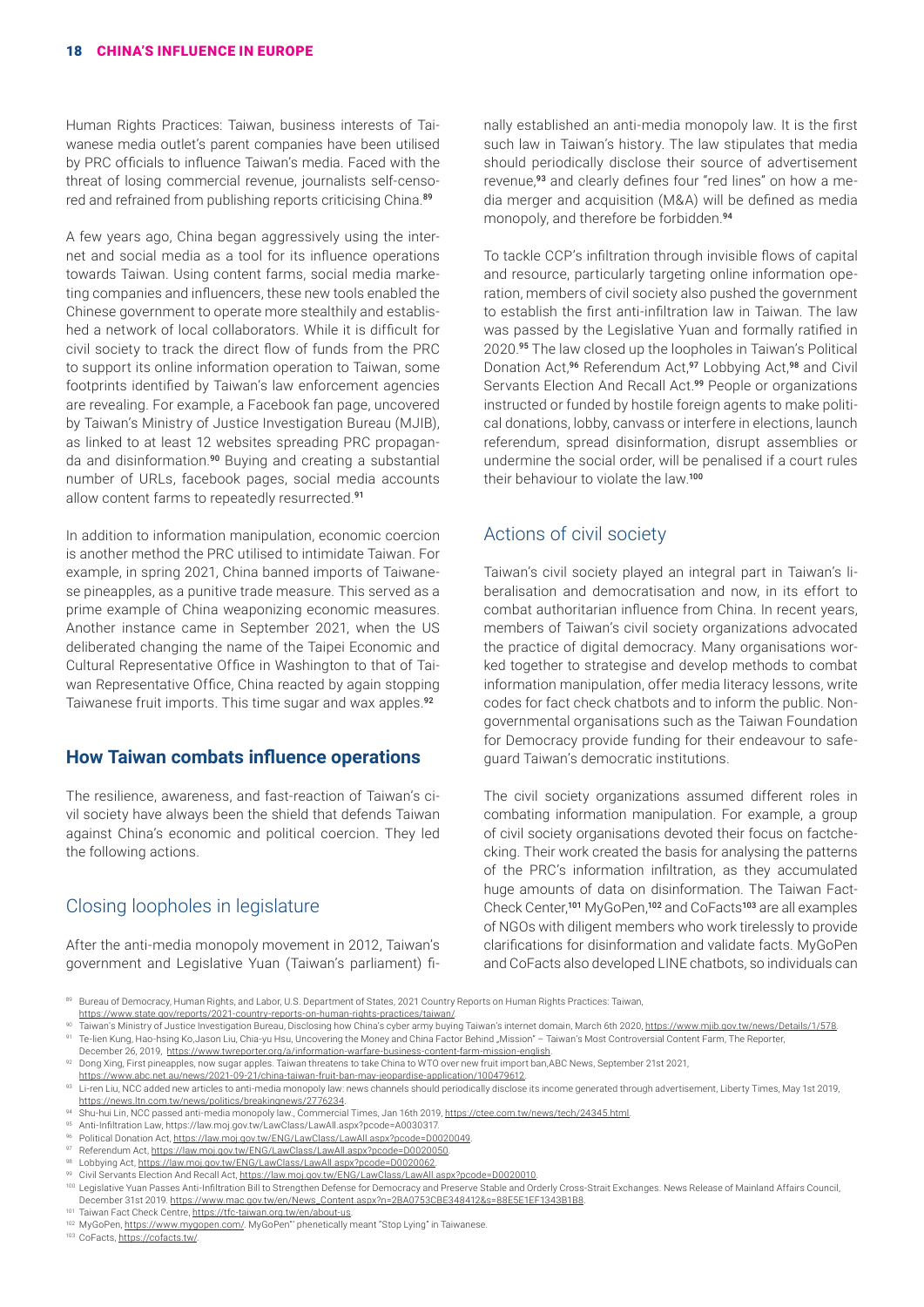Human Rights Practices: Taiwan, business interests of Taiwanese media outlet's parent companies have been utilised by PRC officials to influence Taiwan's media. Faced with the threat of losing commercial revenue, journalists self-censored and refrained from publishing reports criticising China.<sup>89</sup>

A few years ago, China began aggressively using the internet and social media as a tool for its influence operations towards Taiwan. Using content farms, social media marketing companies and influencers, these new tools enabled the Chinese government to operate more stealthily and established a network of local collaborators. While it is difficult for civil society to track the direct flow of funds from the PRC to support its online information operation to Taiwan, some footprints identified by Taiwan's law enforcement agencies are revealing. For example, a Facebook fan page, uncovered by Taiwan's Ministry of Justice Investigation Bureau (MJIB), as linked to at least 12 websites spreading PRC propaganda and disinformation.<sup>90</sup> Buying and creating a substantial number of URLs, facebook pages, social media accounts allow content farms to repeatedly resurrected.<sup>91</sup>

In addition to information manipulation, economic coercion is another method the PRC utilised to intimidate Taiwan. For example, in spring 2021, China banned imports of Taiwanese pineapples, as a punitive trade measure. This served as a prime example of China weaponizing economic measures. Another instance came in September 2021, when the US deliberated changing the name of the Taipei Economic and Cultural Representative Office in Washington to that of Taiwan Representative Office, China reacted by again stopping Taiwanese fruit imports. This time sugar and wax apples.<sup>92</sup>

#### **How Taiwan combats influence operations**

The resilience, awareness, and fast-reaction of Taiwan's civil society have always been the shield that defends Taiwan against China's economic and political coercion. They led the following actions.

#### Closing loopholes in legislature

After the anti-media monopoly movement in 2012, Taiwan's government and Legislative Yuan (Taiwan's parliament) finally established an anti-media monopoly law. It is the first such law in Taiwan's history. The law stipulates that media should periodically disclose their source of advertisement revenue,<sup>93</sup> and clearly defines four "red lines" on how a media merger and acquisition (M&A) will be defined as media monopoly, and therefore be forbidden.<sup>94</sup>

To tackle CCP's infiltration through invisible flows of capital and resource, particularly targeting online information operation, members of civil society also pushed the government to establish the first anti-infiltration law in Taiwan. The law was passed by the Legislative Yuan and formally ratified in 2020.<sup>95</sup> The law closed up the loopholes in Taiwan's Political Donation Act,<sup>96</sup> Referendum Act,<sup>97</sup> Lobbying Act,<sup>98</sup> and Civil Servants Election And Recall Act.<sup>99</sup> People or organizations instructed or funded by hostile foreign agents to make political donations, lobby, canvass or interfere in elections, launch referendum, spread disinformation, disrupt assemblies or undermine the social order, will be penalised if a court rules their behaviour to violate the law.<sup>100</sup>

#### Actions of civil society

Taiwan's civil society played an integral part in Taiwan's liberalisation and democratisation and now, in its effort to combat authoritarian influence from China. In recent years, members of Taiwan's civil society organizations advocated the practice of digital democracy. Many organisations worked together to strategise and develop methods to combat information manipulation, offer media literacy lessons, write codes for fact check chatbots and to inform the public. Nongovernmental organisations such as the Taiwan Foundation for Democracy provide funding for their endeavour to safeguard Taiwan's democratic institutions.

The civil society organizations assumed different roles in combating information manipulation. For example, a group of civil society organisations devoted their focus on factchecking. Their work created the basis for analysing the patterns of the PRC's information infiltration, as they accumulated huge amounts of data on disinformation. The Taiwan Fact-Check Center,<sup>101</sup> MyGoPen,<sup>102</sup> and CoFacts<sup>103</sup> are all examples of NGOs with diligent members who work tirelessly to provide clarifications for disinformation and validate facts. MyGoPen and CoFacts also developed LINE chatbots, so individuals can

Bureau of Democracy, Human Rights, and Labor, U.S. Department of States, 2021 Country Reports on Human Rights Practices: Taiwan, [https://www.state.gov/reports/2021-country-reports-on-human-rights-practices/taiwan/.](https://www.state.gov/reports/2021-country-reports-on-human-rights-practices/taiwan/)

Taiwan's Ministry of Justice Investigation Bureau, Disclosing how China's cyber army buying Taiwan's internet domain, March 6th 2020, <https://www.mjib.gov.tw/news/Details/1/578>. Te-lien Kung, Hao-hsing Ko,Jason Liu, Chia-yu Hsu, Uncovering the Money and China Factor Behind "Mission" – Taiwan's Most Controversial Content Farm, The Reporter,

December 26, 2019, [https://www.twreporter.org/a/information-warfare-business-content-farm-mission-english.](https://www.twreporter.org/a/information-warfare-business-content-farm-mission-english) 92 Dong Xing, First pineapples, now sugar apples. Taiwan threatens to take China to WTO over new fruit import ban, ABC News, September 21st 2021,

<https://www.abc.net.au/news/2021-09-21/china-taiwan-fruit-ban-may-jeopardise-application/100479612>.

93 Li-ren Liu, NCC added new articles to anti-media monopoly law: news channels should periodically disclose its income generated through advertisement, Liberty Times, May 1st 2019, [https://news.ltn.com.tw/news/politics/breakingnews/2776234.](https://news.ltn.com.tw/news/politics/breakingnews/2776234)

Shu-hui Lin, NCC passed anti-media monopoly law., Commercial Times, Jan 16th 2019, https://ctee.com.tw/news/tech/24345.html

<sup>95</sup> Anti-Infiltration Law, https://law.moj.gov.tw/LawClass/LawAll.aspx?pcode=A0030317.

<sup>96</sup> Political Donation Act, <https://law.moj.gov.tw/ENG/LawClass/LawAll.aspx?pcode=D0020049>.

97 Referendum Act, [https://law.moj.gov.tw/ENG/LawClass/LawAll.aspx?pcode=D0020050.](https://law.moj.gov.tw/ENG/LawClass/LawAll.aspx?pcode=D0020050)<br>98 Lebbying Act, https://law.moj.gov.tw/ENC/LawClass/LawAll.aspx?pcode=D0020062

Lobbying Act,<https://law.moj.gov.tw/ENG/LawClass/LawAll.aspx?pcode=D0020062>

99 Civil Servants Election And Recall Act,<https://law.moj.gov.tw/ENG/LawClass/LawAll.aspx?pcode=D0020010>.

100 Legislative Yuan Passes Anti-Infiltration Bill to Strengthen Defense for Democracy and Preserve Stable and Orderly Cross-Strait Exchanges. News Release of Mainland Affairs Council, December 31st 2019. [https://www.mac.gov.tw/en/News\\_Content.aspx?n=2BA0753CBE348412&s=88E5E1EF1343B1B8](https://www.mac.gov.tw/en/News_Content.aspx?n=2BA0753CBE348412&s=88E5E1EF1343B1B8).

Taiwan Fact Check Centre,<https://tfc-taiwan.org.tw/en/about-us>.

102 MyGoPen,<https://www.mygopen.com/>. MyGoPen"' phenetically meant "Stop Lying" in Taiwanese.

<sup>103</sup> CoFacts, [https://cofacts.tw/.](https://cofacts.tw/)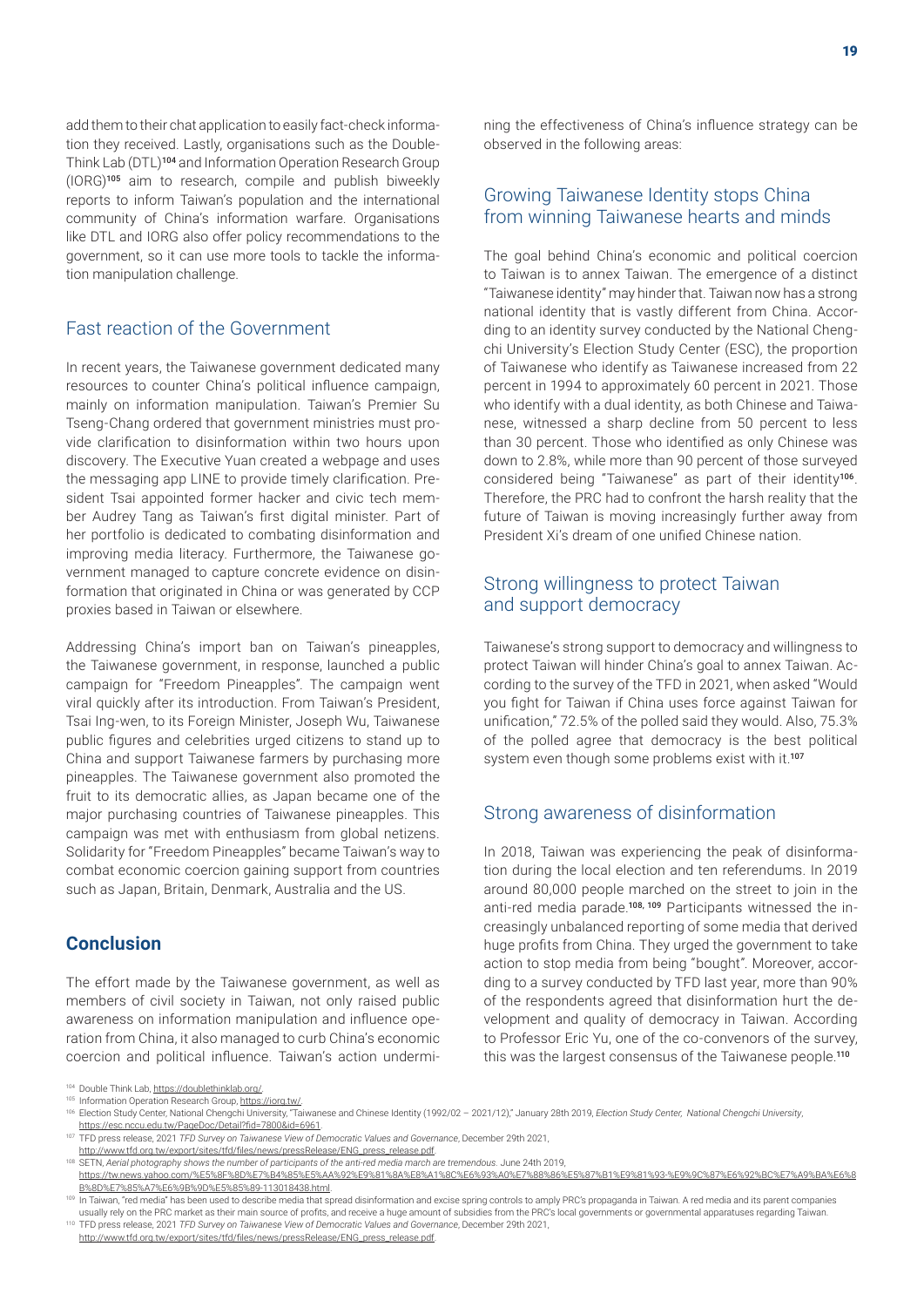add them to their chat application to easily fact-check information they received. Lastly, organisations such as the Double-Think Lab (DTL)<sup>104</sup> and Information Operation Research Group (IORG)<sup>105</sup> aim to research, compile and publish biweekly reports to inform Taiwan's population and the international community of China's information warfare. Organisations like DTL and IORG also offer policy recommendations to the government, so it can use more tools to tackle the information manipulation challenge.

#### Fast reaction of the Government

In recent years, the Taiwanese government dedicated many resources to counter China's political influence campaign, mainly on information manipulation. Taiwan's Premier Su Tseng-Chang ordered that government ministries must provide clarification to disinformation within two hours upon discovery. The Executive Yuan created a webpage and uses the messaging app LINE to provide timely clarification. President Tsai appointed former hacker and civic tech member Audrey Tang as Taiwan's first digital minister. Part of her portfolio is dedicated to combating disinformation and improving media literacy. Furthermore, the Taiwanese government managed to capture concrete evidence on disinformation that originated in China or was generated by CCP proxies based in Taiwan or elsewhere.

Addressing China's import ban on Taiwan's pineapples, the Taiwanese government, in response, launched a public campaign for "Freedom Pineapples". The campaign went viral quickly after its introduction. From Taiwan's President, Tsai Ing-wen, to its Foreign Minister, Joseph Wu, Taiwanese public figures and celebrities urged citizens to stand up to China and support Taiwanese farmers by purchasing more pineapples. The Taiwanese government also promoted the fruit to its democratic allies, as Japan became one of the major purchasing countries of Taiwanese pineapples. This campaign was met with enthusiasm from global netizens. Solidarity for "Freedom Pineapples" became Taiwan's way to combat economic coercion gaining support from countries such as Japan, Britain, Denmark, Australia and the US.

## **Conclusion**

The effort made by the Taiwanese government, as well as members of civil society in Taiwan, not only raised public awareness on information manipulation and influence operation from China, it also managed to curb China's economic coercion and political influence. Taiwan's action undermining the effectiveness of China's influence strategy can be observed in the following areas:

## Growing Taiwanese Identity stops China from winning Taiwanese hearts and minds

The goal behind China's economic and political coercion to Taiwan is to annex Taiwan. The emergence of a distinct "Taiwanese identity" may hinder that. Taiwan now has a strong national identity that is vastly different from China. According to an identity survey conducted by the National Chengchi University's Election Study Center (ESC), the proportion of Taiwanese who identify as Taiwanese increased from 22 percent in 1994 to approximately 60 percent in 2021. Those who identify with a dual identity, as both Chinese and Taiwanese, witnessed a sharp decline from 50 percent to less than 30 percent. Those who identified as only Chinese was down to 2.8%, while more than 90 percent of those surveyed considered being "Taiwanese" as part of their identity<sup>106</sup>. Therefore, the PRC had to confront the harsh reality that the future of Taiwan is moving increasingly further away from President Xi's dream of one unified Chinese nation.

## Strong willingness to protect Taiwan and support democracy

Taiwanese's strong support to democracy and willingness to protect Taiwan will hinder China's goal to annex Taiwan. According to the survey of the TFD in 2021, when asked "Would you fight for Taiwan if China uses force against Taiwan for unification," 72.5% of the polled said they would. Also, 75.3% of the polled agree that democracy is the best political system even though some problems exist with it.<sup>107</sup>

## Strong awareness of disinformation

In 2018, Taiwan was experiencing the peak of disinformation during the local election and ten referendums. In 2019 around 80,000 people marched on the street to join in the anti-red media parade.108, 109 Participants witnessed the increasingly unbalanced reporting of some media that derived huge profits from China. They urged the government to take action to stop media from being "bought". Moreover, according to a survey conducted by TFD last year, more than 90% of the respondents agreed that disinformation hurt the development and quality of democracy in Taiwan. According to Professor Eric Yu, one of the co-convenors of the survey, this was the largest consensus of the Taiwanese people.<sup>110</sup>

<sup>104</sup> Double Think Lab, https://doublethinklab.org/

<sup>105</sup> Information Operation Research Group, <https://iorg.tw/>.

<sup>106</sup> Election Study Center, National Chengchi University, "Taiwanese and Chinese Identity (1992/02 - 2021/12)," January 28th 2019, *Election Study Center, National Chengchi University*, <https://esc.nccu.edu.tw/PageDoc/Detail?fid=7800&id=6961>.

<sup>107</sup> TFD press release, 2021 *TFD Survey on Taiwanese View of Democratic Values and Governance*, December 29th 2021,

[http://www.tfd.org.tw/export/sites/tfd/files/news/pressRelease/ENG\\_press\\_release.pdf](http://www.tfd.org.tw/export/sites/tfd/files/news/pressRelease/ENG_press_release.pdf).

<sup>&</sup>lt;sup>108</sup> SETN, *Aerial photography shows the number of participants of the anti-red media march are tremendous. June 24th 2019,* 

[https://tw.news.yahoo.com/%E5%8F%8D%E7%B4%85%E5%AA%92%E9%81%8A%E8%A1%8C%E6%93%A0%E7%88%86%E5%87%B1%E9%81%93-%E9%9C%87%E6%92%BC%E7%A9%BA%E6%8](https://tw.news.yahoo.com/%E5%8F%8D%E7%B4%85%E5%AA%92%E9%81%8A%E8%A1%8C%E6%93%A0%E7%88%86%E5%87%B1%E9%81%93-%E9%9C%87%E6%92%BC%E7%A9%BA%E6%8B%8D%E7%85%A7%E6%9B%9D%E5%85%89-113018438.html) [B%8D%E7%85%A7%E6%9B%9D%E5%85%89-113018438.html.](https://tw.news.yahoo.com/%E5%8F%8D%E7%B4%85%E5%AA%92%E9%81%8A%E8%A1%8C%E6%93%A0%E7%88%86%E5%87%B1%E9%81%93-%E9%9C%87%E6%92%BC%E7%A9%BA%E6%8B%8D%E7%85%A7%E6%9B%9D%E5%85%89-113018438.html)

<sup>&</sup>lt;sup>109</sup> In Taiwan, "red media" has been used to describe media that spread disinformation and excise spring controls to amply PRC's propaganda in Taiwan. A red media and its parent companies usually rely on the PRC market as their main source of profits, and receive a huge amount of subsidies from the PRC's local governments or governmental apparatuses regarding Taiwan. <sup>110</sup> TFD press release, 2021 *TFD Survey on Taiwanese View of Democratic Values and Governance*, December 29th 2021,

[http://www.tfd.org.tw/export/sites/tfd/files/news/pressRelease/ENG\\_press\\_release.pdf](http://www.tfd.org.tw/export/sites/tfd/files/news/pressRelease/ENG_press_release.pdf).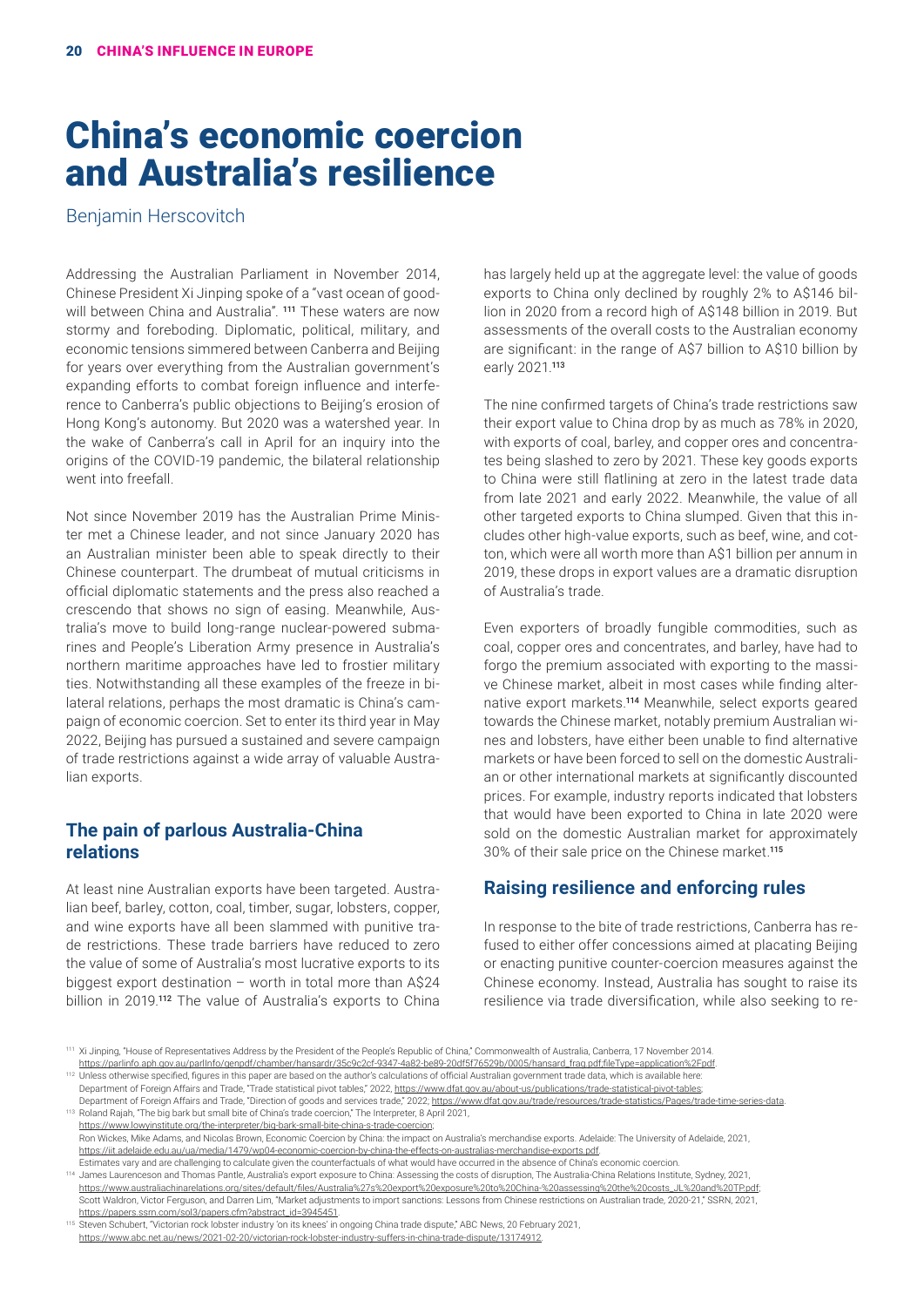# China's economic coercion and Australia's resilience

Benjamin Herscovitch

Addressing the Australian Parliament in November 2014, Chinese President Xi Jinping spoke of a "vast ocean of goodwill between China and Australia". <sup>111</sup> These waters are now stormy and foreboding. Diplomatic, political, military, and economic tensions simmered between Canberra and Beijing for years over everything from the Australian government's expanding efforts to combat foreign influence and interference to Canberra's public objections to Beijing's erosion of Hong Kong's autonomy. But 2020 was a watershed year. In the wake of Canberra's call in April for an inquiry into the origins of the COVID-19 pandemic, the bilateral relationship went into freefall.

Not since November 2019 has the Australian Prime Minister met a Chinese leader, and not since January 2020 has an Australian minister been able to speak directly to their Chinese counterpart. The drumbeat of mutual criticisms in official diplomatic statements and the press also reached a crescendo that shows no sign of easing. Meanwhile, Australia's move to build long-range nuclear-powered submarines and People's Liberation Army presence in Australia's northern maritime approaches have led to frostier military ties. Notwithstanding all these examples of the freeze in bilateral relations, perhaps the most dramatic is China's campaign of economic coercion. Set to enter its third year in May 2022, Beijing has pursued a sustained and severe campaign of trade restrictions against a wide array of valuable Australian exports.

## **The pain of parlous Australia-China relations**

At least nine Australian exports have been targeted. Australian beef, barley, cotton, coal, timber, sugar, lobsters, copper, and wine exports have all been slammed with punitive trade restrictions. These trade barriers have reduced to zero the value of some of Australia's most lucrative exports to its biggest export destination – worth in total more than A\$24 billion in 2019.<sup>112</sup> The value of Australia's exports to China

has largely held up at the aggregate level: the value of goods exports to China only declined by roughly 2% to A\$146 billion in 2020 from a record high of A\$148 billion in 2019. But assessments of the overall costs to the Australian economy are significant: in the range of A\$7 billion to A\$10 billion by early 2021.<sup>113</sup>

The nine confirmed targets of China's trade restrictions saw their export value to China drop by as much as 78% in 2020, with exports of coal, barley, and copper ores and concentrates being slashed to zero by 2021. These key goods exports to China were still flatlining at zero in the latest trade data from late 2021 and early 2022. Meanwhile, the value of all other targeted exports to China slumped. Given that this includes other high-value exports, such as beef, wine, and cotton, which were all worth more than A\$1 billion per annum in 2019, these drops in export values are a dramatic disruption of Australia's trade.

Even exporters of broadly fungible commodities, such as coal, copper ores and concentrates, and barley, have had to forgo the premium associated with exporting to the massive Chinese market, albeit in most cases while finding alternative export markets.<sup>114</sup> Meanwhile, select exports geared towards the Chinese market, notably premium Australian wines and lobsters, have either been unable to find alternative markets or have been forced to sell on the domestic Australian or other international markets at significantly discounted prices. For example, industry reports indicated that lobsters that would have been exported to China in late 2020 were sold on the domestic Australian market for approximately 30% of their sale price on the Chinese market.<sup>115</sup>

#### **Raising resilience and enforcing rules**

In response to the bite of trade restrictions, Canberra has refused to either offer concessions aimed at placating Beijing or enacting punitive counter-coercion measures against the Chinese economy. Instead, Australia has sought to raise its resilience via trade diversification, while also seeking to re-

<sup>112</sup> Unless otherwise specified, figures in this paper are based on the author's calculations of official Australian government trade data, which is available here: Department of Foreign Affairs and Trade, "Trade statistical pivot tables," 2022, [https://www.dfat.gov.au/about-us/publications/trade-statistical-pivot-tables;](https://www.dfat.gov.au/about-us/publications/trade-statistical-pivot-tables)

<sup>113</sup> Roland Rajah, "The big bark but small bite of China's trade coercion," The Interpreter, 8 April 2021, [https://www.lowyinstitute.org/the-interpreter/big-bark-small-bite-china-s-trade-coercion;](https://www.lowyinstitute.org/the-interpreter/big-bark-small-bite-china-s-trade-coercion) Ron Wickes, Mike Adams, and Nicolas Brown, Economic Coercion by China: the impact on Australia's merchandise exports. Adelaide: The University of Adelaide, 2021,

[https://iit.adelaide.edu.au/ua/media/1479/wp04-economic-coercion-by-china-the-effects-on-australias-merchandise-exports.pdf.](https://iit.adelaide.edu.au/ua/media/1479/wp04-economic-coercion-by-china-the-effects-on-australias-merchandise-exports.pdf)

Estimates vary and are challenging to calculate given the counterfactuals of what would have occurred in the absence of China's economic coercion. <sup>114</sup> James Laurenceson and Thomas Pantle, Australia's export exposure to China: Assessing the costs of disruption, The Australia-China Relations Institute, Sydney, 2021,

[https://www.australiachinarelations.org/sites/default/files/Australia%27s%20export%20exposure%20to%20China-%20assessing%20the%20costs\\_JL%20and%20TP.pdf](https://www.australiachinarelations.org/sites/default/files/Australia%27s%20export%20exposure%20to%20China-%20assessing%20the%20costs_JL%20and%20TP.pdf); Scott Waldron, Victor Ferguson, and Darren Lim, "Market adjustments to import sanctions: Lessons from Chinese restrictions on Australian trade, 2020-21," SSRN, 2021, [https://papers.ssrn.com/sol3/papers.cfm?abstract\\_id=3945451.](https://papers.ssrn.com/sol3/papers.cfm?abstract_id=3945451)

<sup>115</sup> Steven Schubert, "Victorian rock lobster industry 'on its knees' in ongoing China trade dispute," ABC News, 20 February 2021, [https://www.abc.net.au/news/2021-02-20/victorian-rock-lobster-industry-suffers-in-china-trade-dispute/13174912.](https://www.abc.net.au/news/2021-02-20/victorian-rock-lobster-industry-suffers-in-china-trade-dispute/13174912)

<sup>111</sup> Xi Jinping, "House of Representatives Address by the President of the People's Republic of China," Commonwealth of Australia, Canberra, 17 November 2014.

[https://parlinfo.aph.gov.au/parlInfo/genpdf/chamber/hansardr/35c9c2cf-9347-4a82-be89-20df5f76529b/0005/hansard\\_frag.pdf;fileType=application%2Fpdf](https://parlinfo.aph.gov.au/parlInfo/genpdf/chamber/hansardr/35c9c2cf-9347-4a82-be89-20df5f76529b/0005/hansard_frag.pdf;fileType=application%2Fpdf).

Department of Foreign Affairs and Trade, "Direction of goods and services trade," 2022;<https://www.dfat.gov.au/trade/resources/trade-statistics/Pages/trade-time-series-data>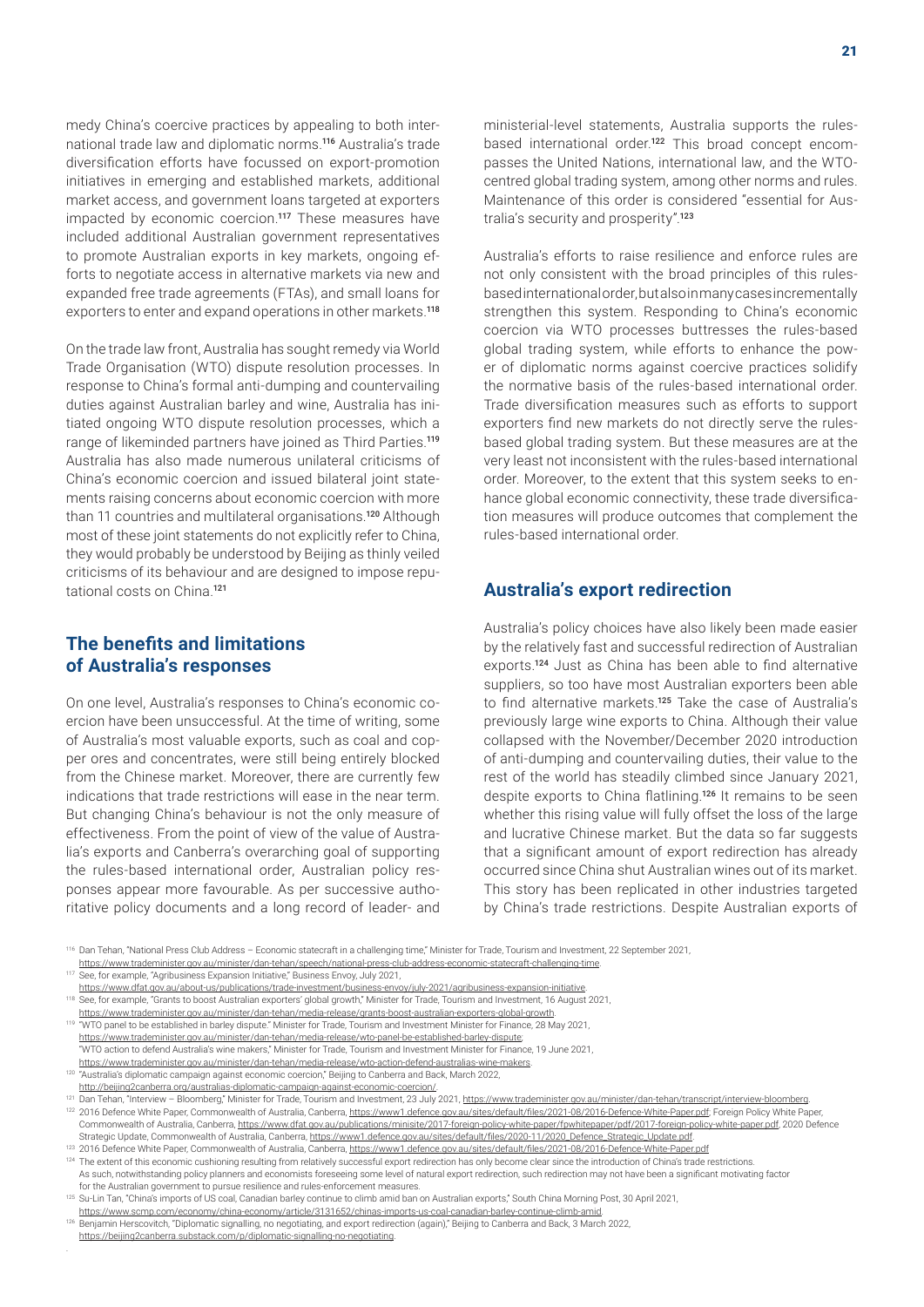medy China's coercive practices by appealing to both international trade law and diplomatic norms.<sup>116</sup> Australia's trade diversification efforts have focussed on export-promotion initiatives in emerging and established markets, additional market access, and government loans targeted at exporters impacted by economic coercion.<sup>117</sup> These measures have included additional Australian government representatives to promote Australian exports in key markets, ongoing efforts to negotiate access in alternative markets via new and expanded free trade agreements (FTAs), and small loans for exporters to enter and expand operations in other markets.<sup>118</sup>

On the trade law front, Australia has sought remedy via World Trade Organisation (WTO) dispute resolution processes. In response to China's formal anti-dumping and countervailing duties against Australian barley and wine, Australia has initiated ongoing WTO dispute resolution processes, which a range of likeminded partners have joined as Third Parties.<sup>119</sup> Australia has also made numerous unilateral criticisms of China's economic coercion and issued bilateral joint statements raising concerns about economic coercion with more than 11 countries and multilateral organisations.<sup>120</sup> Although most of these joint statements do not explicitly refer to China, they would probably be understood by Beijing as thinly veiled criticisms of its behaviour and are designed to impose reputational costs on China<sup>121</sup>

## **The benefits and limitations of Australia's responses**

On one level, Australia's responses to China's economic coercion have been unsuccessful. At the time of writing, some of Australia's most valuable exports, such as coal and copper ores and concentrates, were still being entirely blocked from the Chinese market. Moreover, there are currently few indications that trade restrictions will ease in the near term. But changing China's behaviour is not the only measure of effectiveness. From the point of view of the value of Australia's exports and Canberra's overarching goal of supporting the rules-based international order, Australian policy responses appear more favourable. As per successive authoritative policy documents and a long record of leader- and

ministerial-level statements, Australia supports the rulesbased international order.<sup>122</sup> This broad concept encompasses the United Nations, international law, and the WTOcentred global trading system, among other norms and rules. Maintenance of this order is considered "essential for Australia's security and prosperity".<sup>123</sup>

Australia's efforts to raise resilience and enforce rules are not only consistent with the broad principles of this rulesbased international order, but also in many cases incrementally strengthen this system. Responding to China's economic coercion via WTO processes buttresses the rules-based global trading system, while efforts to enhance the power of diplomatic norms against coercive practices solidify the normative basis of the rules-based international order. Trade diversification measures such as efforts to support exporters find new markets do not directly serve the rulesbased global trading system. But these measures are at the very least not inconsistent with the rules-based international order. Moreover, to the extent that this system seeks to enhance global economic connectivity, these trade diversification measures will produce outcomes that complement the rules-based international order.

#### **Australia's export redirection**

Australia's policy choices have also likely been made easier by the relatively fast and successful redirection of Australian exports.<sup>124</sup> Just as China has been able to find alternative suppliers, so too have most Australian exporters been able to find alternative markets.<sup>125</sup> Take the case of Australia's previously large wine exports to China. Although their value collapsed with the November/December 2020 introduction of anti-dumping and countervailing duties, their value to the rest of the world has steadily climbed since January 2021, despite exports to China flatlining.<sup>126</sup> It remains to be seen whether this rising value will fully offset the loss of the large and lucrative Chinese market. But the data so far suggests that a significant amount of export redirection has already occurred since China shut Australian wines out of its market. This story has been replicated in other industries targeted by China's trade restrictions. Despite Australian exports of

<sup>116</sup> Dan Tehan, "National Press Club Address – Economic statecraft in a challenging time," Minister for Trade, Tourism and Investment, 22 September 2021, <https://www.trademinister.gov.au/minister/dan-tehan/speech/national-press-club-address-economic-statecraft-challenging-time>.

"WTO action to defend Australia's wine makers," Minister for Trade, Tourism and Investment Minister for Finance, 19 June 2021, [https://www.trademinister.gov.au/minister/dan-tehan/media-release/wto-action-defend-australias-wine-makers.](https://www.trademinister.gov.au/minister/dan-tehan/media-release/wto-action-defend-australias-wine-makers) <sup>120</sup> "Australia's diplomatic campaign against economic coercion," Beijing to Canberra and Back, March 2022,

See, for example, "Agribusiness Expansion Initiative," Business Envoy, July 2021,

<https://www.dfat.gov.au/about-us/publications/trade-investment/business-envoy/july-2021/agribusiness-expansion-initiative>.

<sup>118</sup> See, for example, "Grants to boost Australian exporters' global growth," Minister for Trade, Tourism and Investment, 16 August 2021,

<https://www.trademinister.gov.au/minister/dan-tehan/media-release/grants-boost-australian-exporters-global-growth>. <sup>119</sup> "WTO panel to be established in barley dispute." Minister for Trade, Tourism and Investment Minister for Finance, 28 May 2021,

<https://www.trademinister.gov.au/minister/dan-tehan/media-release/wto-panel-be-established-barley-dispute>;

<http://beijing2canberra.org/australias-diplomatic-campaign-against-economic-coercion/>.

<sup>121</sup> Dan Tehan, "Interview – Bloomberg," Minister for Trade, Tourism and Investment, 23 July 2021,<https://www.trademinister.gov.au/minister/dan-tehan/transcript/interview-bloomberg>. 122 2016 Defence White Paper, Commonwealth of Australia, Canberra, <https://www1.defence.gov.au/sites/default/files/2021-08/2016-Defence-White-Paper.pdf>; Foreign Policy White Paper, Commonwealth of Australia, Canberra, https://www.dfat.gov.au/publications/minisite/2017-foreign-policy-white-paper/pdf/2017-foreign-policy-white-paper.pdf, 2020 Defence Strategic Update, Commonwealth of Australia, Canberra, [https://www1.defence.gov.au/sites/default/files/2020-11/2020\\_Defence\\_Strategic\\_Update.pdf](https://www1.defence.gov.au/sites/default/files/2020-11/2020_Defence_Strategic_Update.pdf)

<sup>&</sup>lt;sup>123</sup> 2016 Defence White Paper, Commonwealth of Australia, Canberra, <https://www1.defence.gov.au/sites/default/files/2021-08/2016-Defence-White-Paper.pdf>

<sup>124</sup> The extent of this economic cushioning resulting from relatively successful export redirection has only become clear since the introduction of China's trade restrictions As such, notwithstanding policy planners and economists foreseeing some level of natural export redirection, such redirection may not have been a significant motivating factor for the Australian government to pursue resilience and rules-enforcement measures.

<sup>125</sup> Su-Lin Tan, "China's imports of US coal, Canadian barley continue to climb amid ban on Australian exports," South China Morning Post, 30 April 2021,

[https://www.scmp.com/economy/china-economy/article/3131652/chinas-imports-us-coal-canadian-barley-continue-climb-amid.](https://www.scmp.com/economy/china-economy/article/3131652/chinas-imports-us-coal-canadian-barley-continue-climb-amid) 126 Benjamin Herscovitch, "Diplomatic signalling, no negotiating, and export redirection (again)," Beijing to Canberra and Back, 3 March 2022, [https://beijing2canberra.substack.com/p/diplomatic-signalling-no-negotiating.](https://beijing2canberra.substack.com/p/diplomatic-signalling-no-negotiating)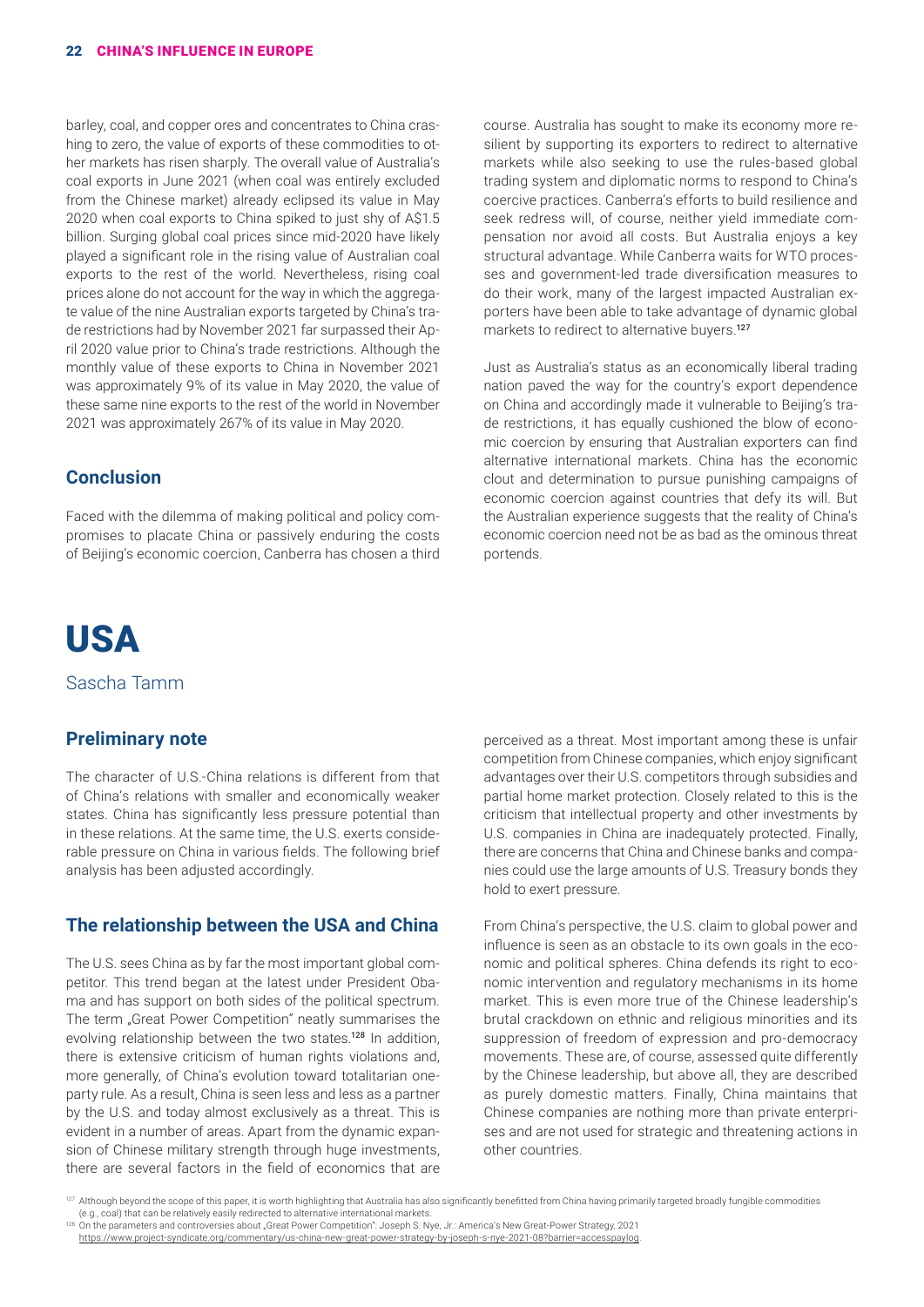barley, coal, and copper ores and concentrates to China crashing to zero, the value of exports of these commodities to other markets has risen sharply. The overall value of Australia's coal exports in June 2021 (when coal was entirely excluded from the Chinese market) already eclipsed its value in May 2020 when coal exports to China spiked to just shy of A\$1.5 billion. Surging global coal prices since mid-2020 have likely played a significant role in the rising value of Australian coal exports to the rest of the world. Nevertheless, rising coal prices alone do not account for the way in which the aggregate value of the nine Australian exports targeted by China's trade restrictions had by November 2021 far surpassed their April 2020 value prior to China's trade restrictions. Although the monthly value of these exports to China in November 2021 was approximately 9% of its value in May 2020, the value of these same nine exports to the rest of the world in November 2021 was approximately 267% of its value in May 2020.

# **Conclusion**

Faced with the dilemma of making political and policy compromises to placate China or passively enduring the costs of Beijing's economic coercion, Canberra has chosen a third course. Australia has sought to make its economy more resilient by supporting its exporters to redirect to alternative markets while also seeking to use the rules-based global trading system and diplomatic norms to respond to China's coercive practices. Canberra's efforts to build resilience and seek redress will, of course, neither yield immediate compensation nor avoid all costs. But Australia enjoys a key structural advantage. While Canberra waits for WTO processes and government-led trade diversification measures to do their work, many of the largest impacted Australian exporters have been able to take advantage of dynamic global markets to redirect to alternative buyers.<sup>127</sup>

Just as Australia's status as an economically liberal trading nation paved the way for the country's export dependence on China and accordingly made it vulnerable to Beijing's trade restrictions, it has equally cushioned the blow of economic coercion by ensuring that Australian exporters can find alternative international markets. China has the economic clout and determination to pursue punishing campaigns of economic coercion against countries that defy its will. But the Australian experience suggests that the reality of China's economic coercion need not be as bad as the ominous threat portends.

# USA

Sascha Tamm

## **Preliminary note**

The character of U.S.-China relations is different from that of China's relations with smaller and economically weaker states. China has significantly less pressure potential than in these relations. At the same time, the U.S. exerts considerable pressure on China in various fields. The following brief analysis has been adjusted accordingly.

# **The relationship between the USA and China**

The U.S. sees China as by far the most important global competitor. This trend began at the latest under President Obama and has support on both sides of the political spectrum. The term "Great Power Competition" neatly summarises the evolving relationship between the two states.<sup>128</sup> In addition, there is extensive criticism of human rights violations and, more generally, of China's evolution toward totalitarian oneparty rule. As a result, China is seen less and less as a partner by the U.S. and today almost exclusively as a threat. This is evident in a number of areas. Apart from the dynamic expansion of Chinese military strength through huge investments. there are several factors in the field of economics that are

perceived as a threat. Most important among these is unfair competition from Chinese companies, which enjoy significant advantages over their U.S. competitors through subsidies and partial home market protection. Closely related to this is the criticism that intellectual property and other investments by U.S. companies in China are inadequately protected. Finally, there are concerns that China and Chinese banks and companies could use the large amounts of U.S. Treasury bonds they hold to exert pressure.

From China's perspective, the U.S. claim to global power and influence is seen as an obstacle to its own goals in the economic and political spheres. China defends its right to economic intervention and regulatory mechanisms in its home market. This is even more true of the Chinese leadership's brutal crackdown on ethnic and religious minorities and its suppression of freedom of expression and pro-democracy movements. These are, of course, assessed quite differently by the Chinese leadership, but above all, they are described as purely domestic matters. Finally, China maintains that Chinese companies are nothing more than private enterprises and are not used for strategic and threatening actions in other countries.

<sup>&</sup>lt;sup>127</sup> Although beyond the scope of this paper, it is worth highlighting that Australia has also significantly benefitted from China having primarily targeted broadly fungible commodities e.g., coal) that can be relatively easily redirected to alternative international markets.<br><sup>128</sup> On the parameters and controversies about "Great Power Competition": Joseph S. Nye, Jr.: America's New Great-Power Strategy,

<https://www.project-syndicate.org/commentary/us-china-new-great-power-strategy-by-joseph-s-nye-2021-08?barrier=accesspaylog>.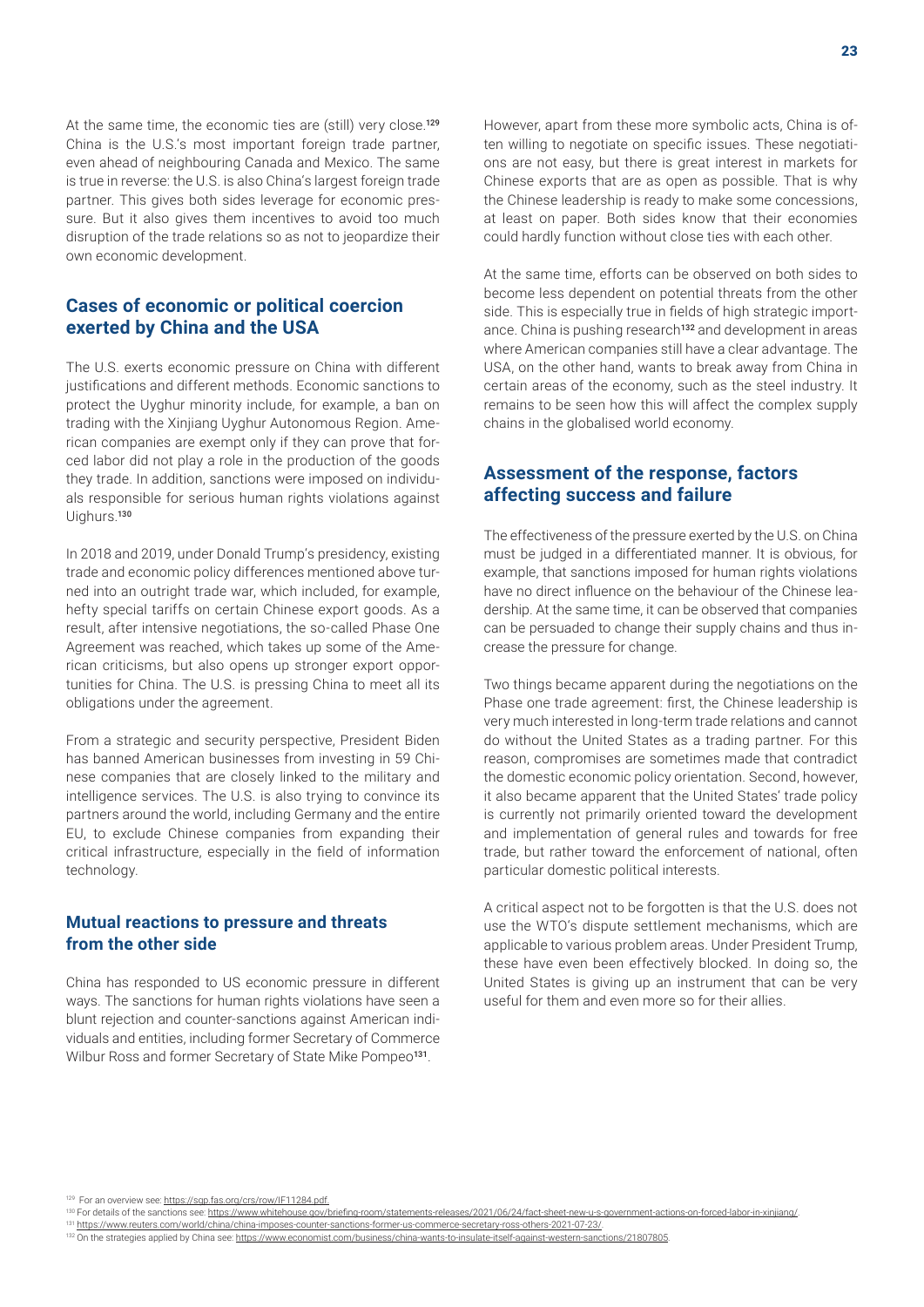At the same time, the economic ties are (still) very close.<sup>129</sup> China is the U.S.'s most important foreign trade partner, even ahead of neighbouring Canada and Mexico. The same is true in reverse: the U.S. is also China's largest foreign trade partner. This gives both sides leverage for economic pressure. But it also gives them incentives to avoid too much disruption of the trade relations so as not to jeopardize their own economic development.

## **Cases of economic or political coercion exerted by China and the USA**

The U.S. exerts economic pressure on China with different justifications and different methods. Economic sanctions to protect the Uyghur minority include, for example, a ban on trading with the Xinjiang Uyghur Autonomous Region. American companies are exempt only if they can prove that forced labor did not play a role in the production of the goods they trade. In addition, sanctions were imposed on individuals responsible for serious human rights violations against Uighurs.<sup>130</sup>

In 2018 and 2019, under Donald Trump's presidency, existing trade and economic policy differences mentioned above turned into an outright trade war, which included, for example, hefty special tariffs on certain Chinese export goods. As a result, after intensive negotiations, the so-called Phase One Agreement was reached, which takes up some of the American criticisms, but also opens up stronger export opportunities for China. The U.S. is pressing China to meet all its obligations under the agreement.

From a strategic and security perspective, President Biden has banned American businesses from investing in 59 Chinese companies that are closely linked to the military and intelligence services. The U.S. is also trying to convince its partners around the world, including Germany and the entire EU, to exclude Chinese companies from expanding their critical infrastructure, especially in the field of information technology.

#### **Mutual reactions to pressure and threats from the other side**

China has responded to US economic pressure in different ways. The sanctions for human rights violations have seen a blunt rejection and counter-sanctions against American individuals and entities, including former Secretary of Commerce Wilbur Ross and former Secretary of State Mike Pompeo<sup>131</sup>.

However, apart from these more symbolic acts, China is often willing to negotiate on specific issues. These negotiations are not easy, but there is great interest in markets for Chinese exports that are as open as possible. That is why the Chinese leadership is ready to make some concessions, at least on paper. Both sides know that their economies could hardly function without close ties with each other.

At the same time, efforts can be observed on both sides to become less dependent on potential threats from the other side. This is especially true in fields of high strategic importance. China is pushing research<sup>132</sup> and development in areas where American companies still have a clear advantage. The USA, on the other hand, wants to break away from China in certain areas of the economy, such as the steel industry. It remains to be seen how this will affect the complex supply chains in the globalised world economy.

# **Assessment of the response, factors affecting success and failure**

The effectiveness of the pressure exerted by the U.S. on China must be judged in a differentiated manner. It is obvious, for example, that sanctions imposed for human rights violations have no direct influence on the behaviour of the Chinese leadership. At the same time, it can be observed that companies can be persuaded to change their supply chains and thus increase the pressure for change.

Two things became apparent during the negotiations on the Phase one trade agreement: first, the Chinese leadership is very much interested in long-term trade relations and cannot do without the United States as a trading partner. For this reason, compromises are sometimes made that contradict the domestic economic policy orientation. Second, however, it also became apparent that the United States' trade policy is currently not primarily oriented toward the development and implementation of general rules and towards for free trade, but rather toward the enforcement of national, often particular domestic political interests.

A critical aspect not to be forgotten is that the U.S. does not use the WTO's dispute settlement mechanisms, which are applicable to various problem areas. Under President Trump, these have even been effectively blocked. In doing so, the United States is giving up an instrument that can be very useful for them and even more so for their allies.

<sup>129</sup> For an overview see: https://sgp.fas.org/crs/row/IF11284.ndf.

<sup>&</sup>lt;sup>130</sup> For details of the sanctions see: <https://www.whitehouse.gov/briefing-room/statements-releases/2021/06/24/fact-sheet-new-u-s-government-actions-on-forced-labor-in-xinjiang/>

<sup>131</sup> https://www.reuters.com/world/china/china-imposes-counter-sanctions-former-us-commerce-secretary-ross-others-2021-07-23/

<sup>132</sup> On the strategies applied by China see: https://www.economist.com/business/china-wants-to-insulate-itself-against-western-sanctions/21807805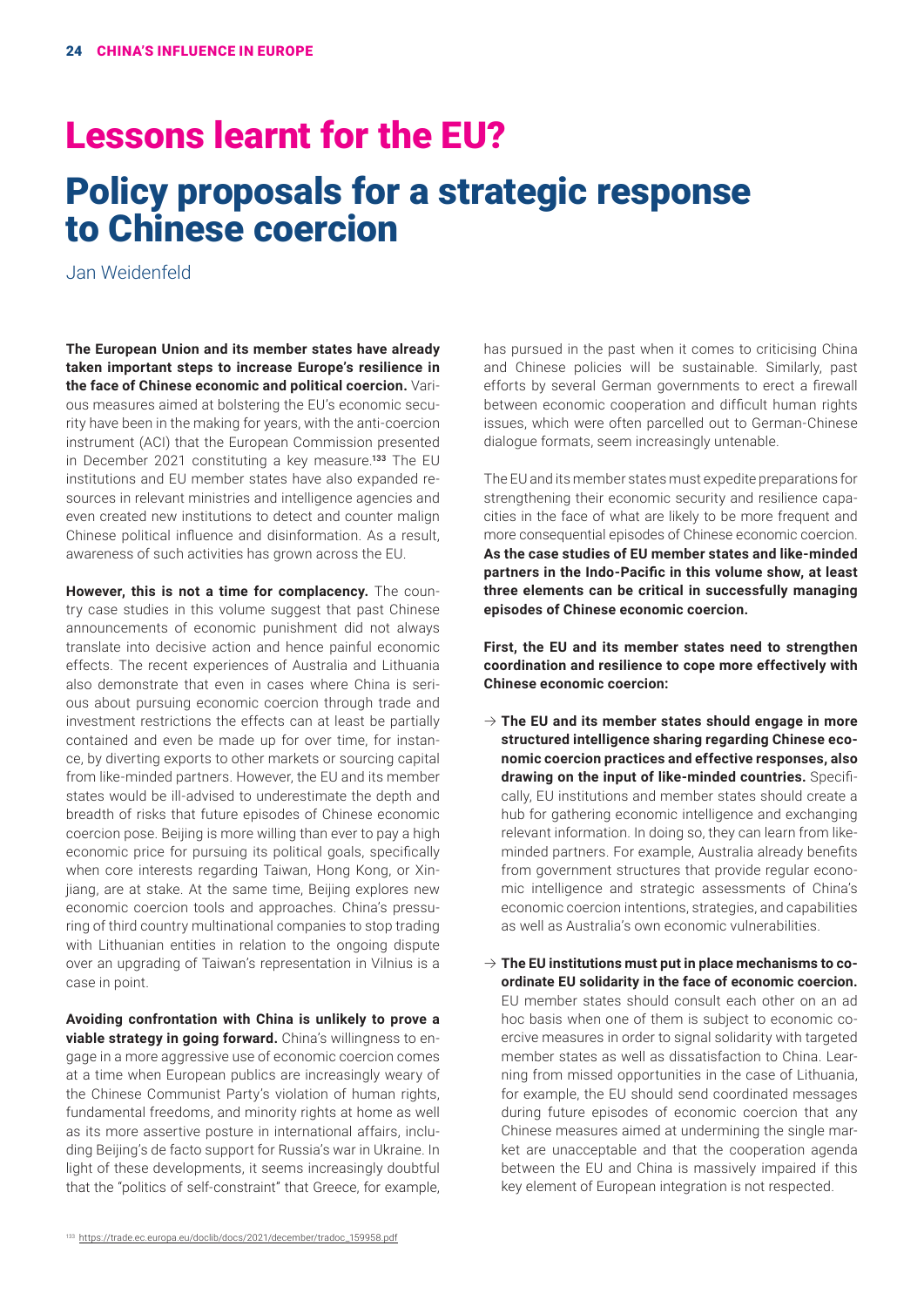# Lessons learnt for the EU? Policy proposals for a strategic response to Chinese coercion

Jan Weidenfeld

**The European Union and its member states have already taken important steps to increase Europe's resilience in the face of Chinese economic and political coercion.** Various measures aimed at bolstering the EU's economic security have been in the making for years, with the anti-coercion instrument (ACI) that the European Commission presented in December 2021 constituting a key measure.<sup>133</sup> The EU institutions and EU member states have also expanded resources in relevant ministries and intelligence agencies and even created new institutions to detect and counter malign Chinese political influence and disinformation. As a result, awareness of such activities has grown across the EU.

**However, this is not a time for complacency.** The country case studies in this volume suggest that past Chinese announcements of economic punishment did not always translate into decisive action and hence painful economic effects. The recent experiences of Australia and Lithuania also demonstrate that even in cases where China is serious about pursuing economic coercion through trade and investment restrictions the effects can at least be partially contained and even be made up for over time, for instance, by diverting exports to other markets or sourcing capital from like-minded partners. However, the EU and its member states would be ill-advised to underestimate the depth and breadth of risks that future episodes of Chinese economic coercion pose. Beijing is more willing than ever to pay a high economic price for pursuing its political goals, specifically when core interests regarding Taiwan, Hong Kong, or Xinjiang, are at stake. At the same time, Beijing explores new economic coercion tools and approaches. China's pressuring of third country multinational companies to stop trading with Lithuanian entities in relation to the ongoing dispute over an upgrading of Taiwan's representation in Vilnius is a case in point.

**Avoiding confrontation with China is unlikely to prove a**  viable strategy in going forward. China's willingness to engage in a more aggressive use of economic coercion comes at a time when European publics are increasingly weary of the Chinese Communist Party's violation of human rights, fundamental freedoms, and minority rights at home as well as its more assertive posture in international affairs, including Beijing's de facto support for Russia's war in Ukraine. In light of these developments, it seems increasingly doubtful that the "politics of self-constraint" that Greece, for example,

has pursued in the past when it comes to criticising China and Chinese policies will be sustainable. Similarly, past efforts by several German governments to erect a firewall between economic cooperation and difficult human rights issues, which were often parcelled out to German-Chinese dialogue formats, seem increasingly untenable.

The EU and its member states must expedite preparations for strengthening their economic security and resilience capacities in the face of what are likely to be more frequent and more consequential episodes of Chinese economic coercion. **As the case studies of EU member states and like-minded partners in the Indo-Pacific in this volume show, at least three elements can be critical in successfully managing episodes of Chinese economic coercion.**

**First, the EU and its member states need to strengthen coordination and resilience to cope more effectively with Chinese economic coercion:**

- $\rightarrow$  The EU and its member states should engage in more **structured intelligence sharing regarding Chinese economic coercion practices and effective responses, also drawing on the input of like-minded countries.** Specifically, EU institutions and member states should create a hub for gathering economic intelligence and exchanging relevant information. In doing so, they can learn from likeminded partners. For example, Australia already benefits from government structures that provide regular economic intelligence and strategic assessments of China's economic coercion intentions, strategies, and capabilities as well as Australia's own economic vulnerabilities.
- $\rightarrow$  The EU institutions must put in place mechanisms to co**ordinate EU solidarity in the face of economic coercion.**  EU member states should consult each other on an ad hoc basis when one of them is subject to economic coercive measures in order to signal solidarity with targeted member states as well as dissatisfaction to China. Learning from missed opportunities in the case of Lithuania, for example, the EU should send coordinated messages during future episodes of economic coercion that any Chinese measures aimed at undermining the single market are unacceptable and that the cooperation agenda between the EU and China is massively impaired if this key element of European integration is not respected.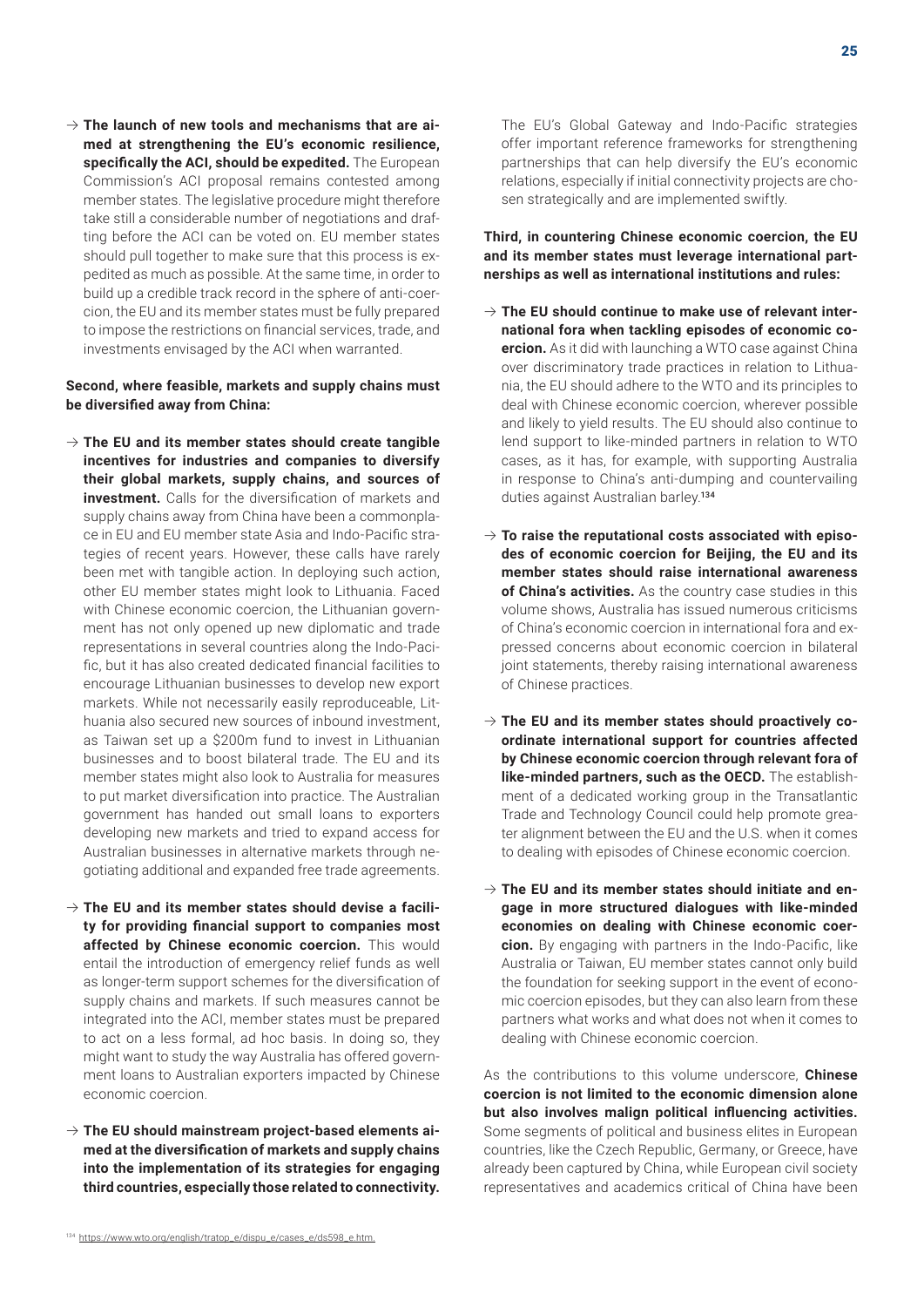$\rightarrow$  The launch of new tools and mechanisms that are ai**med at strengthening the EU's economic resilience, specifically the ACI, should be expedited.** The European Commission's ACI proposal remains contested among member states. The legislative procedure might therefore take still a considerable number of negotiations and drafting before the ACI can be voted on. EU member states should pull together to make sure that this process is expedited as much as possible. At the same time, in order to build up a credible track record in the sphere of anti-coercion, the EU and its member states must be fully prepared to impose the restrictions on financial services, trade, and investments envisaged by the ACI when warranted.

#### **Second, where feasible, markets and supply chains must be diversified away from China:**

- $\rightarrow$  The EU and its member states should create tangible **incentives for industries and companies to diversify their global markets, supply chains, and sources of investment.** Calls for the diversification of markets and supply chains away from China have been a commonplace in EU and EU member state Asia and Indo-Pacific strategies of recent years. However, these calls have rarely been met with tangible action. In deploying such action, other EU member states might look to Lithuania. Faced with Chinese economic coercion, the Lithuanian government has not only opened up new diplomatic and trade representations in several countries along the Indo-Pacific, but it has also created dedicated financial facilities to encourage Lithuanian businesses to develop new export markets. While not necessarily easily reproduceable, Lithuania also secured new sources of inbound investment, as Taiwan set up a \$200m fund to invest in Lithuanian businesses and to boost bilateral trade. The EU and its member states might also look to Australia for measures to put market diversification into practice. The Australian government has handed out small loans to exporters developing new markets and tried to expand access for Australian businesses in alternative markets through negotiating additional and expanded free trade agreements.
- $\rightarrow$  The EU and its member states should devise a facili**ty for providing financial support to companies most affected by Chinese economic coercion.** This would entail the introduction of emergency relief funds as well as longer-term support schemes for the diversification of supply chains and markets. If such measures cannot be integrated into the ACI, member states must be prepared to act on a less formal, ad hoc basis. In doing so, they might want to study the way Australia has offered government loans to Australian exporters impacted by Chinese economic coercion.
- $\rightarrow$  The EU should mainstream project-based elements ai**med at the diversification of markets and supply chains into the implementation of its strategies for engaging third countries, especially those related to connectivity.**

The EU's Global Gateway and Indo-Pacific strategies offer important reference frameworks for strengthening partnerships that can help diversify the EU's economic relations, especially if initial connectivity projects are chosen strategically and are implemented swiftly.

**Third, in countering Chinese economic coercion, the EU and its member states must leverage international partnerships as well as international institutions and rules:**

- $\rightarrow$  The EU should continue to make use of relevant inter**national fora when tackling episodes of economic coercion.** As it did with launching a WTO case against China over discriminatory trade practices in relation to Lithuania, the EU should adhere to the WTO and its principles to deal with Chinese economic coercion, wherever possible and likely to yield results. The EU should also continue to lend support to like-minded partners in relation to WTO cases, as it has, for example, with supporting Australia in response to China's anti-dumping and countervailing duties against Australian barley.<sup>134</sup>
- $\rightarrow$  To raise the reputational costs associated with episo**des of economic coercion for Beijing, the EU and its member states should raise international awareness of China's activities.** As the country case studies in this volume shows, Australia has issued numerous criticisms of China's economic coercion in international fora and expressed concerns about economic coercion in bilateral joint statements, thereby raising international awareness of Chinese practices.
- $\rightarrow$  The EU and its member states should proactively co**ordinate international support for countries affected by Chinese economic coercion through relevant fora of like-minded partners, such as the OECD.** The establishment of a dedicated working group in the Transatlantic Trade and Technology Council could help promote greater alignment between the EU and the U.S. when it comes to dealing with episodes of Chinese economic coercion.
- $\rightarrow$  The EU and its member states should initiate and en**gage in more structured dialogues with like-minded economies on dealing with Chinese economic coercion.** By engaging with partners in the Indo-Pacific, like Australia or Taiwan, EU member states cannot only build the foundation for seeking support in the event of economic coercion episodes, but they can also learn from these partners what works and what does not when it comes to dealing with Chinese economic coercion.

As the contributions to this volume underscore, **Chinese coercion is not limited to the economic dimension alone but also involves malign political influencing activities.** Some segments of political and business elites in European countries, like the Czech Republic, Germany, or Greece, have already been captured by China, while European civil society representatives and academics critical of China have been

<sup>134</sup> https://www.wto.org/english/tratop\_e/dispu\_e/cases\_e/ds598\_e.html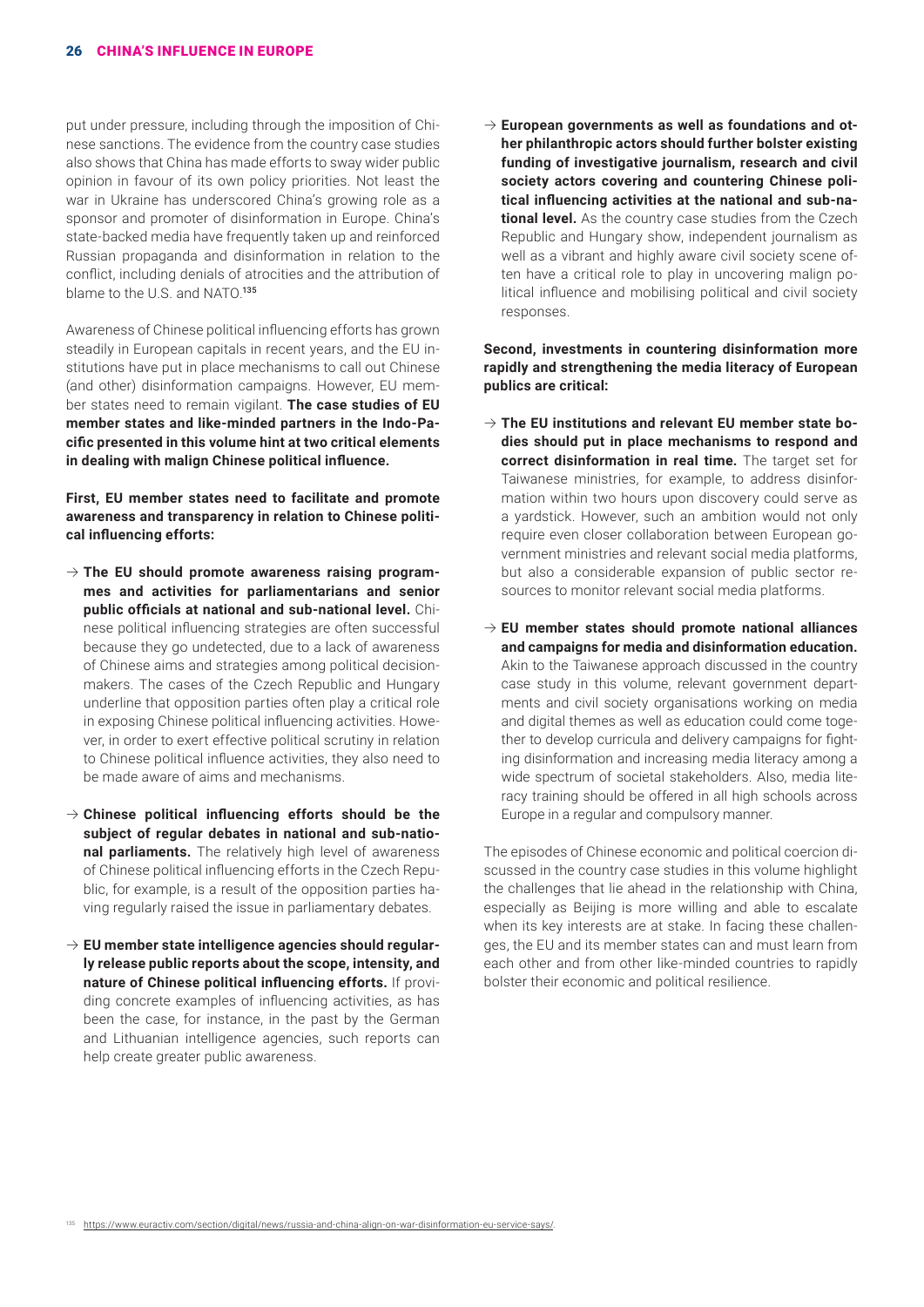put under pressure, including through the imposition of Chinese sanctions. The evidence from the country case studies also shows that China has made efforts to sway wider public opinion in favour of its own policy priorities. Not least the war in Ukraine has underscored China's growing role as a sponsor and promoter of disinformation in Europe. China's state-backed media have frequently taken up and reinforced Russian propaganda and disinformation in relation to the conflict, including denials of atrocities and the attribution of blame to the U.S. and NATO.<sup>135</sup>

Awareness of Chinese political influencing efforts has grown steadily in European capitals in recent years, and the EU institutions have put in place mechanisms to call out Chinese (and other) disinformation campaigns. However, EU member states need to remain vigilant. **The case studies of EU member states and like-minded partners in the Indo-Pacific presented in this volume hint at two critical elements in dealing with malign Chinese political influence.** 

**First, EU member states need to facilitate and promote awareness and transparency in relation to Chinese political influencing efforts:**

- $\rightarrow$  The EU should promote awareness raising program**mes and activities for parliamentarians and senior public officials at national and sub-national level.** Chinese political influencing strategies are often successful because they go undetected, due to a lack of awareness of Chinese aims and strategies among political decisionmakers. The cases of the Czech Republic and Hungary underline that opposition parties often play a critical role in exposing Chinese political influencing activities. However, in order to exert effective political scrutiny in relation to Chinese political influence activities, they also need to be made aware of aims and mechanisms.
- $\rightarrow$  Chinese political influencing efforts should be the **subject of regular debates in national and sub-national parliaments.** The relatively high level of awareness of Chinese political influencing efforts in the Czech Republic, for example, is a result of the opposition parties having regularly raised the issue in parliamentary debates.
- $\rightarrow$  EU member state intelligence agencies should regular**ly release public reports about the scope, intensity, and nature of Chinese political influencing efforts.** If providing concrete examples of influencing activities, as has been the case, for instance, in the past by the German and Lithuanian intelligence agencies, such reports can help create greater public awareness.

 $\rightarrow$  European governments as well as foundations and ot**her philanthropic actors should further bolster existing funding of investigative journalism, research and civil society actors covering and countering Chinese political influencing activities at the national and sub-national level.** As the country case studies from the Czech Republic and Hungary show, independent journalism as well as a vibrant and highly aware civil society scene often have a critical role to play in uncovering malign political influence and mobilising political and civil society responses.

**Second, investments in countering disinformation more rapidly and strengthening the media literacy of European publics are critical:**

- $\rightarrow$  The EU institutions and relevant EU member state bo**dies should put in place mechanisms to respond and correct disinformation in real time.** The target set for Taiwanese ministries, for example, to address disinformation within two hours upon discovery could serve as a yardstick. However, such an ambition would not only require even closer collaboration between European government ministries and relevant social media platforms, but also a considerable expansion of public sector resources to monitor relevant social media platforms.
- $\rightarrow$  EU member states should promote national alliances **and campaigns for media and disinformation education.** Akin to the Taiwanese approach discussed in the country case study in this volume, relevant government departments and civil society organisations working on media and digital themes as well as education could come together to develop curricula and delivery campaigns for fighting disinformation and increasing media literacy among a wide spectrum of societal stakeholders. Also, media literacy training should be offered in all high schools across Europe in a regular and compulsory manner.

The episodes of Chinese economic and political coercion discussed in the country case studies in this volume highlight the challenges that lie ahead in the relationship with China, especially as Beijing is more willing and able to escalate when its key interests are at stake. In facing these challenges, the EU and its member states can and must learn from each other and from other like-minded countries to rapidly bolster their economic and political resilience.

<sup>135</sup> <https://www.euractiv.com/section/digital/news/russia-and-china-align-on-war-disinformation-eu-service-says/>.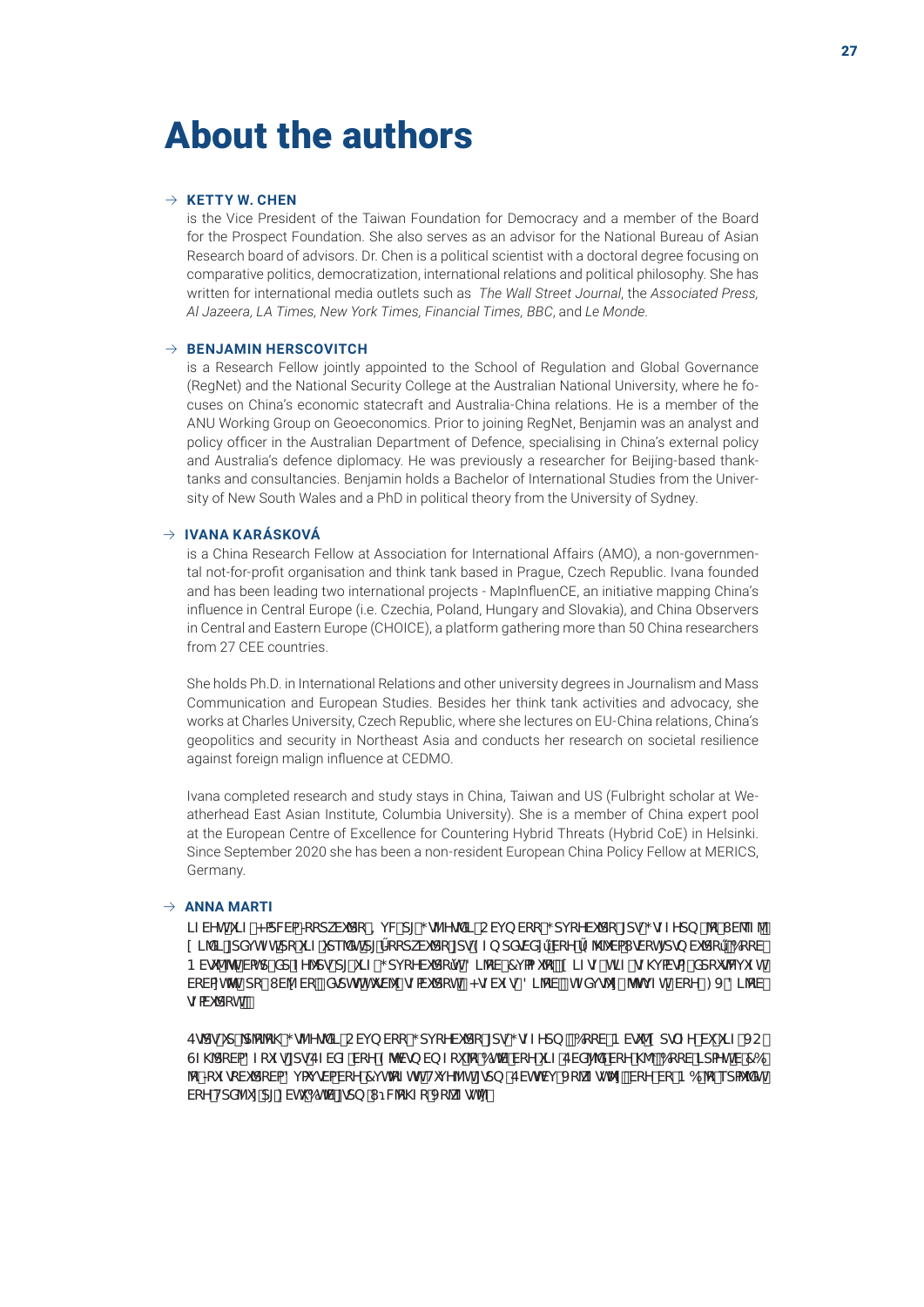# About the authors

#### $\rightarrow$  **KETTY W. CHEN**

is the Vice President of the Taiwan Foundation for Democracy and a member of the Board for the Prospect Foundation. She also serves as an advisor for the National Bureau of Asian Research board of advisors. Dr. Chen is a political scientist with a doctoral degree focusing on comparative politics, democratization, international relations and political philosophy. She has written for international media outlets such as *The Wall Street Journal*, the *Associated Press, Al Jazeera, LA Times, New York Times, Financial Times, BBC*, and *Le Monde*.

#### $\rightarrow$  **BENJAMIN HERSCOVITCH**

is a Research Fellow jointly appointed to the School of Regulation and Global Governance (RegNet) and the National Security College at the Australian National University, where he focuses on China's economic statecraft and Australia-China relations. He is a member of the ANU Working Group on Geoeconomics. Prior to joining RegNet, Benjamin was an analyst and policy officer in the Australian Department of Defence, specialising in China's external policy and Australia's defence diplomacy. He was previously a researcher for Beijing-based thanktanks and consultancies. Benjamin holds a Bachelor of International Studies from the University of New South Wales and a PhD in political theory from the University of Sydney.

#### B **IVANA KARÁSKOVÁ**

is a China Research Fellow at Association for International Affairs (AMO), a non-governmental not-for-profit organisation and think tank based in Prague, Czech Republic. Ivana founded and has been leading two international projects - MapInfluenCE, an initiative mapping China's influence in Central Europe (i.e. Czechia, Poland, Hungary and Slovakia), and China Observers in Central and Eastern Europe (CHOICE), a platform gathering more than 50 China researchers from 27 CEE countries.

She holds Ph.D. in International Relations and other university degrees in Journalism and Mass Communication and European Studies. Besides her think tank activities and advocacy, she works at Charles University, Czech Republic, where she lectures on EU-China relations, China's geopolitics and security in Northeast Asia and conducts her research on societal resilience against foreign malign influence at CEDMO.

Ivana completed research and study stays in China, Taiwan and US (Fulbright scholar at Weatherhead East Asian Institute, Columbia University). She is a member of China expert pool at the European Centre of Excellence for Countering Hybrid Threats (Hybrid CoE) in Helsinki. Since September 2020 she has been a non-resident European China Policy Fellow at MERICS, Germany.

#### $\rightarrow$  **ANNA MARTI**

 $l$ ZVYh'i $l$ Z'<adVWa  $*$ cdkVi 'dc' =  $l$  Wdl':  $q$ ZY $q$ Xl  $^{\circ}$ CVi b Vcc': di cYVi 'dc'  $d$ dd:  $q$ ZZYdb  $^{\circ}$   $\circ$   $l$  V\e $2$  $\circ$ '  $[L]$  Salism in the state of the control of the section of the section of the section of the state  $\mathbb{R}$  of the state  $\mathbb{R}$  of the section of the section of the section of the section of the section of the section of B Vg ^ h Uahd Xd"ZY Adq d[i] Z ; dj cYVi dc h 8] \tv 7j azi \c!'l ] ZqZ \n 2 q \j a/qn XdciqW iZh \tv VcVanh n° dc° I V1 Vc!° Xqdhh"hig/1° qZa/i dch!° < qZViZg° 8] \cV!° hZXj gîn° 1 hij Zh° VcY° : J "8] \cV" dZaVi dch#°

Eqdqid d' d c c \ + ; q Z Y q X | + C V| b Vcc + ; dj c Y Vi dc + [dq ; q Z Y db ! \* 6cc V \* B Vq ^ | dq Z Y \* Vi \* i | Z \* J C \* GZ\'dcVa8ZciZq'[dq'EZVXZ"VcY"9'hVcb Vb Zci"\c"6hV"VcY"i]Z'EVX{YX"VcY"\'\\thethethindath"V"76"  $\mathcal{E}^*\mathcal{E}$ iZqcVi dcVa8j aj qVaVcY°7j h $\mathcal{E}$ Zhiliy Yzh'[qdb \*EVhhVj \*J c $\mathcal{E}$ Zqhin!"VcY"Vc"B 6° $\mathcal{E}^*$ edai $\mathcal{E}$ h" VcY°HdX'Zin°d[': Vhi°6hV°[gdb °l Wc\Zc°Jc \tzqh'h#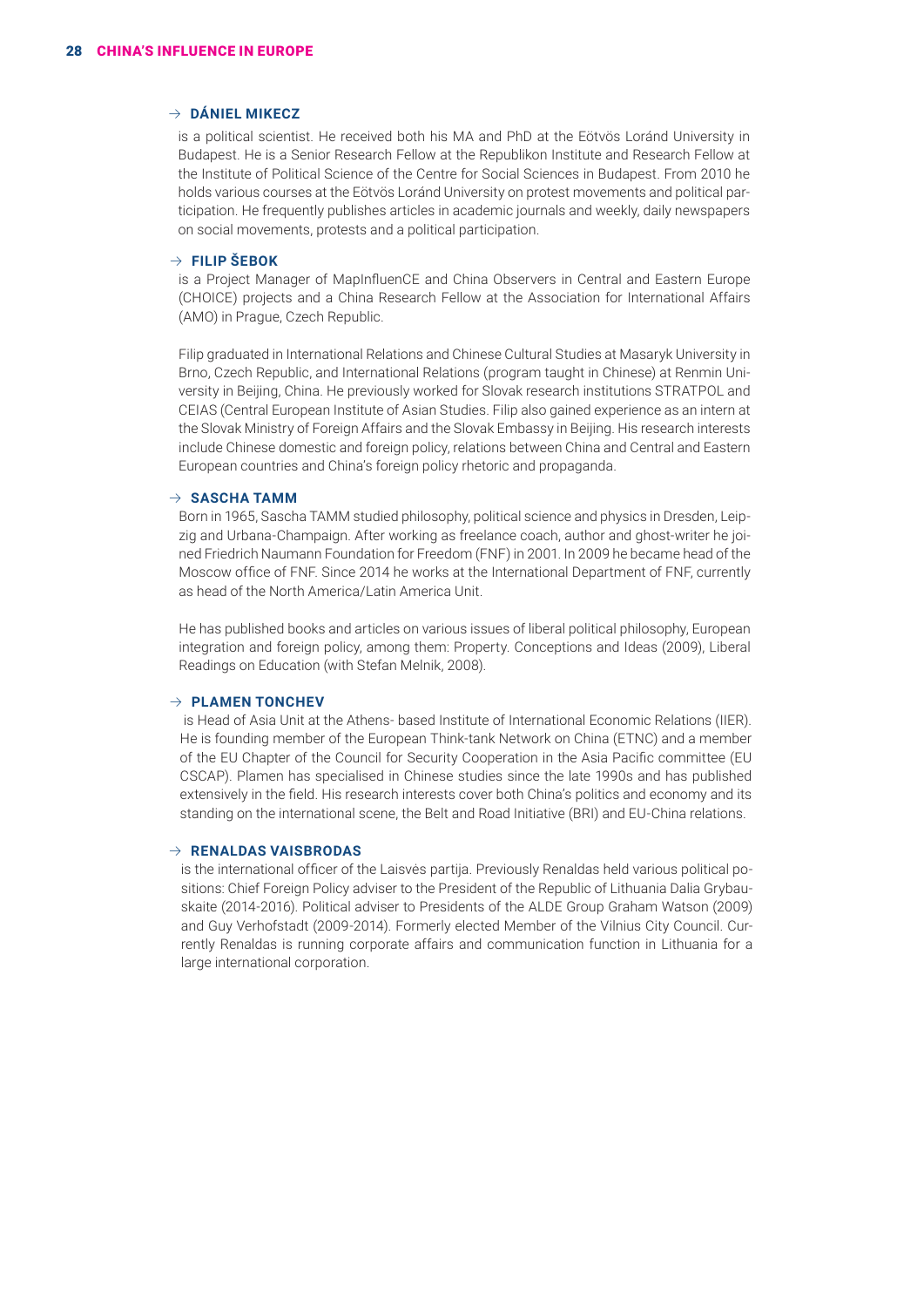#### $\rightarrow$  **DÁNIEL MIKECZ**

is a political scientist. He received both his MA and PhD at the Eötvös Loránd University in Budapest. He is a Senior Research Fellow at the Republikon Institute and Research Fellow at the Institute of Political Science of the Centre for Social Sciences in Budapest. From 2010 he holds various courses at the Eötvös Loránd University on protest movements and political participation. He frequently publishes articles in academic journals and weekly, daily newspapers on social movements, protests and a political participation.

#### $\rightarrow$  FILIP ŠEBOK

is a Project Manager of MapInfluenCE and China Observers in Central and Eastern Europe (CHOICE) projects and a China Research Fellow at the Association for International Affairs (AMO) in Prague, Czech Republic.

Filip graduated in International Relations and Chinese Cultural Studies at Masaryk University in Brno, Czech Republic, and International Relations (program taught in Chinese) at Renmin University in Beijing, China. He previously worked for Slovak research institutions STRATPOL and CEIAS (Central European Institute of Asian Studies. Filip also gained experience as an intern at the Slovak Ministry of Foreign Affairs and the Slovak Embassy in Beijing. His research interests include Chinese domestic and foreign policy, relations between China and Central and Eastern European countries and China's foreign policy rhetoric and propaganda.

#### $\rightarrow$  **SASCHA TAMM**

Born in 1965, Sascha TAMM studied philosophy, political science and physics in Dresden, Leipzig and Urbana-Champaign. After working as freelance coach, author and ghost-writer he joined Friedrich Naumann Foundation for Freedom (FNF) in 2001. In 2009 he became head of the Moscow office of FNF. Since 2014 he works at the International Department of FNF, currently as head of the North America/Latin America Unit.

He has published books and articles on various issues of liberal political philosophy, European integration and foreign policy, among them: Property. Conceptions and Ideas (2009), Liberal Readings on Education (with Stefan Melnik, 2008).

#### $\rightarrow$  **PLAMEN TONCHEV**

 is Head of Asia Unit at the Athens- based Institute of International Economic Relations (IIER). He is founding member of the European Think-tank Network on China (ETNC) and a member of the EU Chapter of the Council for Security Cooperation in the Asia Pacific committee (EU CSCAP). Plamen has specialised in Chinese studies since the late 1990s and has published extensively in the field. His research interests cover both China's politics and economy and its standing on the international scene, the Belt and Road Initiative (BRI) and EU-China relations.

#### B **RENALDAS VAISBRODAS**

is the international officer of the Laisvės partija. Previously Renaldas held various political positions: Chief Foreign Policy adviser to the President of the Republic of Lithuania Dalia Grybauskaite (2014-2016). Political adviser to Presidents of the ALDE Group Graham Watson (2009) and Guy Verhofstadt (2009-2014). Formerly elected Member of the Vilnius City Council. Currently Renaldas is running corporate affairs and communication function in Lithuania for a large international corporation.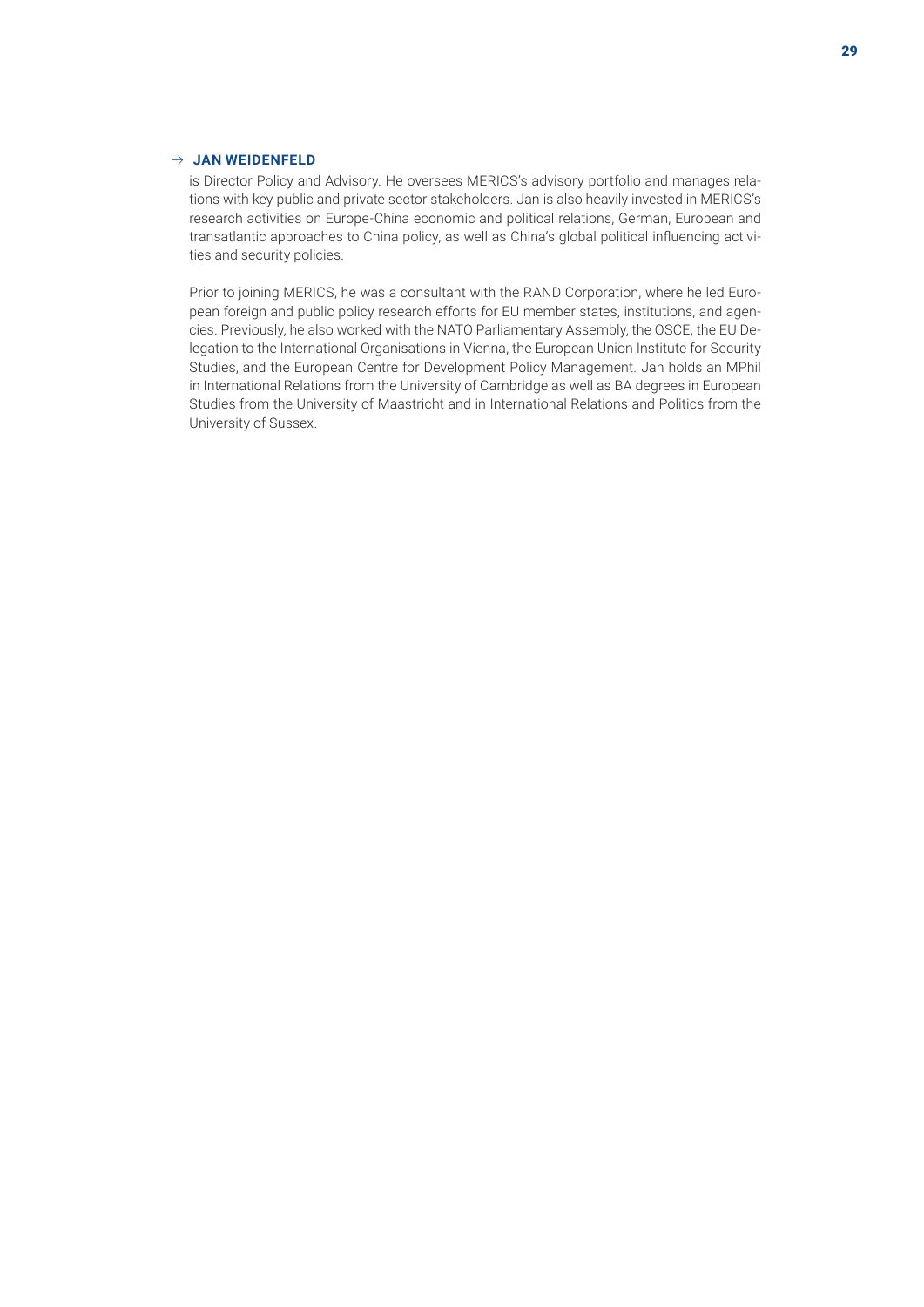#### $\rightarrow$  JAN WEIDENFELD

is Director Policy and Advisory. He oversees MERICS's advisory portfolio and manages relations with key public and private sector stakeholders. Jan is also heavily invested in MERICS's research activities on Europe-China economic and political relations, German, European and transatlantic approaches to China policy, as well as China's global political influencing activities and security policies.

Prior to joining MERICS, he was a consultant with the RAND Corporation, where he led European foreign and public policy research efforts for EU member states, institutions, and agencies. Previously, he also worked with the NATO Parliamentary Assembly, the OSCE, the EU Delegation to the International Organisations in Vienna, the European Union Institute for Security Studies, and the European Centre for Development Policy Management. Jan holds an MPhil in International Relations from the University of Cambridge as well as BA degrees in European Studies from the University of Maastricht and in International Relations and Politics from the University of Sussex.